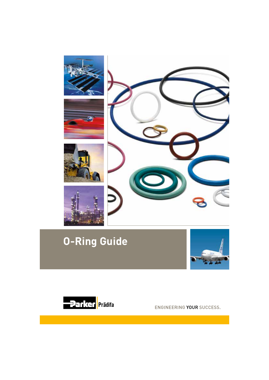

# **O-Ring Guide**





ENGINEERING YOUR SUCCESS.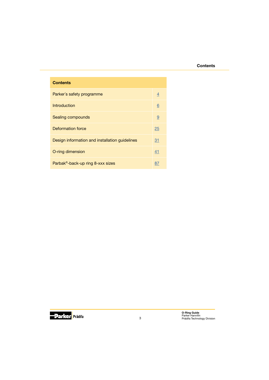## **Contents**

| <b>Contents</b>                                |    |
|------------------------------------------------|----|
| Parker's safety programme                      | 4  |
| Introduction                                   | 6  |
| Sealing compounds                              | 9  |
| Deformation force                              | 25 |
| Design information and installation guidelines | 31 |
| O-ring dimension                               | 41 |
| Parbak <sup>®</sup> -back-up ring 8-xxx sizes  | 87 |

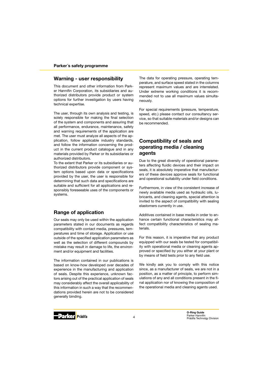## Warning - user responsibility

This document and other information from Parker Hannifin Corporation, its subsidiaries and authorized distributors provide product or system options for further investigation by users having technical expertise.

The user, through its own analysis and testing, is solely responsible for making the final selection of the system and components and assuring that all performance, endurance, maintenance, safety and warning requirements of the application are met. The user must analyze all aspects of the application, follow applicable industry standards, and follow the information concerning the product in the current product catalogue and in any materials provided by Parker or its subsidiaries or authorized distributors.

To the extent that Parker or its subsidiaries or authorized distributors provide component or system options based upon data or specifications provided by the user, the user is responsible for determining that such data and specifications are suitable and sufficient for all applications and responsibly foreseeable uses of the components or systems.

## Range of application

Our seals may only be used within the application parameters stated in our documents as regards compatibility with contact media, pressures, temperatures and time of storage. Application or use outside of the specified application parameters as well as the selection of different compounds by mistake may result in damage to life, the environment and/or equipment and facilities.

The information contained in our publications is based on know-how developed over decades of experience in the manufacturing and application of seals. Despite this experience, unknown factors arising out of the practical application of seals may considerably affect the overall applicability of this information in such a way that the recommendations provided herein are not to be considered generally binding.

The data for operating pressure, operating temperature, and surface speed stated in the columns represent maximum values and are interrelated. Under extreme working conditions it is recommended not to use all maximum values simultaneously.

For special requirements (pressure, temperature, speed, etc.) please contact our consultancy service, so that suitable materials and/or designs can be recommended.

# Compatibility of seals and operating media / cleaning agents

Due to the great diversity of operational parameters affecting fluidic devices and their impact on seals, it is absolutely imperative that manufacturers of these devices approve seals for functional and operational suitability under field conditions.

Furthermore, in view of the consistent increase of newly available media used as hydraulic oils, lubricants, and cleaning agents, special attention is invited to the aspect of compatibility with sealing elastomers currently in use.

Additives contained in base media in order to enhance certain functional characteristics may affect compatibility characteristics of sealing materials.

For this reason, it is imperative that any product equipped with our seals be tested for compatibility with operational media or cleaning agents approved or specified by you either at your plant or by means of field tests prior to any field use.

We kindly ask you to comply with this notice since, as a manufacturer of seals, we are not in a position, as a matter of principle, to perform simulations of any and all conditions present in the final application nor of knowing the composition of the operational media and cleaning agents used.

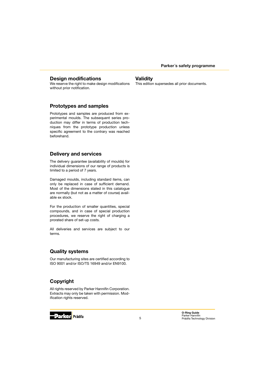Parker´s safety programme

## Design modifications

We reserve the right to make design modifications without prior notification.

# Prototypes and samples

Prototypes and samples are produced from experimental moulds. The subsequent series production may differ in terms of production techniques from the prototype production unless specific agreement to the contrary was reached beforehand.

## Delivery and services

The delivery guarantee (availability of moulds) for individual dimensions of our range of products is limited to a period of 7 years.

Damaged moulds, including standard items, can only be replaced in case of sufficient demand. Most of the dimensions stated in this catalogue are normally (but not as a matter of course) available ex stock.

For the production of smaller quantities, special compounds, and in case of special production procedures, we reserve the right of charging a prorated share of set-up costs.

All deliveries and services are subject to our terms.

# Quality systems

Our manufacturing sites are certified according to ISO 9001 and/or ISO/TS 16949 and/or EN9100.

# Copyright

All rights reserved by Parker Hannifin Corporation. Extracts may only be taken with permission. Modification rights reserved.

**arker Prädifa** 

#### **Validity**

This edition supersedes all prior documents.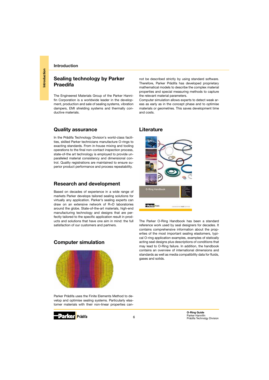# Sealing technology by Parker Praedifa

The Engineered Materials Group of the Parker Hannifin Corporation is a worldwide leader in the development, production and sale of sealing systems, vibration dampers, EMI shielding systems and thermally conductive materials.

# Quality assurance

Introduction

In the Prädifa Technology Division's world-class facilities, skilled Parker technicians manufacture O-rings to exacting standards. From in-house mixing and tooling operations to the final non-contact inspection process, state-of-the art technology is employed to provide unparalleled material consistency and dimensional control. Quality registrations are maintained to ensure superior product performance and process repeatability.

## Research and development

Based on decades of experience in a wide range of markets Parker develops tailored sealing solutions for virtually any application. Parker's sealing experts can draw on an extensive network of R+D laboratories around the globe. State-of-the-art materials, high-end manufacturing technology and designs that are perfectly tailored to the specific application result in products and solutions that have one aim in mind: the full satisfaction of our customers and partners.





Parker Prädifa uses the Finite Elements Method to develop and optimise sealing systems. Particularly elastomer materials with their non-linear properties can-



not be described strictly by using standard software. Therefore, Parker Prädifa has developed proprietary mathematical models to describe the complex material properties and special measuring methods to capture the relevant material parameters.

Computer simulation allows experts to detect weak areas as early as in the concept phase and to optimise materials or geometries. This saves development time and costs.

# **Literature**



The Parker O-Ring Handbook has been a standard reference work used by seal designers for decades. It contains comprehensive information about the properties of the most important sealing elastomers, typical O-ring application examples, examples of statically acting seal designs plus descriptions of conditions that may lead to O-Ring failure. In addition, the handbook contains an overview of international dimensions and standards as well as media compatibility data for fluids, gases and solids.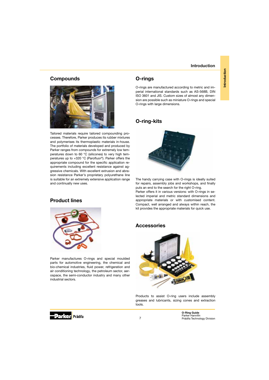#### Introduction

# Compounds



Tailored materials require tailored compounding processes. Therefore, Parker produces its rubber mixtures and polymerises its thermoplastic materials in-house. The portfolio of materials developed and produced by Parker ranges from compounds for extremely low temperatures down to 60 °C (silicones) to very high temperatures up to +320 °C (Parofluor®). Parker offers the appropriate compound for the specific application requirements including excellent resistance against aggressive chemicals. With excellent extrusion and abrasion resistance Parker's proprietary polyurethane line is suitable for an extremely extensive application range and continually new uses.

Parker manufactures O-rings and special moulded parts for automotive engineering, the chemical and bio-chemical industries, fluid power, refrigeration and air conditioning technology, the petroleum sector, aerospace, the semi-conductor industry and many other

# O-rings

O-rings are manufactured according to metric and imperial international standards such as AS-568B, DIN ISO 3601 and JIS. Custom sizes of almost any dimension are possible such as miniature O-rings and special O-rings with large dimensions.

# O-ring-kits



The handy carrying case with O-rings is ideally suited for repairs, assembly jobs and workshops, and finally puts an end to the search for the right O-ring. Parker offers it in various versions: with O-rings in selected imperial and metric standard dimensions and

appropriate materials or with customised content. Compact, well arranged and always within reach, the kit provides the appropriate materials for quick use.

## Accessories



Products to assist O-ring users include assembly greases and lubricants, sizing cones and extraction tools.



industrial sectors.

Product lines

7

O-Ring Guide Parker Hannifin Prädifa Technology Division

# Introduction Introduction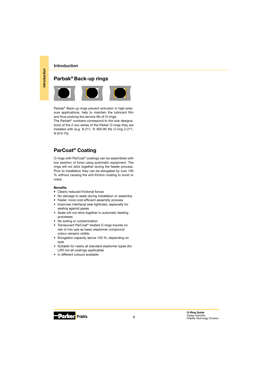# Parbak® Back-up rings

Introduction



Parbak® Back-up rings prevent extrusion in high-pressure applications, help to maintain the lubricant film and thus prolong the service life of O-rings.

The Parbak® numbers correspond to the size designations of the 2-xxx series of the Parker O-rings they are installed with (e.g. 8-211, N 300-90 fits O-ring 2-211, N 674-70).

# ParCoat® Coating

O-rings with ParCoat® coatings can be assembled with low exertion of force using automatic equipment. The rings will not stick together during the feeder process. Prior to installation they can be elongated by over 150 % without causing the anti-friction coating to burst or crack.

#### Benefits

- Clearly reduced frictional forces
- No damage to seals during installation or assembly
- Faster, more cost-efficient assembly process
- Improves interfacial seal tightness, especially for sealing against gases
- Seals will not stick together in automatic feeding processes
- No soiling or contamination
- Translucent ParCoat® treated O-rings insures no risk of mix-ups as basic elastomer compound colour remains visible
- Elongation capacity above 150 %, depending on type
- Suitable for nearly all standard elastomer types (for LSR not all coatings applicable)
- In different colours available

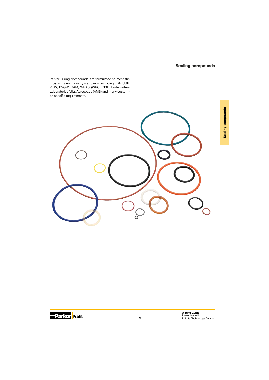

**-Parker** Prädifa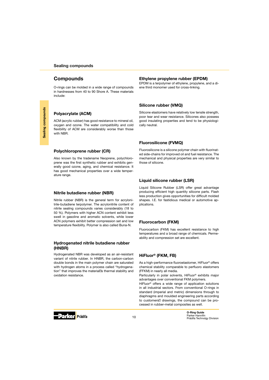### Compounds

O-rings can be molded in a wide range of compounds in hardnesses from 40 to 90 Shore A. These materials include:

### Polyacrylate (ACM)

ACM (acrylic rubber) has good resistance to mineral oil, oxygen and ozone. The water compatibility and cold flexibility of ACM are considerably worse than those with NBR.

#### Polychloroprene rubber (CR)

Also known by the tradename Neoprene, polychloroprene was the first synthetic rubber and exhibits generally good ozone, aging, and chemical resistance. It has good mechanical properties over a wide temperature range.

#### Nitrile butadiene rubber (NBR)

Nitrile rubber (NBR) is the general term for acrylonitrile-butadiene terpolymer. The acrylonitrile content of nitrile sealing compounds varies considerably (18 to 50 %). Polymers with higher ACN content exhibit less swell in gasoline and aromatic solvents, while lower ACN polymers exhibit better compression set and low temperature flexibility. Polymer is also called Buna-N.

#### Hydrogenated nitrile butadiene rubber (HNBR)

Hydrogenated NBR was developed as an air-resistant variant of nitrile rubber. In HNBR, the carbon-carbon double bonds in the main polymer chain are saturated with hydrogen atoms in a process called "hydrogenation" that improves the material<sup>n</sup>s thermal stability and oxidation resistance.

#### Ethylene propylene rubber (EPDM)

EPDM is a terpolymer of ethylene, propylene, and a diene third monomer used for cross-linking.

#### Silicone rubber (VMQ)

Silicone elastomers have relatively low tensile strength, poor tear and wear resistance. Silicones also possess good insulating properties and tend to be physiologically neutral.

#### Fluorosilicone (FVMQ)

Fluorosilicone is a silicone polymer chain with fluorinated side-chains for improved oil and fuel resistance. The mechanical and physical properties are very similar to those of silicone.

#### Liquid silicone rubber (LSR)

Liquid Silicone Rubber (LSR) offer great advantage producing efficient high quantity silicone parts. Flash less production gives opportunities for difficult molded shapes. I.E. for fastidious medical or automotive applications.

#### Fluorocarbon (FKM)

Fluorocarbon (FKM) has excellent resistance to high temperatures and a broad range of chemicals. Permeability and compression set are excellent.

#### HiFluor® (FKM, FB)

As a high-performance fluoroelastomer, HiFluor® offers chemical stability comparable to perfluoro elastomers (FFKM) in nearly all media.

Particularly in polar solvents, HiFluor® exhibits major advantages over conventional FKM polymers.

HiFluor® offers a wide range of application solutions in all industrial sectors. From conventional O-rings in standard (imperial and metric) dimensions through to diaphragms and moulded engineering parts according to customers<sup>2</sup> drawings, the compound can be processed in rubber-metal composites as well.

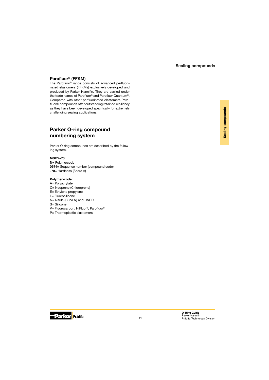#### Parofluor® (FFKM)

The Parofluor® range consists of advanced perfluorinated elastomers (FFKMs) exclusively developed and produced by Parker Hannifin. They are carried under the trade names of Parofluor® and Parofluor Quantum®. Compared with other perfluorinated elastomers Parofluor® compounds offer outstanding retained resiliency as they have been developed specifically for extremely challenging sealing applications.

# Parker O-ring compound numbering system

Parker O-ring compounds are described by the following system.

### N0674-70:

N= Polymercode 0674= Sequence number (compound code) -70= Hardness (Shore A)

#### Polymer-code:

A= Polyacrylate C= Neoprene (Chloroprene) E= Ethylene propylene L= Fluorosilicone N= Nitrile (Buna N) and HNBR S= Silicone V= Fluorocarbon, HiFluor®, Parofluor® P= Thermoplastic elastomers

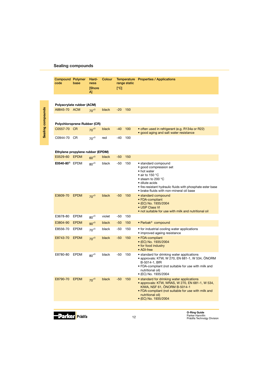| Compound Polymer Hard- Colour<br>code | base | ness               | range static | Temperature Properties / Applications |
|---------------------------------------|------|--------------------|--------------|---------------------------------------|
|                                       |      | <b>Shore</b><br>Al | r°C1         |                                       |

| Polyacrylate rubber (ACM)          |    |              |       |       |     |                                                                                           |
|------------------------------------|----|--------------|-------|-------|-----|-------------------------------------------------------------------------------------------|
| A8845-70 ACM                       |    | $70^{\pm 5}$ | black | $-20$ | 150 |                                                                                           |
|                                    |    |              |       |       |     |                                                                                           |
| <b>Polychloroprene Rubber (CR)</b> |    |              |       |       |     |                                                                                           |
| C0557-70 CR                        |    | $70^{\pm 5}$ | black | $-40$ | 100 | • often used in refrigerant (e.g. R134a or R22)<br>• good aging and salt water resistance |
| C0944-70                           | CR | $70^{\pm 5}$ | red   | -40   | 100 |                                                                                           |

| Ethylene propylene rubber (EPDM) |             |              |        |       |     |                                                                                                                                                                                                                                                     |  |  |  |
|----------------------------------|-------------|--------------|--------|-------|-----|-----------------------------------------------------------------------------------------------------------------------------------------------------------------------------------------------------------------------------------------------------|--|--|--|
| E0529-60                         | <b>EPDM</b> | $60^{\pm 5}$ | black  | $-50$ | 150 |                                                                                                                                                                                                                                                     |  |  |  |
| E0540-80 <sup>1)</sup>           | <b>EPDM</b> | $80^{\pm5}$  | black  | $-50$ | 150 | • standard compound<br>· good compression set<br>• hot water<br>• air to 150 $^{\circ}$ C<br>$\bullet$ steam to 200 °C<br>· dilute acids<br>• fire-resistant hydraulic fluids with phosphate ester base<br>• brake fluids with non-mineral oil base |  |  |  |
| E3609-70                         | <b>EPDM</b> | $70^{\pm 5}$ | black  | $-50$ | 150 | • standard compound<br>• FDA-compliant<br>• (EC) No. 1935/2004<br>• USP Class VI<br>• not suitable for use with milk and nutritional oil                                                                                                            |  |  |  |
| E3678-80                         | <b>EPDM</b> | $80^{\pm5}$  | violet | $-50$ | 150 |                                                                                                                                                                                                                                                     |  |  |  |
| E3804-90                         | <b>EPDM</b> | $90^{\pm 5}$ | black  | $-50$ | 150 | • Parbak <sup>®</sup> compound                                                                                                                                                                                                                      |  |  |  |
| E8556-70                         | <b>EPDM</b> | $70^{\pm 5}$ | black  | $-50$ | 150 | • for industrial cooling water applications<br>• improved ageing resistance                                                                                                                                                                         |  |  |  |
| E8743-70                         | <b>EPDM</b> | $70^{\pm 5}$ | black  | $-50$ | 150 | • FDA-compliant<br>• (EC) No. 1935/2004<br>• for food industry<br>• ADI-free                                                                                                                                                                        |  |  |  |
| E8780-80                         | EPDM        | $80^{\pm5}$  | black  | $-50$ | 150 | • standard for drinking water applications<br>• approvals: KTW, W 270, EN 681-1, W 534, ÖNORM<br>B-5014-1, BfR<br>• FDA-compliant (not suitable for use with milk and<br>nutritional oil)<br>• (EC) No. 1935/2004                                   |  |  |  |
| E8790-70                         | <b>EPDM</b> | $70^{\pm 5}$ | black  | $-50$ | 150 | • standard for drinking water applications<br>• approvals: KTW, WRAS, W 270, EN 681-1, W 534,<br>KIWA, NSF 61, ÖNORM B-5014-1<br>• FDA-compliant (not suitable for use with milk and<br>nutritional oil)<br>• (EC) No. 1935/2004                    |  |  |  |
|                                  |             |              |        |       |     |                                                                                                                                                                                                                                                     |  |  |  |

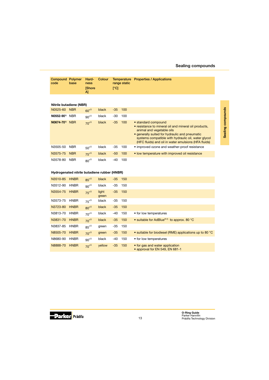| code | base | ness               | range static             | Compound Polymer Hard- Colour Temperature Properties / Applications |
|------|------|--------------------|--------------------------|---------------------------------------------------------------------|
|      |      | <b>Shore</b><br>Al | $\Gamma$ <sup>o</sup> Cl |                                                                     |

| Nitrile butadiene (NBR) |            |              |       |       |     |                                                                                                                                                                                                                                                                            |                |
|-------------------------|------------|--------------|-------|-------|-----|----------------------------------------------------------------------------------------------------------------------------------------------------------------------------------------------------------------------------------------------------------------------------|----------------|
| N0525-60                | <b>NBR</b> | $60^{+5}$    | black | $-35$ | 100 |                                                                                                                                                                                                                                                                            |                |
| N0552-90 <sup>1)</sup>  | <b>NBR</b> | $90^{+5}$    | black | -30   | 100 |                                                                                                                                                                                                                                                                            | compounds      |
| N0674-70 <sup>1)</sup>  | <b>NBR</b> | $70^{\pm 5}$ | black | $-35$ | 100 | • standard compound<br>• resistance to mineral oil and mineral oil products,<br>animal and vegetable oils<br>• generally suited for hydraulic and pneumatic<br>systems compatible with hydraulic oil, water glycol<br>(HFC fluids) and oil in water emulsions (HFA fluids) | <b>Sealing</b> |
| N3505-50                | <b>NBR</b> | $50^{+5}$    | black | -35   | 100 | • improved ozone and weather-proof resistance                                                                                                                                                                                                                              |                |
| N3575-75                | <b>NBR</b> | $75^{\pm 5}$ | black | $-50$ | 100 | • low temperature with improved oil resistance                                                                                                                                                                                                                             |                |
| N3578-80                | <b>NBR</b> | $80^{+5}$    | black | -40   | 100 |                                                                                                                                                                                                                                                                            |                |

## Hydrogenated nitrile butadiene rubber (HNBR)

| N3510-85 | <b>HNBR</b> | $85^{+5}$    | black          | $-35$     | 150 |                                                                    |
|----------|-------------|--------------|----------------|-----------|-----|--------------------------------------------------------------------|
| N3512-90 | <b>HNBR</b> | $90^{+5}$    | black          | -35       | 150 |                                                                    |
| N3554-75 | <b>HNBR</b> | $75^{+5}$    | light<br>green | $-35$     | 150 |                                                                    |
| N3573-75 | <b>HNBR</b> | $75^{+5}$    | black          | $-35$     | 150 |                                                                    |
| N3723-80 | <b>HNBR</b> | $80^{+5}$    | black          | $-35$ 150 |     |                                                                    |
| N3813-70 | <b>HNBR</b> | $70^{\pm 5}$ | black          | $-40$     | 150 | • for low temperatures                                             |
| N3831-70 | <b>HNBR</b> | $70^{+5}$    | black          | $-35$ 150 |     | • suitable for AdBlue <sup>® 2)</sup> to approx. 80 °C             |
| N3837-85 | <b>HNBR</b> | $85^{+5}$    | green          | -35       | 150 |                                                                    |
| N8505-70 | <b>HNBR</b> | $70^{+5}$    | green          | $-35$     | 150 | • suitable for biodiesel (RME) applications up to 80 °C            |
| N8680-90 | <b>HNBR</b> | $90^{+5}$    | black          | $-40$     | 150 | • for low temperatures                                             |
| N8888-70 | <b>HNBR</b> | $70^{\pm 5}$ | yellow         | $-35$     | 150 | • for gas and water application<br>• approval for EN 549, EN 681-1 |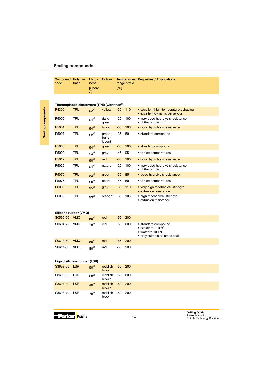| Compound Polymer Hard- Colour<br>code<br>base | ness<br><b>Shore</b><br>Al | range static<br>$\Gamma$ <sup>o</sup> Cl | Temperature Properties / Applications |
|-----------------------------------------------|----------------------------|------------------------------------------|---------------------------------------|
|-----------------------------------------------|----------------------------|------------------------------------------|---------------------------------------|

| Thermoplastic elastomers (TPE) (Ultrathan <sup>®</sup> ) |            |              |                            |       |     |                                                                         |  |  |  |  |
|----------------------------------------------------------|------------|--------------|----------------------------|-------|-----|-------------------------------------------------------------------------|--|--|--|--|
| P4300                                                    | <b>TPU</b> | $92^{+5}$    | yellow                     | $-30$ | 110 | • excellent high-temperature behaviour<br>• excellent dynamic behaviour |  |  |  |  |
| P5000                                                    | <b>TPU</b> | $94^{+5}$    | dark<br>green              | $-20$ | 100 | • very good hydrolysis resistance<br>• FDA-compliant                    |  |  |  |  |
| P5001                                                    | <b>TPU</b> | $94^{+5}$    | brown                      | $-35$ | 100 | • good hydrolysis resistance                                            |  |  |  |  |
| P5007                                                    | <b>TPU</b> | $82^{+5}$    | green,<br>trans-<br>lucent | $-35$ | 80  | • standard compound                                                     |  |  |  |  |
| P5008                                                    | <b>TPU</b> | $94^{+5}$    | green                      | $-35$ | 100 | • standard compound                                                     |  |  |  |  |
| P5009                                                    | <b>TPU</b> | $94^{\pm5}$  | grey                       | $-45$ | 95  | • for low temperatures                                                  |  |  |  |  |
| P5012                                                    | <b>TPU</b> | $90^{\pm 5}$ | red                        | $-38$ | 100 | • good hydrolysis resistance                                            |  |  |  |  |
| P5029                                                    | <b>TPU</b> | $94^{+5}$    | nature                     | $-20$ | 100 | • very good hydrolysis resistance<br>• FDA-compliant                    |  |  |  |  |
| P5070                                                    | <b>TPU</b> | $83^{\pm 5}$ | green                      | $-35$ | 85  | • good hydrolysis resistance                                            |  |  |  |  |
| P5075                                                    | <b>TPU</b> | $80^{\pm 5}$ | ochre                      | $-45$ | 80  | • for low temperatures                                                  |  |  |  |  |
| P6000                                                    | <b>TPU</b> | $95^{+5}$    | grey                       | $-35$ | 110 | • very high mechanical strength<br>• extrusion resistance               |  |  |  |  |
| P6030                                                    | <b>TPU</b> | $93^{\pm5}$  | orange                     | $-35$ | 105 | • high mechanical strength<br>• extrusion resistance                    |  |  |  |  |

#### Silicone rubber (VMQ)

| S0595-50 VMQ |            | $50^{\pm 5}$ | red | $-55$ 200 |                                                                                                                     |
|--------------|------------|--------------|-----|-----------|---------------------------------------------------------------------------------------------------------------------|
| S0604-70     | <b>VMQ</b> | $70^{\pm 5}$ | red | $-55$ 200 | • standard compound<br>$\bullet$ hot air to 210 °C<br>• water to 100 $^{\circ}$ C<br>• only suitable as static seal |
| S0613-60     | <b>VMQ</b> | $60^{\pm 5}$ | red | $-55$ 200 |                                                                                                                     |
| S0614-80     | <b>VMQ</b> | $80^{\pm 5}$ | red | -55 200   |                                                                                                                     |

| Liquid silicone rubber (LSR) |  |  |
|------------------------------|--|--|
|                              |  |  |

| S3693-50 LSR | $50^{+5}$ | reddish -50 200<br>brown |  |
|--------------|-----------|--------------------------|--|
| S3695-60 LSR | $60^{+5}$ | reddish -50 200<br>brown |  |
| S3697-40 LSR | $40^{+5}$ | reddish -50 200<br>brown |  |
| S3698-70 LSR | $70^{+5}$ | reddish -50 200<br>brown |  |

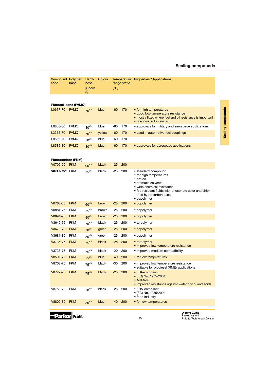| <b>Compound Polymer</b><br>code | base        | Hard-<br>ness<br>[Shore<br>A] | Colour | [°C]  | range static | Temperature Properties / Applications                                                                                                                                                                                 |                                                                       |                   |
|---------------------------------|-------------|-------------------------------|--------|-------|--------------|-----------------------------------------------------------------------------------------------------------------------------------------------------------------------------------------------------------------------|-----------------------------------------------------------------------|-------------------|
| <b>Fluorosilicone (FVMQ)</b>    |             |                               |        |       |              |                                                                                                                                                                                                                       |                                                                       |                   |
| L0677-70                        | <b>FVMQ</b> | $70^{\pm 5}$                  | blue   | $-60$ | 170          | • for high temperatures<br>• good low-temperature resistance<br>• mostly fitted where fuel and oil resistance is important<br>• predominant in aircraft                                                               |                                                                       | Sealing compounds |
| L0806-80                        | <b>FVMQ</b> | $80^{\pm 5}$                  | blue   | -60   | 170          | • approvals for military and aerospace applications                                                                                                                                                                   |                                                                       |                   |
| L3355-70                        | <b>FVMQ</b> | $70^{\pm 5}$                  | yellow | $-60$ | 170          | • used in automotive fuel couplings                                                                                                                                                                                   |                                                                       |                   |
| L8559-70                        | <b>FVMQ</b> | $70^{\pm 5}$                  | blue   | $-60$ | 170          |                                                                                                                                                                                                                       |                                                                       |                   |
| L8585-80                        | <b>FVMQ</b> | $80^{+5}$                     | blue   | $-60$ | 170          | • approvals for aerospace applications                                                                                                                                                                                |                                                                       |                   |
| <b>Fluorocarbon (FKM)</b>       |             |                               |        |       |              |                                                                                                                                                                                                                       |                                                                       |                   |
| V0709-90                        | <b>FKM</b>  | $90^{+5}$                     | black  | $-25$ | 200          |                                                                                                                                                                                                                       |                                                                       |                   |
| V0747-75 <sup>1)</sup> FKM      |             | $75^{\pm 5}$                  | black  | -25   | 200          | • standard compound<br>• for high temperatures<br>• hot oil<br>• aromatic solvents<br>· wide chemical resistance<br>• fire-resistant fluids with phosphate ester and chlorin-<br>ated hydrocarbon base<br>• copolymer |                                                                       |                   |
| V0763-60                        | <b>FKM</b>  | $60^{\pm 5}$                  | brown  | $-25$ | 200          | • copolymer                                                                                                                                                                                                           |                                                                       |                   |
| V0884-75                        | FKM         | $75^{\pm5}$                   | brown  | -25   | 200          | • copolymer                                                                                                                                                                                                           |                                                                       |                   |
| V0894-90                        | <b>FKM</b>  | $90^{+5}$                     | brown  | $-25$ | 200          | • copolymer                                                                                                                                                                                                           |                                                                       |                   |
| V3642-75                        | FKM         | $75^{\pm 5}$                  | black  | -25   | 200          | • terpolymer                                                                                                                                                                                                          |                                                                       |                   |
| V3670-70                        | <b>FKM</b>  | $70^{\pm 5}$                  | green  | $-25$ | 200          | • copolymer                                                                                                                                                                                                           |                                                                       |                   |
| V3681-80                        | FKM         | $80^{\pm 5}$                  | green  | -25   | 200          | • copolymer                                                                                                                                                                                                           |                                                                       |                   |
| V3736-75                        | <b>FKM</b>  | $75^{\pm 5}$                  | black  | $-28$ | 200          | • terpolymer<br>• improved low temperature resistance                                                                                                                                                                 |                                                                       |                   |
| V3738-75                        | <b>FKM</b>  | $75^{\pm5}$                   | black  | -20   | 200          | • improved medium compatibility                                                                                                                                                                                       |                                                                       |                   |
| V8592-75                        | <b>FKM</b>  | $75^{\pm 5}$                  | blue   | $-40$ | 200          | • for low temperatures                                                                                                                                                                                                |                                                                       |                   |
| V8703-75                        | FKM         | $75^{\pm 5}$                  | black  | -30   | 200          | • improved low temperature resistance<br>• suitable for biodiesel (RME) applications                                                                                                                                  |                                                                       |                   |
| V8722-75                        | <b>FKM</b>  | $75^{\pm 5}$                  | black  | $-25$ | 200          | • FDA-compliant<br>• (EC) No. 1935/2004<br>• ADI-free<br>• improved resistance against water glycol and acids                                                                                                         |                                                                       |                   |
| V8750-70                        | FKM         | $70^{\pm 5}$                  | black  | -25   | 200          | • FDA-compliant<br>• (EC) No. 1935/2004<br>• food industry                                                                                                                                                            |                                                                       |                   |
| V8802-80                        | <b>FKM</b>  | $80^{+5}$                     | blue   | $-40$ | 200          | • for low temperatures                                                                                                                                                                                                |                                                                       |                   |
|                                 | Prädifa     |                               |        |       |              | 15                                                                                                                                                                                                                    | <b>O-Ring Guide</b><br>Parker Hannifin<br>Prädifa Technology Division |                   |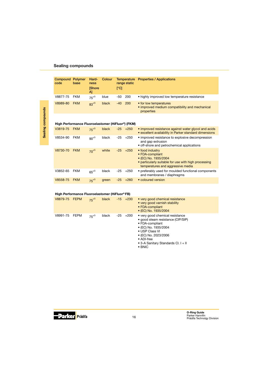Compound Polymer code base Hardness Colour Temperature Properties / Applications range static [Shore A]  $[°C]$ V8877-75 FKM  $75^{+5}$  blue -50 200 • highly improved low temperature resistance V8989-80 FKM  $83^{±5}$  black -40 200 • for low temperatures • improved medium compatibility and mechanical properties High Performance Fluoroelastomer (HiFluor®) (FKM) V3819-75 FKM  $75^{+5}$  black -25 +250 • improved resistance against water glycol and acids • excellent availability in Parker standard dimensions V8534-90 FKM  $90^{\pm 5}$  black -25 +250 • improved resistance to explosive decompression and gap extrusion • off-shore and petrochemical applications V8730-70 FKM  $70^{+5}$  white -25 +250 • food industry • FDA-compliant • (EC) No. 1935/2004 • particularly suitable for use with high processing temperatures and aggressive media V3852-65 FKM  $65^{+5}$  black -25 +250 • preferably used for moulded functional components and membranes / diaphragms V8558-75 FKM  $75^{+5}$  green -25 +260 • coloured version

#### High Performance Fluoroelastomer (HiFluor® FB)

| V8879-75 FEPM | $75^{+5}$ | black $-15 + 230$ |              | • very good chemical resistance<br>• very good varnish stability<br>• FDA-compliant<br>$\bullet$ (EC) No. 1935/2004               |
|---------------|-----------|-------------------|--------------|-----------------------------------------------------------------------------------------------------------------------------------|
| V8991-75 FEPM | $75^{+5}$ | black             | $-25$ $+200$ | • very good chemical resistance<br>• good steam resistance (CIP/SIP)<br>• FDA-compliant<br>• (EC) No. 1935/2004<br>• USP Class VI |

• (EC) No. 2023/2006

- ADI-free
- 3-A Sanitary Standards Cl. I + II

• BNIC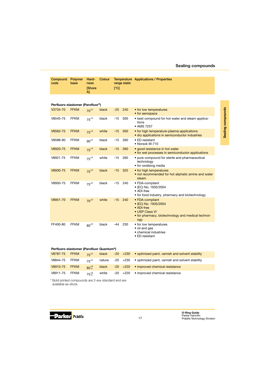| Compound<br>code                              | Polymer<br>base | Hard-<br>ness<br><b>Shore</b><br>A] | Colour | range static<br>[°C] |     | Temperature Applications / Properties                                                                                                |                   |
|-----------------------------------------------|-----------------|-------------------------------------|--------|----------------------|-----|--------------------------------------------------------------------------------------------------------------------------------------|-------------------|
| Perfluoro elastomer (Parofluor <sup>®</sup> ) |                 |                                     |        |                      |     |                                                                                                                                      |                   |
| V3734-70                                      | <b>FFKM</b>     | $70^{\pm 5}$                        | black  | $-25$                | 240 | • for low temperatures<br>• for aerospace                                                                                            |                   |
| V8545-75                                      | <b>FFKM</b>     | $75^{+5}$                           | black  | $-15$                | 300 | • best compound for hot water and steam applica-<br>tions<br>• AMS 7257                                                              | Sealing compounds |
| V8562-75                                      | <b>FFKM</b>     | $75^{\pm 5}$                        | white  | $-15$                | 300 | • for high temperature-plasma-applications<br>• dry applications in semiconductor industries                                         |                   |
| V8588-90                                      | <b>FFKM</b>     | $90^{\pm 5}$                        | black  | $-15$                | 260 | • ED resistant<br>• Norsok M-710                                                                                                     |                   |
| V8920-75                                      | <b>FFKM</b>     | $75^{\pm 5}$                        | black  | $-15$                | 260 | • good resistance in hot water<br>• for wet processes in semiconductor applications                                                  |                   |
| V8921-75                                      | <b>FFKM</b>     | $75^{\pm 5}$                        | white  | $-15$                | 260 | • pure compound for sterile and pharmaceutical<br>technology<br>• for oxidising media                                                |                   |
| V8930-75                                      | <b>FFKM</b>     | $75^{\pm 5}$                        | black  | $-15$                | 325 | • for high temperatures<br>• not recommended for hot aliphatic amine and water<br>steam                                              |                   |
| V8950-75                                      | <b>FFKM</b>     | $75^{+5}$                           | black  | $-15$                | 240 | • FDA-compliant<br>• (EC) No. 1935/2004<br>• ADI-free<br>• for food industry, pharmacy and biotechnology                             |                   |
| V8951-70                                      | <b>FFKM</b>     | $70^{\pm 5}$                        | white  | $-15$                | 240 | • FDA-compliant<br>• (EC) No. 1935/2004<br>• ADI-free<br>• USP Class VI<br>• for pharmacy, biotechnology and medical technol-<br>ogy |                   |
| FF400-80                                      | <b>FFKM</b>     | $80^{\pm5}$                         | black  | $-44$                | 230 | • for low temperatures<br>• oil and gas<br>• chemical industries<br>$\bullet$ ED resistant                                           |                   |

|               | Perfluoro elastomer (Parofluor Quantum <sup>®</sup> ) |  |  |  |  |                                                                         |  |  |  |  |
|---------------|-------------------------------------------------------|--|--|--|--|-------------------------------------------------------------------------|--|--|--|--|
| V8787-75 FFKM |                                                       |  |  |  |  | $75±5$ black -20 +230 • optimized paint, varnish and solvent stability  |  |  |  |  |
| V8844-75 FFKM |                                                       |  |  |  |  | $75±5$ nature -20 +230 • optimized paint, varnish and solvent stability |  |  |  |  |
| V8910-75 FFKM |                                                       |  |  |  |  | $80\frac{+8}{5}$ black -20 +220 • improved chemical resistance          |  |  |  |  |
| V8911-75 FFKM |                                                       |  |  |  |  | $75\frac{+8}{-5}$ white -20 +220 • improved chemical resistance         |  |  |  |  |

1) Bold printed compounds are 2-xxx standard and are available ex-stock.

| J, | ITA  |
|----|------|
| Ш  | мгап |
| ч, | Ш    |
|    |      |

17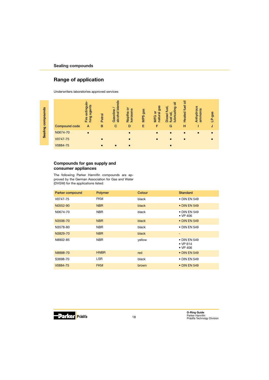# Range of application

Underwriters laboratories approved services

| compounds | <b>Compound code</b> | extinguis<br>w<br>ege<br>hing<br>Fire<br>A | Petrol<br>B | 将<br>ē<br>$\circ$<br>alcohol<br>Gasoli<br>C | o<br>φ<br>Naptha<br>kerose<br>D | gas<br><b>MPS</b><br>Е | gas<br>৯<br>natural<br>MFG<br>F | ᄛ<br>fuel,<br>lubricating<br>ᄛ<br><b>Diesel</b><br><b>Bu</b><br>G | ᄛ<br><b>Jeu</b><br>Heated<br>н | Anhydrous<br>ammonia | gas<br>$\Omega$<br>J |
|-----------|----------------------|--------------------------------------------|-------------|---------------------------------------------|---------------------------------|------------------------|---------------------------------|-------------------------------------------------------------------|--------------------------------|----------------------|----------------------|
| Sealing   | N0674-70             |                                            |             |                                             | $\bullet$                       |                        | $\bullet$                       | $\bullet$                                                         | $\bullet$                      | $\bullet$            | $\bullet$            |
|           | V0747-75             |                                            |             |                                             |                                 |                        | $\bullet$                       | $\bullet$                                                         |                                |                      |                      |
|           | V0884-75             |                                            | $\bullet$   | $\bullet$                                   | $\bullet$                       |                        |                                 | $\bullet$                                                         |                                |                      |                      |

### Compounds for gas supply and consumer appliances

The following Parker Hannifin compounds are approved by the German Association for Gas and Water (DVGW) for the applications listed:

| Parker compound | Polymer     | Colour       | <b>Standard</b>                                              |
|-----------------|-------------|--------------|--------------------------------------------------------------|
| V0747-75        | <b>FKM</b>  | black        | • DIN EN 549                                                 |
| N0552-90        | <b>NBR</b>  | black        | • DIN EN 549                                                 |
| N0674-70        | <b>NBR</b>  | black        | $\bullet$ DIN EN 549<br>$\bullet$ VP 406                     |
| N3506-70        | <b>NBR</b>  | black        | • DIN EN 549                                                 |
| N3578-80        | <b>NBR</b>  | black        | • DIN EN 549                                                 |
| N3829-70        | <b>NBR</b>  | black        | $\overline{\phantom{0}}$                                     |
| N8902-85        | <b>NBR</b>  | yellow       | $\bullet$ DIN EN 549<br>$\bullet$ VP 614<br>$\bullet$ VP 406 |
| N8888-70        | <b>HNBR</b> | red          | • DIN EN 549                                                 |
| S3698-70        | <b>LSR</b>  | black        | • DIN EN 549                                                 |
| V0884-75        | <b>FKM</b>  | <b>brown</b> | • DIN EN 549                                                 |

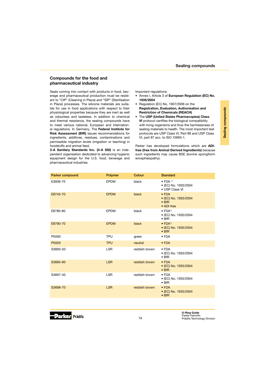#### Compounds for the food and pharmaceutical industry

Seals coming into contact with products in food, beverage and pharmaceutical production must be resistant to "CIP" (Cleaning in Place) and "SIP" (Sterilisation in Place) processes. The silicone materials are suitable for use in food applications with respect to their physiological properties because they are inert as well as odourless and tasteless. In addition to chemical and thermal resistance, the sealing compounds have to meet various national, European and international regulations. In Germany, The Federal Institute for Risk Assessment (BfR) issues recommendations for ingredients, additives, residues, contaminations and permissible migration levels (migration or leaching) in foodstuffs and animal feed.

3-A Sanitary Standards Inc. (3-A SSI) is an independent organisation dedicated to advancing hygienic equipment design for the U.S. food, beverage and pharmaceutical industries.

Important regulations:

- Annex I, Article 3 of European Regulation (EC) No. 1935/2004
- Regulation (EC) No. 1907/2006 on the Registration, Evaluation, Authorisation and Restriction of Chemicals (REACH)
- The USP (United States Pharmacopiea) Class VI protocol certifies the biological compatibility with living organisms and thus the harmlessness of sealing materials to health. The most important test protocols are USP Class VI, Part 88 and USP Class VI, part 87 acc. to ISO 10993-1.

Parker has developed formulations which are ADIfree (free from Animal Derived Ingredients) because such ingredients may cause BSE (bovine spongiform encephalopathy).

| Parker compound | Polymer     | Colour        | <b>Standard</b>                                                      |
|-----------------|-------------|---------------|----------------------------------------------------------------------|
| E3609-70        | <b>EPDM</b> | black         | $\bullet$ FDA $1$<br>• (EC) No. 1935/2004<br>• USP Class VI          |
| E8743-70        | <b>EPDM</b> | black         | $\bullet$ FDA<br>• (EC) No. 1935/2004<br>$\bullet$ BfR<br>• ADI-free |
| E8780-80        | <b>EPDM</b> | black         | $\bullet$ FDA <sup>1)</sup><br>• (EC) No. 1935/2004<br>$\bullet$ BfR |
| E8790-70        | <b>EPDM</b> | black         | $\bullet$ FDA <sup>1)</sup><br>• (EC) No. 1935/2004<br>$\bullet$ BfR |
| P5000           | <b>TPU</b>  | green         | $\bullet$ FDA                                                        |
| P5029           | <b>TPU</b>  | neutral       | $\bullet$ FDA                                                        |
| S3693-50        | <b>LSR</b>  | reddish brown | $\bullet$ FDA<br>• (EC) No. 1935/2004<br>$\bullet$ BfR               |
| S3695-60        | <b>LSR</b>  | reddish brown | $\bullet$ FDA<br>• (EC) No. 1935/2004<br>$\bullet$ BfR               |
| S3697-40        | <b>LSR</b>  | reddish brown | $\bullet$ FDA<br>• (EC) No. 1935/2004<br>$\bullet$ BfR               |
| S3698-70        | <b>LSR</b>  | reddish brown | $\bullet$ FDA<br>• (EC) No. 1935/2004<br>$\bullet$ BfR               |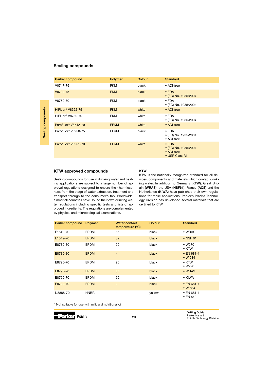| Parker compound                 | Polymer     | Colour | <b>Standard</b>                                                       |
|---------------------------------|-------------|--------|-----------------------------------------------------------------------|
| V0747-75                        | <b>FKM</b>  | black  | $\bullet$ ADI-free                                                    |
| V8722-75                        | <b>FKM</b>  | black  | $\bullet$ FDA<br>• (EC) No. 1935/2004                                 |
| V8750-70                        | <b>FKM</b>  | black  | $\bullet$ FDA<br>• (EC) No. 1935/2004                                 |
| HiFluor <sup>®</sup> V8522-75   | <b>FKM</b>  | white  | • ADI-free                                                            |
| HiFluor <sup>®</sup> V8730-70   | <b>FKM</b>  | white  | $\bullet$ FDA<br>• (EC) No. 1935/2004                                 |
| Parofluor <sup>®</sup> V8742-70 | <b>FFKM</b> | white  | $\bullet$ ADI-free                                                    |
| Parofluor <sup>®</sup> V8950-75 | <b>FFKM</b> | black  | $\bullet$ FDA<br>• (EC) No. 1935/2004<br>• ADI-free                   |
| Parofluor <sup>®</sup> V8951-70 | <b>FFKM</b> | white  | $\bullet$ FDA<br>• (EC) No. 1935/2004<br>• ADI-free<br>• USP Class VI |

### KTW approved compounds

Sealing compounds for use in drinking water and heating applications are subject to a large number of approval regulations designed to ensure their harmlessness from the stage of water extraction, treatment and transport through to the consumer's tap. Worldwide, almost all countries have issued their own drinking water regulations including specific tests and lists of approved ingredients. The regulations are complemented by physical and microbiological examinations.

#### KTW:

KTW is the nationally recognized standard for all devices, components and materials which contact drinking water. In addition to Germany (KTW), Great Britain (WRAS), the USA (NSF61), France (ACS) and the Netherlands (KIWA) have published their own regulations for these applications. Parker's Prädifa Technology Division has developed several materials that are certified to KTW.

| Parker compound Polymer |             | <b>Water contact</b><br>temperature $(^{\circ}C)$ | Colour | <b>Standard</b>                             |
|-------------------------|-------------|---------------------------------------------------|--------|---------------------------------------------|
| E1549-70                | <b>EPDM</b> | 85                                                | black  | $\bullet$ WRAS                              |
| E1549-70                | <b>EPDM</b> | 82                                                | black  | $\bullet$ NSF 61                            |
| E8780-80                | <b>EPDM</b> | 90                                                | black  | $\bullet$ W <sub>270</sub><br>$\bullet$ KTW |
| E8780-80                | <b>EPDM</b> | -                                                 | black  | $\bullet$ EN 681-1<br>$\bullet$ W 534       |
| E8790-70                | <b>EPDM</b> | 90                                                | black  | $\bullet$ KTW<br>$\bullet$ W270             |
| E8790-70                | <b>EPDM</b> | 85                                                | black  | $\bullet$ WRAS                              |
| E8790-70                | <b>EPDM</b> | 90                                                | black  | $\bullet$ KIWA                              |
| E8790-70                | <b>EPDM</b> | -                                                 | black  | $\bullet$ EN 681-1<br>$\bullet$ W 534       |
| N8888-70                | <b>HNBR</b> | $\qquad \qquad \blacksquare$                      | yellow | $\bullet$ EN 681-1<br>$\bullet$ EN 549      |

1) Not suitable for use with milk and nutritional oil

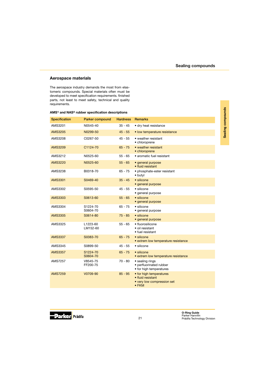Sealing compounds

### Aerospace materials

The aerospace industry demands the most from elastomeric compounds. Special materials often must be developed to meet specification requirements. finished parts, not least to meet safety, technical and quality requirements.

| <b>Specification</b> | Parker compound      | <b>Hardness</b> | <b>Remarks</b>                                                                              |
|----------------------|----------------------|-----------------|---------------------------------------------------------------------------------------------|
| AMS3201              | N0545-40             | $35 - 45$       | • dry heat resistance                                                                       |
| <b>AMS3205</b>       | N0299-50             | $45 - 55$       | • low temperature resistance                                                                |
| AMS3208              | C0267-50             | 45 - 55         | • weather resistant<br>• chloroprene                                                        |
| <b>AMS3209</b>       | C1124-70             | $65 - 75$       | • weather resistant<br>• chloroprene                                                        |
| AMS3212              | N0525-60             | $55 - 65$       | • aromatic fuel resistant                                                                   |
| <b>AMS3220</b>       | N0525-60             | $55 - 65$       | • general purpose<br>• fluid resistant                                                      |
| AMS3238              | B0318-70             | $65 - 75$       | • phosphate-ester resistant<br>• butyl                                                      |
| <b>AMS3301</b>       | S0469-40             | $35 - 45$       | • silicone<br>• general purpose                                                             |
| AMS3302              | S0595-50             | 45 - 55         | • silicone<br>· general purpose                                                             |
| <b>AMS3303</b>       | S0613-60             | $55 - 65$       | • silicone<br>• general purpose                                                             |
| AMS3304              | S1224-70<br>S0604-70 | $65 - 75$       | • silicone<br>• general purpose                                                             |
| <b>AMS3305</b>       | S0614-80             | $75 - 85$       | • silicone<br>· general purpose                                                             |
| AMS3325              | L1223-60<br>LM152-60 | $55 - 65$       | • fluorosilicone<br>• oil resistant<br>• fuel resistant                                     |
| <b>AMS3337</b>       | S0383-70             | $65 - 75$       | • silicone<br>• extrem low temperature resistance                                           |
| AMS3345              | S0899-50             | $45 - 55$       | · silicone                                                                                  |
| <b>AMS3357</b>       | S1224-70<br>S0604-70 | $65 - 75$       | • silicone<br>• extrem low temperature resistance                                           |
| <b>AMS7257</b>       | V8545-75<br>FF200-75 | $70 - 80$       | • sealing rings<br>• perfluorinated rubber<br>• for high temperatures                       |
| <b>AMS7259</b>       | V0709-90             | $85 - 95$       | • for high temperatures<br>• fluid resistant<br>• very low compression set<br>$\bullet$ FKM |

 $AMS<sup>1</sup>$  and  $NAS<sup>2</sup>$  rubber specification descriptions

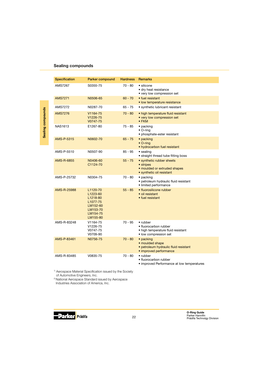Specification Parker compound Hardness Remarks

| g |  |
|---|--|
|   |  |
|   |  |
|   |  |
|   |  |
|   |  |
| ٥ |  |
|   |  |
| ٠ |  |
|   |  |
|   |  |
|   |  |
| ø |  |
|   |  |
|   |  |
|   |  |

| <b>AMS7267</b>    | S0355-75                                                                                     | 70 - 80   | • silicone<br>· dry heat resistance<br>• very low compression set                                   |
|-------------------|----------------------------------------------------------------------------------------------|-----------|-----------------------------------------------------------------------------------------------------|
| <b>AMS7271</b>    | N0506-65                                                                                     | $60 - 70$ | • fuel resistant<br>• low temperature resistance                                                    |
| <b>AMS7272</b>    | N0287-70                                                                                     | $65 - 75$ | • synthetic lubricant resistant                                                                     |
| <b>AMS7276</b>    | V1164-75<br>V1226-75<br>V0747-75                                                             | $70 - 80$ | • high temperature fluid resistant<br>• very low compression set<br>$\bullet$ FKM                   |
| <b>NAS1613</b>    | E1267-80                                                                                     | 75 - 85   | • packing<br>$\bullet$ O-ring<br>· phosphate-ester resistant                                        |
| AMS-P-5315        | N0602-70                                                                                     | $65 - 75$ | • packing<br>$\bullet$ O-ring<br>• hydrocarbon fuel resistant                                       |
| AMS-P-5510        | N0507-90                                                                                     | $85 - 95$ | • sealing<br>• straight thread tube fitting boss                                                    |
| <b>AMS-R-6855</b> | N0406-60<br>C1124-70                                                                         | $55 - 75$ | • synthetic rubber sheets<br>• stripes<br>• moulded or extruded shapes<br>• synthetic oil resistant |
| AMS-P-25732       | N0304-75                                                                                     | 70 - 80   | • packing<br>· petroleum hydraulic fluid resistant<br>· limited performance                         |
| AMS-R-25988       | L1120-70<br>L1223-60<br>L1218-80<br>L1077-75<br>LM152-60<br>LM153-70<br>LM154-75<br>LM155-80 | $55 - 85$ | • fluorosilicone rubber<br>• oil resistant<br>• fuel resistant                                      |
| AMS-R-83248       | V1164-75<br>V1226-75<br>V0747-75<br>V0709-90                                                 | 70 - 95   | • rubber<br>• fluorocarbon rubber<br>• high temperature fluid resistant<br>• low compression set    |
| AMS-P-83461       | N0756-75                                                                                     | $70 - 80$ | • packing<br>• moulded shape<br>• petroleum hydraulic fluid resistant<br>• improved performance     |
| AMS-R-83485       | V0835-75                                                                                     | 70 - 80   | • rubber<br>• fluorocarbon rubber                                                                   |

1) Aerospace Material Specification issued by the Society of Automotive Engineers, Inc.

2) National Aerospace Standard issued by Aerospace

Industries Association of America, Inc.



O-Ring Guide Parker Hannifin Prädifa Technolgy Division

• improved Performance at low temperatures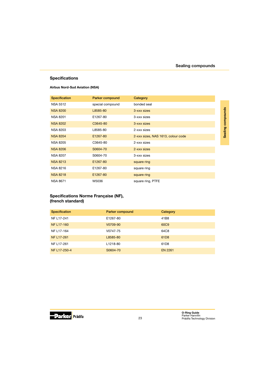# Specifications

Airbus Nord-Sud Aviation (NSA)

| <b>Specification</b> | Parker compound  | Category                           |                |
|----------------------|------------------|------------------------------------|----------------|
| <b>NSA 5512</b>      | special compound | bonded seal                        |                |
| <b>NSA 8200</b>      | L8585-80         | 3-xxx sizes                        | compounds      |
| <b>NSA 8201</b>      | E1267-80         | 3-xxx sizes                        |                |
| <b>NSA 8202</b>      | C3645-80         | 3-xxx sizes                        |                |
| <b>NSA 8203</b>      | L8585-80         | 2-xxx sizes                        | <b>Sealing</b> |
| <b>NSA 8204</b>      | E1267-80         | 2-xxx sizes, NAS 1613, colour code |                |
| <b>NSA 8205</b>      | C3645-80         | 2-xxx sizes                        |                |
| <b>NSA 8206</b>      | S0604-70         | 2-xxx sizes                        |                |
| <b>NSA 8207</b>      | S0604-70         | 3-xxx sizes                        |                |
| <b>NSA 8213</b>      | E1267-80         | square ring                        |                |
| <b>NSA 8216</b>      | E1267-80         | square ring                        |                |
| <b>NSA 8218</b>      | E1267-80         | square ring                        |                |
| <b>NSA 8671</b>      | W5036            | square ring, PTFE                  |                |

#### Specifications Norme Française (NF), (french standard)

| <b>Specification</b>    | Parker compound | Category         |
|-------------------------|-----------------|------------------|
| NF L17-241              | E1267-80        | 41B8             |
| NF L <sub>17</sub> -160 | V0709-90        | 60C <sub>9</sub> |
| NF L17-164              | V0747-75        | 64C8             |
| NF L17-261              | L8585-80        | 61D <sub>8</sub> |
| NF L17-261              | L1218-80        | 61D8             |
| NF L17-250-4            | S0604-70        | <b>EN 2261</b>   |

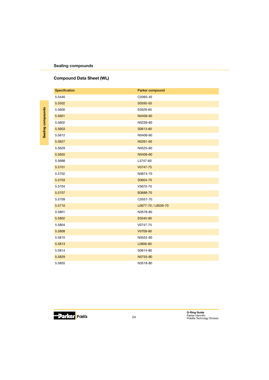# Compound Data Sheet (WL)

|                   | Specification | Parker compound     |
|-------------------|---------------|---------------------|
|                   | 5.5440        | C0365-45            |
|                   | 5.5502        | S0595-50            |
|                   | 5.5600        | E0529-65            |
|                   | 5.5601        | N0406-60            |
|                   | 5.5602        | N0239-60            |
| Sealing compounds | 5.5603        | S0613-60            |
|                   | 5.5612        | N0406-60            |
|                   | 5.5627        | N0261-65            |
|                   | 5.5629        | N0525-60            |
|                   | 5.5655        | N0406-60            |
|                   | 5.5688        | L3747-60            |
|                   | 5.5701        | V0747-75            |
|                   | 5.5702        | N0674-70            |
|                   | 5.5703        | S0604-70            |
|                   | 5.5704        | V3670-70            |
|                   | 5.5707        | B3688-70            |
|                   | 5.5709        | C0557-70            |
|                   | 5.5710        | L0677-70 / L8559-70 |
|                   | 5.5801        | N3578-80            |
|                   | 5.5802        | E0540-80            |
|                   | 5.5804        | V0747-75            |
|                   | 5.5808        | V0709-90            |
|                   | 5.5810        | N0552-90            |
|                   | 5.5813        | L0806-80            |
|                   | 5.5814        | S0614-80            |
|                   | 5.5829        | N0755-80            |
|                   | 5.5855        | N3518-80            |

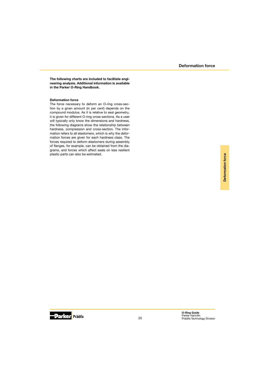#### Deformation force

The following charts are included to facilitate engineering analysis. Additional information is available in the Parker O-Ring Handbook.

#### Deformation force

The force necessary to deform an O-ring cross-section by a given amount (in per cent) depends on the compound modulus. As it is relative to seal geometry, it is given for different O-ring cross-sections. As a user will typically only know the dimensions and hardness, the following diagrams show the relationship between hardness, compression and cross-section. The information refers to all elastomers, which is why the deformation forces are given for each hardness class. The forces required to deform elastomers during assembly of flanges, for example, can be obtained from the diagrams, and forces which affect seals on less resilient plastic parts can also be estimated.

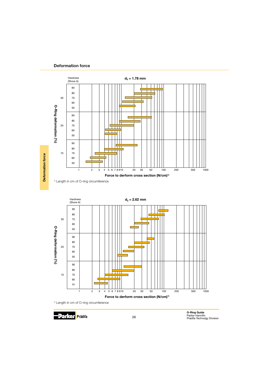





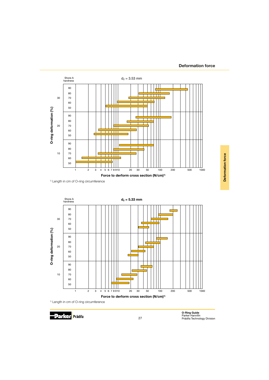Deformation force



**Deformation force** Deformation force

1) Length in cm of O-ring circumference



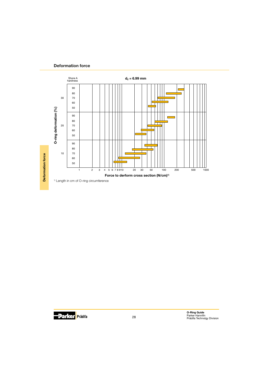

#### Deformation force

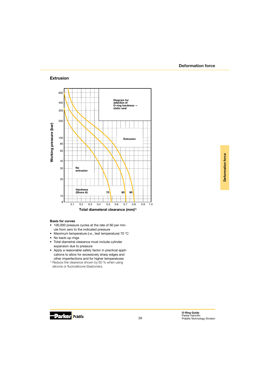### Extrusion



#### Basis for curves

- 100,000 pressure cycles at the rate of 60 per minute from zero to the indicated pressure
- Maximum temperature (i.e., test temperature) 70 °C
- No back-up rings
- Total diametral clearance must include cylinder
- expansion due to pressure • Apply a reasonable safety factor in practical applications to allow for excessively sharp edges and other imperfections and for higher temperatures
- 1) Reduce the clearance shown by 60 % when using silicone or fluorosilicone Elastomers.

**- Parker** Prädifa

29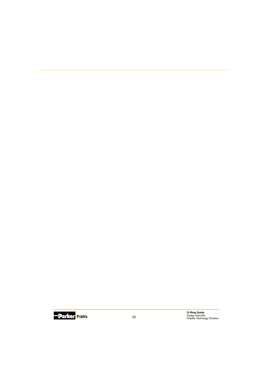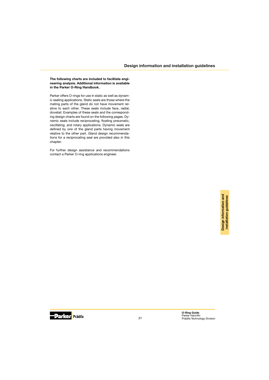The following charts are included to facilitate engineering analysis. Additional information is available in the Parker O-Ring Handbook.

Parker offers O-rings for use in static as well as dynamic sealing applications. Static seals are those where the mating parts of the gland do not have movement relative to each other. These seals include face, radial, dovetail. Examples of these seals and the corresponding design charts are found on the following pages. Dynamic seals include reciprocating, floating pneumatic, oscillating, and rotary applications. Dynamic seals are defined by one of the gland parts having movement relative to the other part. Gland design recommendations for a reciprocating seal are provided also in this chapter.

For further design assistance and recommendations contact a Parker O-ring applications engineer.

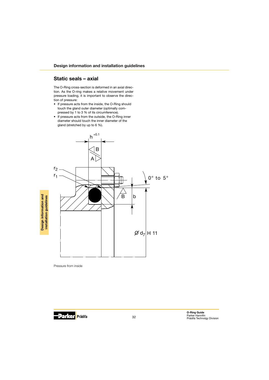# Static seals – axial

The O-Ring cross-section is deformed in an axial direction. As the O-ring makes a relative movement under pressure loading, it is important to observe the direction of pressure:

- If pressure acts from the inside, the O-Ring should touch the gland outer diameter (optimally compressed by 1 to 3 % of its circumference).
- If pressure acts from the outside, the O-Ring inner diameter should touch the inner diameter of the gland (stretched by up to 6 %).



Pressure from inside

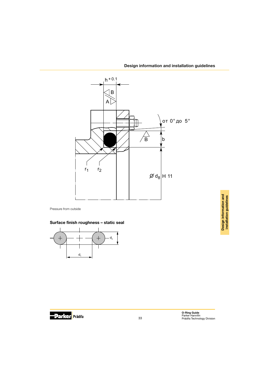

Pressure from outside

# Surface finish roughness - static seal



**-Parker** Prädifa

33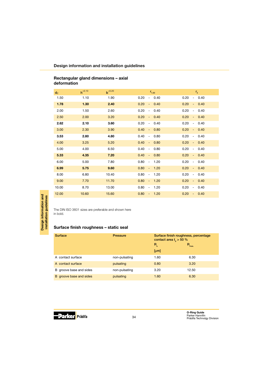#### Rectangular gland dimensions – axial deformation

| d <sub>2</sub> | $h^{+0.10}$ | $b^{+0.20}$ |      |                          | $r_{1.00}$ |      |                          | $r_{2}$ |
|----------------|-------------|-------------|------|--------------------------|------------|------|--------------------------|---------|
| 1.50           | 1.10        | 1.90        | 0.20 | $\overline{\phantom{a}}$ | 0.40       | 0.20 | $\overline{\phantom{a}}$ | 0.40    |
| 1.78           | 1.30        | 2.40        | 0.20 | $\overline{\phantom{a}}$ | 0.40       | 0.20 | $\overline{\phantom{a}}$ | 0.40    |
| 2.00           | 1.50        | 2.60        | 0.20 | $\qquad \qquad -$        | 0.40       | 0.20 | $\overline{\phantom{a}}$ | 0.40    |
| 2.50           | 2.00        | 3.20        | 0.20 | $\overline{\phantom{a}}$ | 0.40       | 0.20 | $\overline{\phantom{a}}$ | 0.40    |
| 2.62           | 2.10        | 3.60        | 0.20 | $\overline{\phantom{a}}$ | 0.40       | 0.20 | $\overline{\phantom{a}}$ | 0.40    |
| 3.00           | 2.30        | 3.90        | 0.40 | $\overline{\phantom{a}}$ | 0.80       | 0.20 | $\overline{\phantom{a}}$ | 0.40    |
| 3.53           | 2.80        | 4.80        | 0.40 | $\overline{\phantom{a}}$ | 0.80       | 0.20 | $\overline{\phantom{a}}$ | 0.40    |
| 4.00           | 3.25        | 5.20        | 0.40 | $\overline{\phantom{a}}$ | 0.80       | 0.20 | $\overline{\phantom{a}}$ | 0.40    |
| 5.00           | 4.00        | 6.50        | 0.40 | $\overline{\phantom{a}}$ | 0.80       | 0.20 | $\overline{\phantom{a}}$ | 0.40    |
| 5.33           | 4.35        | 7.20        | 0.40 | $\overline{\phantom{a}}$ | 0.80       | 0.20 | $\overline{\phantom{a}}$ | 0.40    |
| 6.00           | 5.00        | 7.80        | 0.80 | $\overline{\phantom{0}}$ | 1.20       | 0.20 | $\overline{\phantom{a}}$ | 0.40    |
| 6.99           | 5.75        | 9.60        | 0.80 | $\overline{\phantom{a}}$ | 1.20       | 0.20 | $\overline{\phantom{a}}$ | 0.40    |
| 8.00           | 6.80        | 10.40       | 0.80 | $\overline{\phantom{0}}$ | 1.20       | 0.20 | $\overline{\phantom{a}}$ | 0.40    |
| 9.00           | 7.70        | 11.70       | 0.80 | ÷,                       | 1.20       | 0.20 | $\overline{\phantom{a}}$ | 0.40    |
| 10.00          | 8.70        | 13.00       | 0.80 | $\overline{\phantom{0}}$ | 1.20       | 0.20 | $\overline{\phantom{a}}$ | 0.40    |
| 12.00          | 10.60       | 15.60       | 0.80 | ÷,                       | 1.20       | 0.20 | $\overline{\phantom{a}}$ | 0.40    |

The DIN ISO 3601 sizes are preferable and shown here in bold.

# Surface finish roughness – static seal

| Surface                 | Surface finish roughness, percentage<br>Pressure<br>contact area $t_{\rm s}$ > 50 % |         |                  |
|-------------------------|-------------------------------------------------------------------------------------|---------|------------------|
|                         |                                                                                     | $B_{a}$ | $R_{\text{max}}$ |
|                         |                                                                                     | [µm]    |                  |
| A contact surface       | non-pulsating                                                                       | 1.60    | 6.30             |
| A contact surface       | pulsating                                                                           | 0.80    | 3.20             |
| B groove base and sides | non-pulsating                                                                       | 3.20    | 12.50            |
| B groove base and sides | pulsating                                                                           | 1.60    | 6.30             |

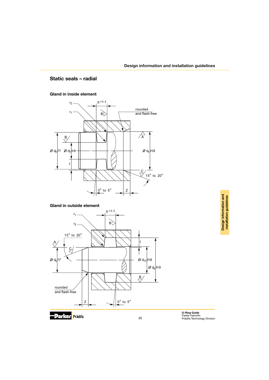# Static seals – radial





## Gland in outside element



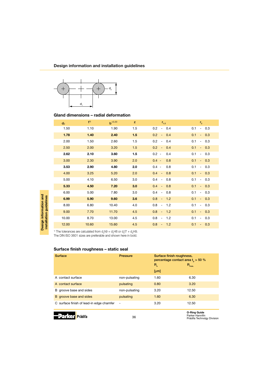

Gland dimensions – radial deformation

| d <sub>2</sub> | $t^{1}$ | $h^{+0.20}$ | z   | $r_{1,0}$                | r <sub>2</sub>                             |
|----------------|---------|-------------|-----|--------------------------|--------------------------------------------|
| 1.50           | 1.10    | 1.90        | 1.5 | 0.2<br>$-0.4$            | 0.1<br>0.3<br>$\sim$                       |
| 1.78           | 1.40    | 2.40        | 1.5 | 0.2<br>$-0.4$            | 0.1<br>$-0.3$                              |
| 2.00           | 1.50    | 2.60        | 1.5 | 0.2<br>0.4<br>$\sim$ $-$ | 0.1<br>$-0.3$                              |
| 2.50           | 2.00    | 3.20        | 1.5 | $0.2 - 0.4$              | 0.1<br>$-0.3$                              |
| 2.62           | 2.10    | 3.60        | 1.5 | $0.2 -$<br>0.4           | 0.1<br>0.3<br>$\sim$                       |
| 3.00           | 2.30    | 3.90        | 2.0 | $0.4 -$<br>0.8           | 0.1<br>$-0.3$                              |
| 3.53           | 2.90    | 4.80        | 2.0 | $0.4 -$<br>0.8           | 0.1<br>$-0.3$                              |
| 4.00           | 3.25    | 5.20        | 2.0 | $0.4 - 0.8$              | 0.1<br>$-0.3$                              |
| 5.00           | 4.10    | 6.50        | 3.0 | $0.4 - 0.8$              | 0.1<br>$-0.3$                              |
| 5.33           | 4.50    | 7.20        | 3.0 | $0.4 - 0.8$              | 0.1<br>$-0.3$                              |
| 6.00           | 5.00    | 7.80        | 3.0 | 0.4<br>0.8<br>$\sim$     | 0.1<br>0.3<br>$\mathcal{L}_{\mathrm{eff}}$ |
| 6.99           | 5.90    | 9.60        | 3.6 | 0.8<br>$-1.2$            | 0.1<br>$-0.3$                              |
| 8.00           | 6.80    | 10.40       | 4.0 | 0.8<br>$-1.2$            | 0.1<br>$-0.3$                              |
| 9.00           | 7.70    | 11.70       | 4.5 | $0.8 - 1.2$              | 0.1<br>$-0.3$                              |
| 10.00          | 8.70    | 13.00       | 4.5 | $0.8 - 1.2$              | 0.1<br>0.3<br>$\sim$                       |
| 12.00          | 10.60   | 15.60       | 4.5 | 0.8<br>$-1.2$            | 0.1<br>$-0.3$                              |

<sup>1)</sup> The tolerances are calculated from  $d_3$ h $9 + d_4$ H $8$  or  $d_5$ f $7 + d_6$ H $9$ . The DIN ISO 3601 sizes are preferable and shown here in bold.

## Surface finish roughness – static seal

| Surface                                  | Pressure       | Surface finish roughness,<br>percentage contact area $t_{\rm s}$ > 50 % |                  |  |
|------------------------------------------|----------------|-------------------------------------------------------------------------|------------------|--|
|                                          |                | $R_a$                                                                   | $R_{\text{max}}$ |  |
|                                          |                | [µm]                                                                    |                  |  |
| A contact surface                        | non-pulsating  | 1.60                                                                    | 6.30             |  |
| A contact surface                        | pulsating      | 0.80                                                                    | 3.20             |  |
| B groove base and sides                  | non-pulsating  | 3.20                                                                    | 12.50            |  |
| B groove base and sides                  | pulsating      | 1.60                                                                    | 6.30             |  |
| C surface finish of lead-in edge chamfer | $\overline{a}$ | 3.20                                                                    | 12.50            |  |

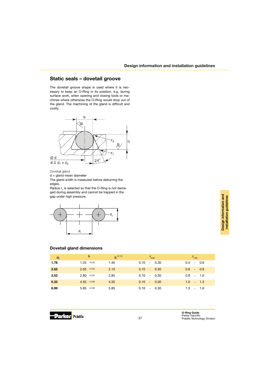## Static seals – dovetail groove

The dovetail groove shape is used where it is necessary to keep an O-Ring in its position, e.g. during surface work, when opening and closing tools or machines where otherwise the O-Ring would drop out of the gland. The machining of the gland is difficult and costly.



Dovetail gland

d = gland mean diameter The gland width is measured before deburring the edges.

Radius  $r_{2}$  is selected so that the O-Ring is not damaged during assembly and cannot be trapped in the gap under high pressure.



# Design information and<br>installation guidelines Design information and installation guidelines

#### Dovetail gland dimensions

| $d_2$ | h             | $b^{+0.10}$ | $r_{2.00}$    | $r_{1.00}$  |
|-------|---------------|-------------|---------------|-------------|
| 1.78  | $1.25 + 0.05$ | 1.40        | $0.10 - 0.30$ | $0.4 - 0.6$ |
| 2.62  | $2.05 + 0.05$ | 2.10        | $0.10 - 0.30$ | $0.6 - 0.8$ |
| 3.53  | $2.80 + 0.05$ | 2.85        | $0.10 - 0.30$ | $0.8 - 1.0$ |
| 5.33  | $4.55 + 0.08$ | 4.35        | $0.10 - 0.30$ | $1.0 - 1.3$ |
| 6.99  | $5.85 + 0.08$ | 5.85        | $0.10 - 0.30$ | $1.3 - 1.6$ |

|  | <br>12<br>- 12<br>ш |
|--|---------------------|
|--|---------------------|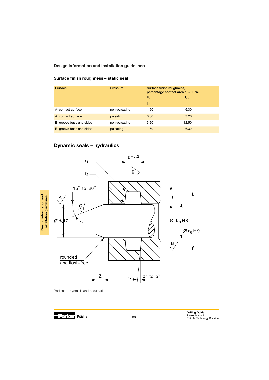## Design information and installation guidelines

## Surface finish roughness – static seal

| <b>Surface</b>          | <b>Pressure</b> | Surface finish roughness,<br>percentage contact area $t_{\text{g}} > 50$ % |                  |
|-------------------------|-----------------|----------------------------------------------------------------------------|------------------|
|                         |                 | $R_a$                                                                      | $R_{\text{max}}$ |
|                         |                 | [µm]                                                                       |                  |
| A contact surface       | non-pulsating   | 1.60                                                                       | 6.30             |
| A contact surface       | pulsating       | 0.80                                                                       | 3.20             |
| B groove base and sides | non-pulsating   | 3.20                                                                       | 12.50            |
| B groove base and sides | pulsating       | 1.60                                                                       | 6.30             |

# Dynamic seals – hydraulics



Rod seal – hydraulic and pneumatic

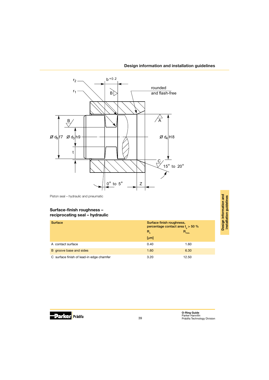

## Design information and installation guidelines

Piston seal – hydraulic and pneumatic

## Surface-finish roughness – reciprocating seal – hydraulic

| <b>Surface</b>                           | Surface finish roughness,<br>percentage contact area $t_{0} > 50$ % |       |
|------------------------------------------|---------------------------------------------------------------------|-------|
|                                          | $R_{\rm a}$<br>$R_{\text{max}}$                                     |       |
|                                          | [µm]                                                                |       |
| A contact surface                        | 0.40                                                                | 1.60  |
| B groove base and sides                  | 1.60                                                                | 6.30  |
| C surface finish of lead-in edge chamfer | 3.20                                                                | 12.50 |

**-Parker** Prädifa

39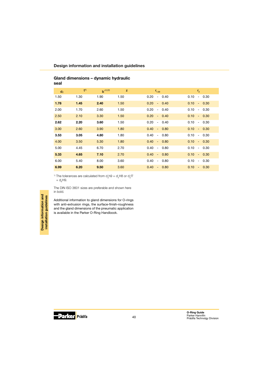#### Design information and installation guidelines

#### Gland dimensions – dynamic hydraulic seal

| d <sub>2</sub> | $t^{(1)}$ | $b^{+0.20}$ | z    | $r_{1.00}$                               | r <sub>2</sub>  |
|----------------|-----------|-------------|------|------------------------------------------|-----------------|
| 1.50           | 1.30      | 1.90        | 1.50 | 0.20<br>0.40<br>$\sim$                   | 0.10<br>$-0.30$ |
| 1.78           | 1.45      | 2.40        | 1.50 | 0.20<br>$-0.40$                          | $0.10 - 0.30$   |
| 2.00           | 1.70      | 2.60        | 1.50 | 0.20<br>0.40<br>$\sim$                   | $0.10 - 0.30$   |
| 2.50           | 2.10      | 3.30        | 1.50 | 0.20<br>$-0.40$                          | $0.10 - 0.30$   |
| 2.62           | 2.20      | 3.60        | 1.50 | 0.20<br>0.40<br>$\sim$                   | $0.10 - 0.30$   |
| 3.00           | 2.60      | 3.90        | 1.80 | 0.40<br>$-0.80$                          | $0.10 - 0.30$   |
| 3.53           | 3.05      | 4.80        | 1.80 | 0.40<br>0.80<br>$\sim$                   | $0.10 - 0.30$   |
| 4.00           | 3.50      | 5.30        | 1.80 | 0.40<br>$-0.80$                          | $0.10 - 0.30$   |
| 5.00           | 4.45      | 6.70        | 2.70 | 0.40<br>0.80<br>$\overline{\phantom{a}}$ | 0.10<br>$-0.30$ |
| 5.33           | 4.65      | 7.10        | 2.70 | 0.40<br>$-0.80$                          | $0.10 - 0.30$   |
| 6.00           | 5.40      | 8.00        | 3.60 | 0.40<br>0.80<br>$\sim$                   | $0.10 - 0.30$   |
| 6.99           | 6.20      | 9.50        | 3.60 | 0.40<br>0.80<br>$\sim$                   | $0.10 - 0.30$   |

<sup>1)</sup> The tolerances are calculated from  $d_3h9 + d_4H8$  or  $d_5f7$ + d $_{\rm e}$ H9.

The DIN ISO 3601 sizes are preferable and shown here in bold.

Additional information to gland dimensions for O-rings with anti-extrusion rings, the surface-finish-roughness and the gland dimensions of the pneumatic application is available in the Parker O-Ring Handbook.

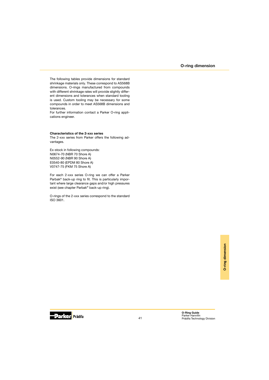The following tables provide dimensions for standard shrinkage materials only. These correspond to AS568B dimensions. O-rings manufactured from compounds with different shrinkage rates will provide slightly different dimensions and tolerances when standard tooling is used. Custom tooling may be necessary for some compounds in order to meet AS568B dimensions and tolerances.

For further information contact a Parker O-ring applications engineer.

#### Characteristics of the 2-xxx series

The 2-xxx series from Parker offers the following advantages.

Ex-stock in following compounds: N0674-70 (NBR 70 Shore A) N0552-90 (NBR 90 Shore A) E0540-80 (EPDM 80 Shore A) V0747-75 (FKM 75 Shore A)

For each 2-xxx series O-ring we can offer a Parker Parbak<sup>®</sup> back-up ring to fit. This is particularly important where large clearance gaps and/or high pressures exist (see chapter Parbak® back-up ring).

O-rings of the 2-xxx series correspond to the standard ISO 3601.

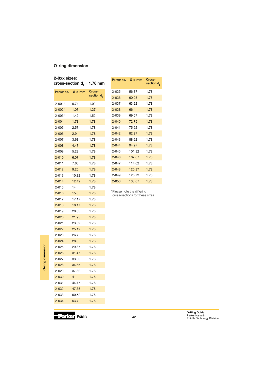| 2-0xx sizes: | cross-section $\mathsf{d}_{2}$ = 1.78 mm |                                  |
|--------------|------------------------------------------|----------------------------------|
|              | Parker no. Ø d mm                        | Cross-<br>section d <sub>2</sub> |
| $2 - 001*$   | 0.74                                     | 1.02                             |
| $2 - 002*$   | 1.07                                     | 1.27                             |
| $2 - 003*$   | 1.42                                     | 1.52                             |
| $2 - 004$    | 1.78                                     | 1.78                             |
| $2 - 005$    | 2.57                                     | 1.78                             |
| $2 - 006$    | 2.9                                      | 1.78                             |
| $2 - 007$    | 3.68                                     | 1.78                             |
| $2 - 008$    | 4.47                                     | 1.78                             |
| $2 - 009$    | 5.28                                     | 1.78                             |
| $2 - 010$    | 6.07                                     | 1.78                             |
| $2 - 011$    | 7.65                                     | 1.78                             |
| $2 - 012$    | 9.25                                     | 1.78                             |
| $2 - 013$    | 10.82                                    | 1.78                             |
| $2 - 014$    | 12.42                                    | 1.78                             |
| $2 - 015$    | 14                                       | 1.78                             |
| $2 - 016$    | 15.6                                     | 1.78                             |
| $2 - 017$    | 17.17                                    | 1.78                             |
| $2 - 018$    | 18.17                                    | 1.78                             |
| $2 - 019$    | 20.35                                    | 1.78                             |
| $2 - 020$    | 21.95                                    | 1.78                             |
| $2 - 021$    | 23.52                                    | 1.78                             |
| $2 - 022$    | 25.12                                    | 1.78                             |
| 2-023        | 26.7                                     | 1.78                             |
| $2 - 024$    | 28.3                                     | 1.78                             |
| $2 - 025$    | 29.87                                    | 1.78                             |
| $2 - 026$    | 31.47                                    | 1.78                             |
| $2 - 027$    | 33.05                                    | 1.78                             |
| 2-028        | 34.65                                    | 1.78                             |
| 2-029        | 37.82                                    | 1.78                             |
| 2-030        | 41                                       | 1.78                             |
| 2-031        | 44.17                                    | 1.78                             |
| $2 - 032$    | 47.35                                    | 1.78                             |
| 2-033        | 50.52                                    | 1.78                             |
| $2 - 034$    | 53.7                                     | 1.78                             |
|              |                                          |                                  |

**Extra de Prädifa** 

O-ring dimension

O-ring dimension

| Parker no. | Ø d mm | Cross-<br>section d. |
|------------|--------|----------------------|
| $2 - 0.35$ | 56.87  | 1.78                 |
| $2 - 036$  | 60.05  | 1.78                 |
| 2-037      | 63.22  | 1.78                 |
| $2 - 038$  | 66.4   | 1.78                 |
| $2 - 039$  | 69.57  | 1.78                 |
| $2 - 040$  | 72.75  | 1.78                 |
| $2 - 041$  | 75.92  | 1.78                 |
| $2 - 042$  | 82.27  | 1.78                 |
| $2 - 043$  | 88.62  | 1.78                 |
| $2 - 044$  | 94.97  | 1.78                 |
| $2 - 045$  | 101.32 | 1.78                 |
| $2 - 046$  | 107.67 | 1.78                 |
| $2 - 047$  | 114.02 | 1.78                 |
| $2 - 048$  | 120.37 | 1.78                 |
| $2 - 049$  | 126.72 | 1.78                 |
| $2 - 050$  | 133.07 | 1.78                 |

\* Please note the differing

cross-sections for these sizes.

O-Ring Guide Parker Hannifin Prädifa Technolgy Division

#### 42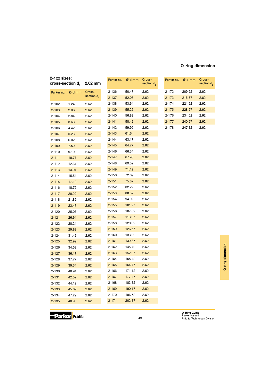| 2-1xx sizes:<br>cross-section $d2 = 2.62$ mm |       |                        |  | Parker no. | Ø d mm | Cross-<br>section d <sub>2</sub> |
|----------------------------------------------|-------|------------------------|--|------------|--------|----------------------------------|
| Parker no. Ø d mm                            |       | Cross-                 |  | 2-136      | 50.47  | 2.62                             |
|                                              |       | section d <sub>2</sub> |  | $2 - 137$  | 52.07  | 2.62                             |
| $2 - 102$                                    | 1.24  | 2.62                   |  | 2-138      | 53.64  | 2.62                             |
| $2 - 103$                                    | 2.06  | 2.62                   |  | 2-139      | 55.25  | 2.62                             |
| $2 - 104$                                    | 2.84  | 2.62                   |  | 2-140      | 56.82  | 2.62                             |
| $2 - 105$                                    | 3.63  | 2.62                   |  | $2 - 141$  | 58.42  | 2.62                             |
| 2-106                                        | 4.42  | 2.62                   |  | $2 - 142$  | 59.99  | 2.62                             |
| $2 - 107$                                    | 5.23  | 2.62                   |  | $2 - 143$  | 61.6   | 2.62                             |
| $2 - 108$                                    | 6.02  | 2.62                   |  | $2 - 144$  | 63.17  | 2.62                             |
| $2 - 109$                                    | 7.59  | 2.62                   |  | $2 - 145$  | 64.77  | 2.62                             |
| 2-110                                        | 9.19  | 2.62                   |  | $2 - 146$  | 66.34  | 2.62                             |
| $2 - 111$                                    | 10.77 | 2.62                   |  | $2 - 147$  | 67.95  | 2.62                             |
| $2 - 112$                                    | 12.37 | 2.62                   |  | 2-148      | 69.52  | 2.62                             |
| $2 - 113$                                    | 13.94 | 2.62                   |  | $2 - 149$  | 71.12  | 2.62                             |
| $2 - 114$                                    | 15.54 | 2.62                   |  | $2 - 150$  | 72.69  | 2.62                             |
| $2 - 115$                                    | 17.12 | 2.62                   |  | 2-151      | 75.87  | 2.62                             |
| $2 - 116$                                    | 18.72 | 2.62                   |  | $2 - 152$  | 82.22  | 2.62                             |
| $2 - 117$                                    | 20.29 | 2.62                   |  | $2 - 153$  | 88.57  | 2.62                             |
| $2 - 118$                                    | 21.89 | 2.62                   |  | 2-154      | 94.92  | 2.62                             |
| 2-119                                        | 23.47 | 2.62                   |  | $2 - 155$  | 101.27 | 2.62                             |
| 2-120                                        | 25.07 | 2.62                   |  | $2 - 156$  | 107.62 | 2.62                             |
| $2 - 121$                                    | 26.64 | 2.62                   |  | $2 - 157$  | 113.97 | 2.62                             |
| $2 - 122$                                    | 28.24 | 2.62                   |  | 2-158      | 120.32 | 2.62                             |
| $2 - 123$                                    | 29.82 | 2.62                   |  | $2 - 159$  | 126.67 | 2.62                             |
| 2-124                                        | 31.42 | 2.62                   |  | $2 - 160$  | 133.02 | 2.62                             |
| $2 - 125$                                    | 32.99 | 2.62                   |  | $2 - 161$  | 139.37 | 2.62                             |
| $2 - 126$                                    | 34.59 | 2.62                   |  | 2-162      | 145.72 | 2.62                             |
| $2 - 127$                                    | 36.17 | 2.62                   |  | 2-163      | 152.07 | 2.62                             |
| 2-128                                        | 37.77 | 2.62                   |  | 2-164      | 158.42 | 2.62                             |
| $2 - 129$                                    | 39.34 | 2.62                   |  | $2 - 165$  | 164.77 | 2.62                             |
| 2-130                                        | 40.94 | 2.62                   |  | $2 - 166$  | 171.12 | 2.62                             |
| 2-131                                        | 42.52 | 2.62                   |  | 2-167      | 177.47 | 2.62                             |
| 2-132                                        | 44.12 | 2.62                   |  | 2-168      | 183.82 | 2.62                             |
| 2-133                                        | 45.69 | 2.62                   |  | 2-169      | 190.17 | 2.62                             |
| 2-134                                        | 47.29 | 2.62                   |  | $2 - 170$  | 196.52 | 2.62                             |
| 2-135                                        | 48.9  | 2.62                   |  | $2 - 171$  | 202.87 | 2.62                             |

| Parker no. Ø d mm |        | Cross-<br>section d <sub>2</sub> |
|-------------------|--------|----------------------------------|
| $2 - 172$         | 209.22 | 2.62                             |
| $2 - 173$         | 215.57 | 2.62                             |
| $2 - 174$         | 221.92 | 2.62                             |
| $2 - 175$         | 228.27 | 2.62                             |
| $2 - 176$         | 234.62 | 2.62                             |
| $2 - 177$         | 240.97 | 2.62                             |
| $2 - 178$         | 247.32 | 2.62                             |

O-ring dimension O-ring dimension

**- Parker** Prädifa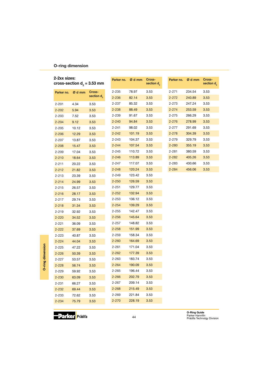| 2-2xx sizes: |                  | cross-section $d2 = 3.53$ mm | Parker no. | Ø d mm | Cross-<br>section d. |
|--------------|------------------|------------------------------|------------|--------|----------------------|
| Parker no.   | $\emptyset$ d mm | Cross-                       | $2 - 235$  | 78.97  | 3.53                 |
|              |                  | section d,                   | 2-236      | 82.14  | 3.53                 |
| $2 - 201$    | 4.34             | 3.53                         | 2-237      | 85.32  | 3.53                 |
| $2 - 202$    | 5.94             | 3.53                         | 2-238      | 88.49  | 3.53                 |
| 2-203        | 7.52             | 3.53                         | 2-239      | 91.67  | 3.53                 |
| $2 - 204$    | 9.12             | 3.53                         | 2-240      | 94.84  | 3.53                 |
| $2 - 205$    | 10.12            | 3.53                         | $2 - 241$  | 98.02  | 3.53                 |
| $2 - 206$    | 12.29            | 3.53                         | $2 - 242$  | 101.19 | 3.53                 |
| 2-207        | 13.87            | 3.53                         | 2-243      | 104.37 | 3.53                 |
| $2 - 208$    | 15.47            | 3.53                         | $2 - 244$  | 107.54 | 3.53                 |
| 2-209        | 17.04            | 3.53                         | $2 - 245$  | 110.72 | 3.53                 |
| $2 - 210$    | 18.64            | 3.53                         | $2 - 246$  | 113.89 | 3.53                 |
| $2 - 211$    | 20.22            | 3.53                         | 2-247      | 117.07 | 3.53                 |
| $2 - 212$    | 21.82            | 3.53                         | $2 - 248$  | 120.24 | 3.53                 |
| 2-213        | 23.39            | 3.53                         | 2-249      | 123.42 | 3.53                 |
| $2 - 214$    | 24.99            | 3.53                         | 2-250      | 126.59 | 3.53                 |
| $2 - 215$    | 26.57            | 3.53                         | 2-251      | 129.77 | 3.53                 |
| $2 - 216$    | 28.17            | 3.53                         | $2 - 252$  | 132.94 | 3.53                 |
| 2-217        | 29.74            | 3.53                         | $2 - 253$  | 136.12 | 3.53                 |
| $2 - 218$    | 31.34            | 3.53                         | $2 - 254$  | 139.29 | 3.53                 |
| 2-219        | 32.92            | 3.53                         | $2 - 255$  | 142.47 | 3.53                 |
| $2 - 220$    | 34.52            | 3.53                         | $2 - 256$  | 145.64 | 3.53                 |
| $2 - 221$    | 36.09            | 3.53                         | 2-257      | 148.82 | 3.53                 |
| $2 - 222$    | 37.69            | 3.53                         | $2 - 258$  | 151.99 | 3.53                 |
| 2-223        | 40.87            | 3.53                         | 2-259      | 158.34 | 3.53                 |
| $2 - 224$    | 44.04            | 3.53                         | 2-260      | 164.69 | 3.53                 |
| $2 - 225$    | 47.22            | 3.53                         | 2-261      | 171.04 | 3.53                 |
| $2 - 226$    | 50.39            | 3.53                         | $2 - 262$  | 177.39 | 3.53                 |
| 2-227        | 53.57            | 3.53                         | 2-263      | 183.74 | 3.53                 |
| 2-228        | 56.74            | 3.53                         | 2-264      | 190.09 | 3.53                 |
| 2-229        | 59.92            | 3.53                         | 2-265      | 196.44 | 3.53                 |
| 2-230        | 63.09            | 3.53                         | 2-266      | 202.79 | 3.53                 |
| 2-231        | 66.27            | 3.53                         | 2-267      | 209.14 | 3.53                 |
| 2-232        | 69.44            | 3.53                         | 2-268      | 215.49 | 3.53                 |
| 2-233        | 72.62            | 3.53                         | 2-269      | 221.84 | 3.53                 |
| $2 - 234$    | 75.79            | 3.53                         | 2-270      | 228.19 | 3.53                 |
|              |                  |                              |            |        |                      |

| Parker no. | Ød mm  | Cross-<br>section d <sub>2</sub> |
|------------|--------|----------------------------------|
| 2-271      | 234.54 | 3.53                             |
| $2 - 272$  | 240.89 | 3.53                             |
| 2-273      | 247.24 | 3.53                             |
| $2 - 274$  | 253.59 | 3.53                             |
| $2 - 275$  | 266.29 | 3.53                             |
| $2 - 276$  | 278.99 | 3.53                             |
| $2 - 277$  | 291.69 | 3.53                             |
| $2 - 278$  | 304.39 | 3.53                             |
| 2-279      | 329.79 | 3.53                             |
| 2-280      | 355.19 | 3.53                             |
| 2-281      | 380.59 | 3.53                             |
| 2-282      | 405.26 | 3.53                             |
| 2-283      | 430.66 | 3.53                             |
| $2 - 284$  | 456.06 | 3.53                             |
|            |        |                                  |

O-ring dimension

O-ring dimension

**- Parker** Prädifa

O-Ring Guide Parker Hannifin Prädifa Technolgy Division

44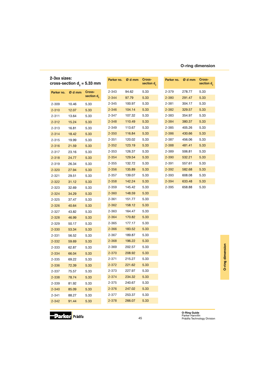| 2-3xx sizes: |        |                               |            |        | Cross-     |            |        | Cross-     |
|--------------|--------|-------------------------------|------------|--------|------------|------------|--------|------------|
|              |        | cross-section $d_2 = 5.33$ mm | Parker no. | Ø d mm | section d, | Parker no. | Ø d mm | section d, |
| Parker no.   | Ø d mm | Cross-                        | 2-343      | 94.62  | 5.33       | 2-379      | 278.77 | 5.33       |
|              |        | section d <sub>2</sub>        | 2-344      | 97.79  | 5.33       | 2-380      | 291.47 | 5.33       |
| 2-309        | 10.46  | 5.33                          | 2-345      | 100.97 | 5.33       | 2-381      | 304.17 | 5.33       |
| 2-310        | 12.07  | 5.33                          | 2-346      | 104.14 | 5.33       | 2-382      | 329.57 | 5.33       |
| 2-311        | 13.64  | 5.33                          | 2-347      | 107.32 | 5.33       | 2-383      | 354.97 | 5.33       |
| 2-312        | 15.24  | 5.33                          | 2-348      | 110.49 | 5.33       | 2-384      | 380.37 | 5.33       |
| 2-313        | 16.81  | 5.33                          | 2-349      | 113.67 | 5.33       | 2-385      | 405.26 | 5.33       |
| $2 - 314$    | 18.42  | 5.33                          | 2-350      | 116.84 | 5.33       | 2-386      | 430.66 | 5.33       |
| 2-315        | 19.99  | 5.33                          | 2-351      | 120.02 | 5.33       | 2-387      | 456.06 | 5.33       |
| 2-316        | 21.59  | 5.33                          | 2-352      | 123.19 | 5.33       | 2-388      | 481.41 | 5.33       |
| 2-317        | 23.16  | 5.33                          | 2-353      | 126.37 | 5.33       | 2-389      | 506.81 | 5.33       |
| $2 - 318$    | 24.77  | 5.33                          | 2-354      | 129.54 | 5.33       | 2-390      | 532.21 | 5.33       |
| 2-319        | 26.34  | 5.33                          | 2-355      | 132.72 | 5.33       | 2-391      | 557.61 | 5.33       |
| 2-320        | 27.94  | 5.33                          | $2 - 356$  | 135.89 | 5.33       | 2-392      | 582.68 | 5.33       |
| 2-321        | 29.51  | 5.33                          | 2-357      | 139.07 | 5.33       | 2-393      | 608.08 | 5.33       |
| 2-322        | 31.12  | 5.33                          | 2-358      | 142.24 | 5.33       | 2-394      | 633.48 | 5.33       |
| 2-323        | 32.69  | 5.33                          | 2-359      | 145.42 | 5.33       | 2-395      | 658.88 | 5.33       |
| 2-324        | 34.29  | 5.33                          | 2-360      | 148.59 | 5.33       |            |        |            |
| 2-325        | 37.47  | 5.33                          | 2-361      | 151.77 | 5.33       |            |        |            |
| 2-326        | 40.64  | 5.33                          | 2-362      | 158.12 | 5.33       |            |        |            |
| 2-327        | 43.82  | 5.33                          | 2-363      | 164.47 | 5.33       |            |        |            |
| 2-328        | 46.99  | 5.33                          | 2-364      | 170.82 | 5.33       |            |        |            |
| 2-329        | 50.17  | 5.33                          | 2-365      | 177.17 | 5.33       |            |        |            |
| 2-330        | 53.34  | 5.33                          | 2-366      | 183.52 | 5.33       |            |        |            |
| 2-331        | 56.52  | 5.33                          | 2-367      | 189.87 | 5.33       |            |        |            |
| 2-332        | 59.69  | 5.33                          | 2-368      | 196.22 | 5.33       |            |        |            |
| 2-333        | 62.87  | 5.33                          | 2-369      | 202.57 | 5.33       |            |        |            |
| 2-334        | 66.04  | 5.33                          | 2-370      | 208.92 | 5.33       |            |        |            |
| 2-335        | 69.22  | 5.33                          | 2-371      | 215.27 | 5.33       |            |        |            |
| 2-336        | 72.39  | 5.33                          | 2-372      | 221.62 | 5.33       |            |        |            |
| 2-337        | 75.57  | 5.33                          | 2-373      | 227.97 | 5.33       |            |        |            |
| 2-338        | 78.74  | 5.33                          | 2-374      | 234.32 | 5.33       |            |        |            |
| 2-339        | 81.92  | 5.33                          | 2-375      | 240.67 | 5.33       |            |        |            |
| 2-340        | 85.09  | 5.33                          | 2-376      | 247.02 | 5.33       |            |        |            |
| 2-341        | 88.27  | 5.33                          | 2-377      | 253.37 | 5.33       |            |        |            |
| 2-342        | 91.44  | 5.33                          | 2-378      | 266.07 | 5.33       |            |        |            |
|              |        |                               |            |        |            |            |        |            |

**- Parker** Prädifa

O-Ring Guide Parker Hannifin Prädifa Technology Division

O-ring dimension

O-ring dimension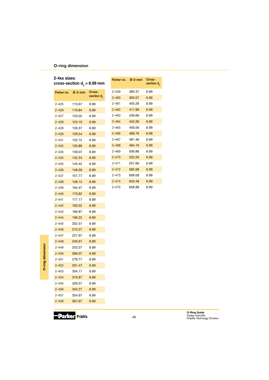| 2-4xx sizes: |        | cross-section $d_2 = 6.99$ mm | Parker no. | Ø d mm | Cross-<br>section |
|--------------|--------|-------------------------------|------------|--------|-------------------|
| Parker no.   | Ø d mm | Cross-                        | 2-459      | 380.37 | 6.99              |
|              |        | section d <sub>2</sub>        | 2-460      | 393.07 | 6.99              |
| 2-425        | 113.67 | 6.99                          | 2-461      | 405.26 | 6.99              |
| $2 - 426$    | 116.84 | 6.99                          | 2-462      | 417.96 | 6.99              |
| 2-427        | 120.02 | 6.99                          | 2-463      | 430.66 | 6.99              |
| $2 - 428$    | 123.19 | 6.99                          | 2-464      | 443.36 | 6.99              |
| 2-429        | 126.37 | 6.99                          | 2-465      | 456.06 | 6.99              |
| 2-430        | 129.54 | 6.99                          | 2-466      | 468.76 | 6.99              |
| 2-431        | 132.72 | 6.99                          | 2-467      | 481.46 | 6.99              |
| $2 - 432$    | 135.89 | 6.99                          | 2-468      | 494.16 | 6.99              |
| 2-433        | 139.07 | 6.99                          | 2-469      | 506.86 | 6.99              |
| 2-434        | 142.24 | 6.99                          | 2-470      | 532.26 | 6.99              |
| 2-435        | 145.42 | 6.99                          | 2-471      | 557.66 | 6.99              |
| $2 - 436$    | 148.59 | 6.99                          | 2-472      | 582.68 | 6.99              |
| 2-437        | 151.77 | 6.99                          | 2-473      | 608.08 | 6.99              |
| 2-438        | 158.12 | 6.99                          | 2-474      | 633.48 | 6.99              |
| 2-439        | 164.47 | 6.99                          | 2-475      | 658.88 | 6.99              |
| $2 - 440$    | 170.82 | 6.99                          |            |        |                   |
| 2-441        | 177.17 | 6.99                          |            |        |                   |
| $2 - 442$    | 183.52 | 6.99                          |            |        |                   |
| 2-443        | 189.87 | 6.99                          |            |        |                   |
| 2-444        | 196.22 | 6.99                          |            |        |                   |
| 2-445        | 202.57 | 6.99                          |            |        |                   |
| $2 - 446$    | 215.27 | 6.99                          |            |        |                   |
| 2-447        | 227.97 | 6.99                          |            |        |                   |
| $2 - 448$    | 240.67 | 6.99                          |            |        |                   |
| 2-449        | 253.37 | 6.99                          |            |        |                   |
| $2 - 450$    | 266.07 | 6.99                          |            |        |                   |
| 2-451        | 278.77 | 6.99                          |            |        |                   |
| $2 - 452$    | 291.47 | 6.99                          |            |        |                   |
| 2-453        | 304.17 | 6.99                          |            |        |                   |
| 2-454        | 316.87 | 6.99                          |            |        |                   |
| $2 - 455$    | 329.57 | 6.99                          |            |        |                   |
| 2-456        | 342.27 | 6.99                          |            |        |                   |
| 2-457        | 354.97 | 6.99                          |            |        |                   |
|              | 367.67 | 6.99                          |            |        |                   |

|           |        | section d, |
|-----------|--------|------------|
| $2 - 459$ | 380.37 | 6.99       |
| $2 - 460$ | 393.07 | 6.99       |
| $2 - 461$ | 405.26 | 6.99       |
| $2 - 462$ | 417.96 | 6.99       |
| 2-463     | 430.66 | 6.99       |
| $2 - 464$ | 443.36 | 6.99       |
| 2-465     | 456.06 | 6.99       |
| $2 - 466$ | 468.76 | 6.99       |
| $2 - 467$ | 481.46 | 6.99       |
| $2 - 468$ | 494.16 | 6.99       |
| 2-469     | 506.86 | 6.99       |
| $2 - 470$ | 532.26 | 6.99       |
| $2 - 471$ | 557.66 | 6.99       |
| 2-472     | 582.68 | 6.99       |
| $2 - 473$ | 608.08 | 6.99       |
| $2 - 474$ | 633.48 | 6.99       |
| $2 - 475$ | 658.88 | 6.99       |

O-ring dimension O-ring dimension

O-Ring Guide Parker Hannifin Prädifa Technolgy Division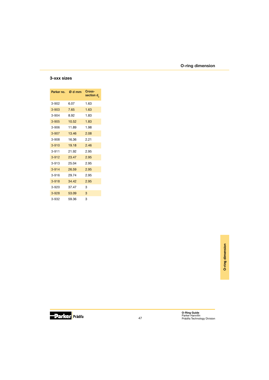#### 3-xxx sizes

| Parker no. | Ø d mm | Cross-<br>section d <sub>2</sub> |
|------------|--------|----------------------------------|
| $3 - 902$  | 6.07   | 1.63                             |
| $3 - 903$  | 7.65   | 1.63                             |
| $3 - 904$  | 8.92   | 1.83                             |
| $3 - 905$  | 10.52  | 1.83                             |
| 3-906      | 11.89  | 1.98                             |
| 3-907      | 13.46  | 2.08                             |
| 3-908      | 16.36  | 2.21                             |
| $3 - 910$  | 19.18  | 2.46                             |
| $3 - 911$  | 21.92  | 2.95                             |
| $3 - 912$  | 23.47  | 2.95                             |
| $3 - 913$  | 25.04  | 2.95                             |
| $3 - 914$  | 26.59  | 2.95                             |
| 3-916      | 29.74  | 2.95                             |
| $3 - 918$  | 34.42  | 2.95                             |
| $3 - 920$  | 37.47  | 3                                |
| $3 - 928$  | 53.09  | 3                                |
| 3-932      | 59.36  | 3                                |

O-ring dimension O-ring dimension

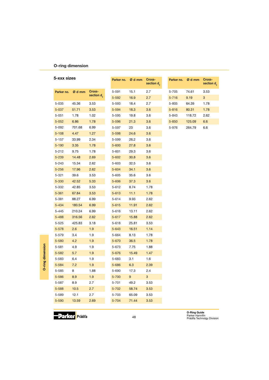| 5-xxx sizes |        |           | Parker no. | Ø d mm | Cross-<br>section d, |
|-------------|--------|-----------|------------|--------|----------------------|
| Parker no.  | Ø d mm | Cross-    | 5-591      | 15.1   | 2.7                  |
|             |        | section d | 5-592      | 16.9   | 2.7                  |
| 5-035       | 45.36  | 3.53      | 5-593      | 18.4   | 2.7                  |
| 5-037       | 51.71  | 3.53      | 5-594      | 18.3   | 3.6                  |
| 5-051       | 1.78   | 1.02      | 5-595      | 19.8   | 3.6                  |
| $5 - 052$   | 6.86   | 1.78      | 5-596      | 21.3   | 3.6                  |
| 5-092       | 701.68 | 6.99      | 5-597      | 23     | 3.6                  |
| $5 - 108$   | 4.47   | 1.27      | 5-598      | 24.6   | 3.6                  |
| 5-157       | 33.99  | 2.34      | 5-599      | 26.2   | 3.6                  |
| 5-190       | 3.35   | 1.78      | 5-600      | 27.8   | 3.6                  |
| $5 - 212$   | 9.75   | 1.78      | 5-601      | 29.3   | 3.6                  |
| 5-239       | 14.48  | 2.69      | 5-602      | 30.8   | 3.6                  |
| 5-243       | 15.34  | 2.62      | 5-603      | 32.5   | 3.6                  |
| 5-256       | 17.96  | 2.62      | 5-604      | 34.1   | 3.6                  |
| 5-321       | 39.6   | 3.53      | 5-605      | 35.6   | 3.6                  |
| 5-330       | 42.52  | 5.33      | 5-606      | 37.3   | 3.6                  |
| 5-332       | 42.85  | 3.53      | 5-612      | 8.74   | 1.78                 |
| 5-361       | 67.84  | 3.53      | 5-613      | 11.1   | 1.78                 |
| 5-381       | 88.27  | 6.99      | 5-614      | 9.93   | 2.62                 |
| 5-434       | 180.54 | 6.99      | $5 - 615$  | 11.91  | 2.62                 |
| 5-445       | 210.24 | 6.99      | 5-616      | 13.11  | 2.62                 |
| 5-488       | 316.56 | 2.62      | 5-617      | 15.88  | 2.62                 |
| $5 - 525$   | 425.83 | 3.18      | 5-618      | 25.81  | 3.53                 |
| 5-578       | 2.6    | 1.9       | 5-643      | 16.51  | 1.14                 |
| 5-579       | 3.4    | 1.9       | 5-664      | 8.13   | 1.78                 |
| 5-580       | 4.2    | 1.9       | 5-670      | 36.5   | 1.78                 |
| 5-581       | 4.9    | 1.9       | 5-673      | 7.75   | 1.88                 |
| 5-582       | 5.7    | 1.9       | 5-676      | 15.49  | 1.47                 |
| 5-583       | 6.4    | 1.9       | 5-683      | 3.1    | 1.6                  |
| 5-584       | 7.2    | 1.9       | 5-686      | 6.3    | 2.39                 |
| 5-585       | 8      | 1.88      | 5-690      | 17.3   | 2.4                  |
| 5-586       | 8.9    | 1.9       | 5-700      | 9      | 3                    |
| 5-587       | 8.9    | 2.7       | 5-701      | 49.2   | 3.53                 |
| 5-588       | 10.5   | 2.7       | 5-702      | 58.74  | 3.53                 |
| 5-589       | 12.1   | 2.7       | 5-703      | 65.09  | 3.53                 |
| 5-590       | 13.59  | 2.69      | 5-704      | 71.44  | 3.53                 |
|             |        |           |            |        |                      |

| Parker no. | Ø d mm | Cross-<br>section d. |
|------------|--------|----------------------|
| 5-705      | 74.61  | 3.53                 |
| $5 - 716$  | 9.19   | 3                    |
| $5 - 805$  | 64.39  | 1.78                 |
| $5 - 816$  | 80.31  | 1.78                 |
| $5 - 843$  | 118.72 | 2.62                 |
| $5 - 850$  | 125.09 | 66                   |
| 5-976      | 264.79 | 6.6                  |

O-Ring Guide Parker Hannifin Prädifa Technolgy Division

**-Parker** Prädifa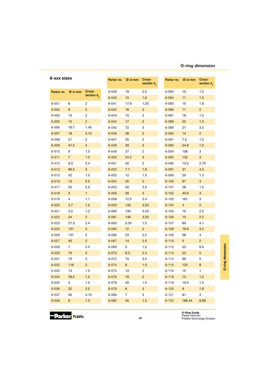# 6-xxx sizes

| U-AAA SIL <del>e</del> S |                |                        | Parker no. | Ø d mm         | Cross-<br>section d <sub>2</sub> | Parker no. | Ø d mm           | Cross-<br>section d, |
|--------------------------|----------------|------------------------|------------|----------------|----------------------------------|------------|------------------|----------------------|
| Parker no.               | Ø d mm         | Cross-                 | 6-039      | 19             | 2.5                              | 6-083      | 10               | 1.5                  |
|                          |                | section d <sub>2</sub> | $6 - 040$  | 15             | 1.6                              | 6-084      | 11               | 1.5                  |
| $6 - 001$                | 6              | $\overline{c}$         | 6-041      | 17.9           | 1.25                             | 6-085      | 15               | 1.8                  |
| $6 - 002$                | 8              | $\overline{c}$         | $6 - 042$  | 16             | 3                                | 6-086      | 11               | $\overline{2}$       |
| 6-003                    | 10             | 2                      | 6-043      | 15             | 3                                | 6-087      | 18               | 1.5                  |
| $6 - 005$                | 15             | $\overline{c}$         | 6-044      | 17             | $\overline{c}$                   | 6-088      | 22               | 1.5                  |
| $6 - 006$                | 16.7           | 1.45                   | $6 - 045$  | 72             | 3                                | 6-089      | 21               | 3.5                  |
| $6 - 007$                | 18             | 3.15                   | $6 - 046$  | 38             | $\overline{c}$                   | 6-090      | 14               | $\overline{2}$       |
| $6 - 008$                | 21             | 2                      | 6-047      | 35             | $\overline{c}$                   | 6-091      | 7.5              | 1.5                  |
| 6-009                    | 47.5           | $\overline{4}$         | $6 - 048$  | 30             | $\overline{2}$                   | 6-092      | 24.8             | 1.5                  |
| $6 - 010$                | 9              | 1.5                    | 6-049      | 27             | $\overline{c}$                   | 6-094      | 106              | 3                    |
| $6 - 011$                | $\overline{7}$ | 1.5                    | $6 - 050$  | 24.2           | 3                                | 6-095      | 132              | 3                    |
| $6 - 012$                | 9.3            | 2.4                    | $6 - 051$  | 50             | $\mathbf{2}$                     | 6-096      | 13.5             | 2.75                 |
| $6 - 013$                | 89.5           | 3                      | $6 - 052$  | 7.1            | 1.6                              | 6-097      | 31               | 4.5                  |
| $6 - 015$                | 42             | 1.5                    | 6-053      | 12             | 1.5                              | 6-099      | 20               | 1.3                  |
| $6 - 016$                | 13             | 2.5                    | $6 - 054$  | 45             | $\overline{c}$                   | $6 - 100$  | 91               | 3                    |
| $6 - 017$                | 20             | 2.5                    | $6 - 055$  | 50             | 2.5                              | $6 - 101$  | 28               | 1.5                  |
| $6 - 018$                | 3              | $\mathbf{1}$           | 6-056      | 30             | 3                                | $6 - 102$  | 40.6             | $\overline{4}$       |
| $6 - 019$                | 4              | 1.1                    | 6-058      | 12.3           | 2.4                              | 6-103      | 161              | 3                    |
| $6 - 020$                | 2.7            | 1.5                    | $6 - 059$  | 135            | 3.23                             | $6 - 104$  | $\overline{4}$   | $\overline{2}$       |
| $6 - 021$                | 3.5            | 1.2                    | 6-060      | 135            | 3.43                             | $6 - 105$  | 10               | 2.5                  |
| $6 - 022$                | 24             | $\overline{2}$         | $6 - 061$  | 146            | 3.23                             | $6 - 106$  | 15               | 2.5                  |
| $6 - 023$                | 27.3           | 2.4                    | 6-063      | 5.35           | 1.5                              | 6-107      | 60               | 4.1                  |
| $6 - 025$                | 101            | 3                      | 6-065      | 12             | $\overline{2}$                   | $6 - 108$  | 79.6             | 3.2                  |
| $6 - 026$                | 137            | 3                      | 6-066      | 23             | 2.5                              | 6-109      | 58               | 4                    |
| $6 - 027$                | 40             | $\overline{c}$         | 6-067      | 14             | 2.5                              | $6 - 110$  | 5                | $\overline{2}$       |
| $6 - 028$                | 7              | 2.5                    | 6-069      | 5              | 1.5                              | 6-112      | 53               | 6.5                  |
| 6-030                    | 73             | 3                      | 6-070      | 8.3            | 2.4                              | $6 - 113$  | 53               | 5                    |
| 6-031                    | 70             | 3                      | 6-072      | 15             | 3.2                              | $6 - 114$  | 60               | 5                    |
| 6-032                    | 118            | $\overline{c}$         | 6-074      | 8              | 1.5                              | $6 - 115$  | 125              | 8                    |
| 6-033                    | 13             | 1.5                    | 6-075      | 13             | 2                                | $6 - 116$  | 10               | $\mathbf{1}$         |
| 6-034                    | 29.5           | 1.5                    | 6-076      | 18             | $\overline{c}$                   | $6 - 118$  | 15               | 1.5                  |
| 6-035                    | 4              | 1.5                    | 6-078      | 20             | 1.5                              | 6-119      | 19.5             | 1.5                  |
| 6-036                    | 22             | 2.5                    | 6-079      | 6              | 5                                | $6 - 120$  | $\boldsymbol{9}$ | 1.8                  |
| 6-037                    | 30             | 3.15                   | 6-080      | $\overline{7}$ | 3                                | 6-121      | 81               | 3                    |
| 6-038                    | 6              | 1.5                    | 6-082      | 45             | 1.5                              | $6 - 122$  | 186.44           | 6.99                 |
|                          |                |                        |            |                |                                  |            |                  |                      |

**-Parker** Prädifa

O-Ring Guide Parker Hannifin Prädifa Technology Division

O-ring dimension

O-ring dimension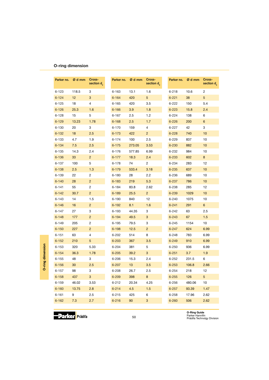| Parker no. | Ø d mm | Cross-<br>section d. | Parker no. | Ø d mm | Cross-<br>section d <sub>2</sub> | Parker no. | Ø d mm | Cross-<br>section d <sub>2</sub> |
|------------|--------|----------------------|------------|--------|----------------------------------|------------|--------|----------------------------------|
| $6 - 123$  | 118.5  | 3                    | 6-163      | 13.1   | 1.6                              | $6 - 218$  | 10.6   | 2                                |
| $6 - 124$  | 12     | 3                    | $6 - 164$  | 420    | 5                                | $6 - 221$  | 38     | 5                                |
| $6 - 125$  | 18     | 4                    | $6 - 165$  | 420    | 3.5                              | 6-222      | 150    | 5.4                              |
| $6 - 126$  | 25.3   | 1.6                  | $6 - 166$  | 3.9    | 1.8                              | $6 - 223$  | 15.8   | 2.4                              |
| $6 - 128$  | 15     | 5                    | 6-167      | 2.5    | 1.2                              | 6-224      | 138    | 6                                |
| $6 - 129$  | 13.23  | 1.78                 | $6 - 168$  | 2.5    | 1.7                              | $6 - 226$  | 200    | 6                                |
| 6-130      | 20     | 3                    | 6-170      | 159    | 4                                | 6-227      | 42     | 3                                |
| $6 - 132$  | 18     | 2.5                  | $6 - 173$  | 422    | $\overline{2}$                   | $6 - 228$  | 740    | 10                               |
| 6-133      | 4.7    | 1.9                  | 6-174      | 100    | 2.5                              | 6-229      | 837    | 10                               |
| $6 - 134$  | 7.5    | 2.5                  | $6 - 175$  | 273.05 | 3.53                             | 6-230      | 882    | 10                               |
| $6 - 135$  | 14.3   | 2.4                  | 6-176      | 577.85 | 6.99                             | 6-232      | 984    | 10                               |
| $6 - 136$  | 33     | $\overline{2}$       | $6 - 177$  | 18.3   | 2.4                              | 6-233      | 602    | 8                                |
| $6 - 137$  | 100    | 5                    | $6 - 178$  | 74     | 2                                | 6-234      | 283    | 12                               |
| $6 - 138$  | 2.5    | 1.3                  | $6 - 179$  | 533.4  | 3.18                             | $6 - 235$  | 637    | 10                               |
| 6-139      | 22     | $\overline{c}$       | $6 - 180$  | 28     | 2.2                              | 6-236      | 689    | 10                               |
| $6 - 140$  | 28     | $\overline{2}$       | $6 - 183$  | 219    | 5.3                              | 6-237      | 786    | 10                               |
| $6 - 141$  | 55     | 2                    | $6 - 184$  | 83.8   | 2.62                             | 6-238      | 285    | 12                               |
| $6 - 142$  | 30.7   | $\overline{2}$       | $6 - 189$  | 25.5   | $\overline{2}$                   | 6-239      | 1029   | 10                               |
| $6 - 143$  | 14     | 1.5                  | $6 - 190$  | 840    | 12                               | 6-240      | 1075   | 10                               |
| $6 - 146$  | 16     | $\overline{c}$       | $6 - 192$  | 8.1    | 1.6                              | $6 - 241$  | 291    | 6                                |
| $6 - 147$  | 27     | 3                    | 6-193      | 44.35  | 3                                | 6-242      | 63     | 2.5                              |
| $6 - 148$  | 177    | $\overline{2}$       | 6-194      | 49.5   | 3                                | $6 - 243$  | 67     | 1.5                              |
| $6 - 149$  | 205    | $\overline{2}$       | 6-195      | 79.5   | 3                                | 6-245      | 1154   | 10                               |
| $6 - 150$  | 227    | $\overline{2}$       | $6 - 198$  | 12.5   | $\overline{2}$                   | $6 - 247$  | 624    | 6.99                             |
| $6 - 151$  | 63     | 4                    | $6 - 202$  | 514    | 8                                | 6-248      | 783    | 6.99                             |
| $6 - 152$  | 210    | 5                    | $6 - 203$  | 367    | 3.5                              | $6 - 249$  | 910    | 6.99                             |
| $6 - 153$  | 320    | 5.33                 | $6 - 204$  | 381    | 5                                | $6 - 250$  | 936    | 6.99                             |
| $6 - 154$  | 36.3   | 1.78                 | $6 - 205$  | 39.2   | 3                                | $6 - 251$  | 3.7    | 1.9                              |
| $6 - 155$  | 48     | 3                    | 6-206      | 15.3   | 2.4                              | 6-252      | 231.5  | 6                                |
| $6 - 156$  | 30     | 2.5                  | $6 - 207$  | 13     | 3.5                              | $6 - 253$  | 106.8  | 2.66                             |
| $6 - 157$  | 98     | 3                    | $6 - 208$  | 26.7   | 2.5                              | 6-254      | 218    | 12                               |
| $6 - 158$  | 437    | 3                    | $6 - 209$  | 398    | 8                                | $6 - 255$  | 126    | 5                                |
| $6 - 159$  | 46.02  | 3.53                 | $6 - 212$  | 20.34  | 4.25                             | 6-256      | 480.06 | 10                               |
| $6 - 160$  | 13.75  | 2.8                  | $6 - 214$  | 4.5    | 1.5                              | $6 - 257$  | 93.39  | 1.47                             |
| $6 - 161$  | 9      | 2.5                  | $6 - 215$  | 425    | 6                                | 6-258      | 17.96  | 2.62                             |
| $6 - 162$  | 7.3    | 2.7                  | $6 - 216$  | 90     | 3                                | 6-260      | 506    | 2.62                             |

**- Parker Prädifa** 

O-ring dimension

O-ring dimension

50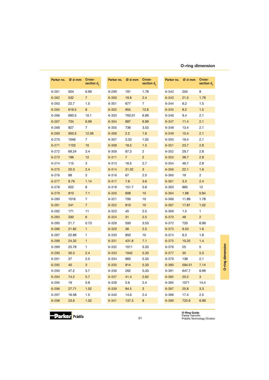| Parker no. | Ø d mm | Cross-<br>section d <sub>2</sub> | Parker no. | Ø d mm         | Cross-<br>section d <sub>2</sub> | Parker no. | Ø d mm | Cross-<br>section d |
|------------|--------|----------------------------------|------------|----------------|----------------------------------|------------|--------|---------------------|
| $6 - 261$  | 504    | 6.99                             | 6-299      | 191            | 1.78                             | 6-342      | 204    | 8                   |
| $6 - 262$  | 532    | $\overline{7}$                   | 6-300      | 19.8           | 2.4                              | 6-343      | 21.5   | 1.78                |
| 6-263      | 22.7   | 1.5                              | 6-301      | 677            | $\overline{7}$                   | 6-344      | 6.2    | 1.5                 |
| $6 - 265$  | 619.5  | 8                                | 6-302      | 955            | 12.6                             | $6 - 345$  | 8.2    | 1.5                 |
| 6-266      | 693.5  | 10.1                             | 6-303      | 763.01         | 6.99                             | 6-346      | 9.4    | 2.1                 |
| $6 - 267$  | 734    | 6.99                             | 6-304      | 887            | 6.99                             | 6-347      | 11.4   | 2.1                 |
| 6-268      | 827    | 7                                | 6-305      | 736            | 3.53                             | 6-348      | 13.4   | 2.1                 |
| 6-269      | 950.5  | 12.06                            | 6-306      | 2.2            | 1.6                              | 6-349      | 15.4   | 2.1                 |
| 6-270      | 1046   | 7                                | 6-307      | 3.33           | 1.02                             | 6-350      | 19.4   | 2.1                 |
| $6 - 271$  | 1103   | 10                               | 6-308      | 18.5           | 1.5                              | $6 - 351$  | 23.7   | 2.8                 |
| 6-272      | 69.24  | 3.4                              | 6-309      | 87.3           | $\mathbf{2}$                     | 6-352      | 29.7   | 2.8                 |
| $6 - 273$  | 196    | 12                               | 6-311      | $\overline{7}$ | $\overline{c}$                   | $6 - 353$  | 38.7   | 2.8                 |
| 6-274      | 115    | 3                                | 6-313      | 16.5           | 2.7                              | 6-354      | 46.7   | 2.8                 |
| $6 - 275$  | 20.3   | 2.4                              | 6-314      | 31.02          | 3                                | 6-356      | 22.1   | 1.6                 |
| 6-276      | 88     | 3                                | 6-316      | 67             | 2.5                              | 6-360      | 19     | 2                   |
| $6 - 277$  | 8.79   | 1.14                             | 6-317      | 7.8            | 3.6                              | $6 - 361$  | 3.3    | 2.4                 |
| 6-278      | 622    | 8                                | 6-318      | 151.7          | 5.6                              | 6-363      | 865    | 12                  |
| 6-279      | 810    | 7.1                              | 6-320      | 608            | 10                               | 6-364      | 1.98   | 0.84                |
| 6-280      | 1016   | $\overline{7}$                   | 6-321      | 700            | 10                               | 6-366      | 11.89  | 1.78                |
| $6 - 281$  | 241    | $\overline{7}$                   | 6-322      | 810            | 10                               | 6-367      | 17.81  | 1.02                |
| $6 - 282$  | 171    | 11                               | 6-323      | 45             | 2.5                              | 6-369      | 1.5    | 1                   |
| $6 - 283$  | 330    | $6\phantom{1}$                   | 6-324      | 31             | 2.5                              | 6-370      | 48     | $\overline{2}$      |
| 6-285      | 21.7   | 0.73                             | 6-328      | 500            | 3.53                             | 6-372      | 720    | 6.99                |
| $6 - 286$  | 21.82  | $\mathbf{1}$                     | 6-329      | 36             | 2.5                              | 6-373      | 9.53   | 1.6                 |
| 6-287      | 22.89  | $\mathbf{1}$                     | 6-330      | 850            | 10                               | 6-374      | 6.3    | 1.6                 |
| $6 - 288$  | 24.32  | $\mathbf{1}$                     | 6-331      | 431.8          | 7.1                              | 6-375      | 10.25  | 1.4                 |
| 6-289      | 25.79  | 1                                | 6-332      | 1011           | 5.33                             | 6-376      | 25     | 5                   |
| $6 - 290$  | 30.3   | 2.4                              | 6-333      | 1042           | 5.33                             | 6-377      | 35     | 5.3                 |
| $6 - 291$  | 37     | 2.5                              | 6-334      | 960            | 5.33                             | 6-379      | 138    | 2.1                 |
| 6-292      | 40     | 3                                | 6-335      | 914            | 5.33                             | 6-380      | 594.51 | 7.14                |
| 6-293      | 47.2   | 5.7                              | 6-336      | 262            | 5.33                             | 6-381      | 647.7  | 6.99                |
| $6 - 294$  | 74.2   | 5.7                              | 6-337      | 41.4           | 2.62                             | 6-382      | 20.2   | 3                   |
| 6-295      | 19     | 0.8                              | 6-338      | 5.6            | 2.4                              | 6-385      | 1071   | 14.4                |
| 6-296      | 27.71  | 1.02                             | 6-339      | 94.5           | 3                                | 6-387      | 25.8   | 3.3                 |
| 6-297      | 16.58  | 1.5                              | 6-340      | 14.6           | 2.4                              | 6-388      | 17.4   | 2.5                 |
| $6 - 298$  | 23.6   | 1.02                             | $6 - 341$  | 137.3          | 8                                | 6-389      | 723.9  | 6.99                |
|            |        |                                  |            |                |                                  |            |        |                     |

**Parker** Prädifa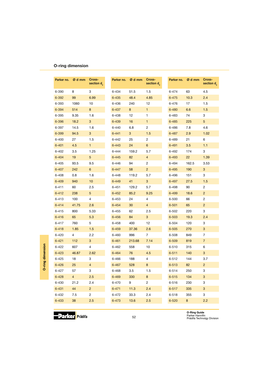| Parker no. | Ø d mm                  | Cross-<br>section d, | Parker no. | Ø d mm | Cross-<br>section d <sub>2</sub> | Parker no. | Ø d mm | Cross-<br>section |
|------------|-------------------------|----------------------|------------|--------|----------------------------------|------------|--------|-------------------|
| 6-390      | 8                       | 3                    | 6-434      | 51.5   | 1.5                              | 6-474      | 63     | 4.5               |
| 6-392      | 99                      | 6.99                 | 6-435      | 48.4   | 4.85                             | $6 - 475$  | 10.3   | 2.4               |
| 6-393      | 1060                    | 10                   | 6-436      | 240    | 12                               | 6-476      | 17     | 1.5               |
| 6-394      | 514                     | 8                    | 6-437      | 8      | $\mathbf{1}$                     | $6 - 480$  | 6.6    | 1.5               |
| 6-395      | 9.35                    | 1.6                  | 6-438      | 12     | 1                                | 6-483      | 74     | 3                 |
| 6-396      | 18.2                    | 3                    | 6-439      | 16     | 1                                | $6 - 485$  | 225    | 5                 |
| 6-397      | 14.5                    | 1.6                  | $6 - 440$  | 6.8    | 2                                | 6-486      | 7.8    | 4.6               |
| 6-399      | 94.5                    | 3                    | $6 - 441$  | 3      | 1.5                              | $6 - 487$  | 2.9    | 1.02              |
| $6 - 400$  | 27                      | 1.5                  | 6-442      | 25     | 2                                | 6-489      | 21     | 6                 |
| $6 - 401$  | 4.5                     | $\mathbf{1}$         | $6 - 443$  | 24     | 6                                | $6 - 491$  | 3.5    | 1.1               |
| $6 - 402$  | 3.5                     | 1.25                 | 6-444      | 159.2  | 5.7                              | 6-492      | 174    | 3                 |
| $6 - 404$  | 19                      | 5                    | $6 - 445$  | 82     | $\overline{\mathcal{A}}$         | 6-493      | 22     | 1.39              |
| $6 - 405$  | 93.5                    | 9.5                  | 6-446      | 94     | 2                                | 6-494      | 162.5  | 3.53              |
| $6 - 407$  | 242                     | 6                    | 6-447      | 58     | $\overline{2}$                   | $6 - 495$  | 190    | 3                 |
| $6 - 408$  | 0.8                     | 1.6                  | 6-448      | 119.2  | 5.7                              | 6-496      | 151    | 3                 |
| $6 - 409$  | 940                     | 10                   | 6-449      | 41     | 3                                | 6-497      | 27.5   | 1.5               |
| $6 - 411$  | 60                      | 2.5                  | $6 - 451$  | 129.2  | 5.7                              | 6-498      | 90     | 2                 |
| $6 - 412$  | 238                     | 5                    | $6 - 452$  | 85.2   | 9.25                             | 6-499      | 18.6   | $\overline{c}$    |
| 6-413      | 100                     | 4                    | 6-453      | 24     | 4                                | 6-500      | 66     | 2                 |
| $6 - 414$  | 41.75                   | 2.6                  | $6 - 454$  | 30     | 4                                | $6 - 501$  | 65     | $\overline{2}$    |
| $6 - 415$  | 800                     | 5.33                 | $6 - 455$  | 62     | 2.5                              | 6-502      | 220    | 3                 |
| $6 - 416$  | 65                      | 5.3                  | $6 - 456$  | 84     | 3                                | 6-503      | 19.3   | 2.4               |
| $6 - 417$  | 760                     | 5                    | 6-458      | 400    | 12                               | 6-504      | 120    | 3                 |
| $6 - 418$  | 1.85                    | 1.5                  | 6-459      | 37.36  | 2.6                              | $6 - 505$  | 270    | 3                 |
| 6-420      | $\overline{\mathbf{4}}$ | 2.2                  | 6-460      | 996    | 7                                | 6-508      | 849    | 7                 |
| $6 - 421$  | 112                     | 3                    | $6 - 461$  | 213.68 | 7.14                             | 6-509      | 819    | 7                 |
| $6 - 422$  | 607                     | 4                    | 6-462      | 558    | 10                               | 6-510      | 315    | 6                 |
| $6 - 423$  | 46.87                   | 2.62                 | 6-464      | 76     | 4.5                              | $6 - 511$  | 140    | 3                 |
| $6 - 425$  | 18                      | 3                    | 6-466      | 188    | 4                                | 6-512      | 144    | 3.7               |
| $6 - 426$  | 25                      | $\overline{4}$       | 6-467      | 528    | 8                                | $6 - 513$  | 82     | $\overline{c}$    |
| $6 - 427$  | 57                      | 3                    | 6-468      | 3.5    | 1.5                              | 6-514      | 250    | 3                 |
| $6 - 428$  | $\overline{4}$          | 2.5                  | 6-469      | 330    | 8                                | $6 - 515$  | 134    | 3                 |
| 6-430      | 21.2                    | 2.4                  | 6-470      | 9      | 2                                | 6-516      | 230    | 3                 |
| $6 - 431$  | 44                      | $\overline{c}$       | $6 - 471$  | 11.3   | 2.4                              | $6 - 517$  | 335    | 3                 |
| 6-432      | 7.5                     | 2                    | 6-472      | 33.3   | 2.4                              | 6-518      | 355    | 3                 |
| 6-433      | 38                      | 2.5                  | 6-473      | 13.6   | 2.5                              | $6 - 520$  | 8      | 2.2               |

O-ring dimension O-ring dimension

**-Parker** Prädifa

O-Ring Guide Parker Hannifin Prädifa Technolgy Division

section  $\mathbf{d}_2$  $4.5$  $2.4$ 1.5  $1.5$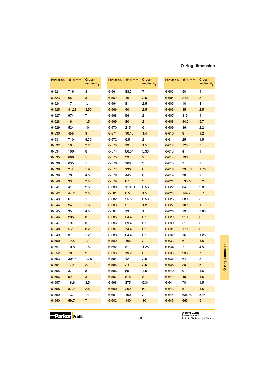| Parker no. | Ø d mm | Cross-<br>section d | Parker no. | Ø d mm | Cross-<br>section d. | Parker no. | Ø d mm | Cross-<br>section d |
|------------|--------|---------------------|------------|--------|----------------------|------------|--------|---------------------|
| $6 - 521$  | 716    | 8                   | 6-561      | 88.3   | $\overline{7}$       | 6-603      | 50     | $\overline{4}$      |
| $6 - 523$  | 65     | 3                   | 6-562      | 16     | 2.5                  | 6-604      | 240    | 3                   |
| 6-524      | 17     | 1.1                 | 6-564      | 8      | 2.5                  | 6-605      | 10     | 3                   |
| $6 - 525$  | 41.28  | 3.53                | 6-566      | 40     | 2.5                  | 6-606      | 35     | 2.5                 |
| 6-527      | 974    | 7                   | 6-568      | 56     | $\overline{c}$       | 6-607      | 315    | 4                   |
| $6 - 528$  | 16     | 1.5                 | 6-569      | 80     | $\overline{c}$       | 6-608      | 94.2   | 5.7                 |
| 6-529      | 524    | 10                  | 6-570      | 215    | 6                    | 6-609      | 36     | 2.2                 |
| 6-530      | 455    | 8                   | 6-571      | 10.15  | 1.4                  | $6 - 610$  | 9      | 1.2                 |
| 6-531      | 710    | 5.33                | 6-572      | 6.5    | $\overline{c}$       | $6 - 611$  | 25     | 1.5                 |
| 6-532      | 10     | 2.2                 | 6-573      | 19     | 1.5                  | $6 - 612$  | 125    | 3                   |
| 6-534      | 1004   | 8                   | 6-574      | 86.84  | 5.33                 | 6-613      | 4      | 1                   |
| 6-535      | 680    | 5                   | 6-575      | 39     | $\overline{2}$       | $6 - 614$  | 190    | 5                   |
| 6-536      | 635    | 5                   | 6-576      | 160    | 3                    | $6 - 615$  | 3      | $\overline{c}$      |
| 6-538      | 2.4    | 1.9                 | 6-577      | 130    | 6                    | $6 - 618$  | 234.32 | 1.78                |
| 6-539      | 70     | 4.5                 | 6-578      | 445    | 8                    | 6-619      | 20     | 2                   |
| 6-540      | 33     | 2.5                 | 6-579      | 87     | 3                    | $6 - 621$  | 535.46 | 7.24                |
| $6 - 541$  | 41     | 2.5                 | 6-580      | 118.31 | 3.53                 | $6 - 622$  | 34     | 2.8                 |
| $6 - 542$  | 44.2   | 2.5                 | 6-581      | 6.5    | 1.5                  | $6 - 623$  | 149.2  | 5.7                 |
| 6-543      | 6      | 1                   | 6-582      | 95.5   | 3.53                 | 6-626      | 580    | 8                   |
| 6-544      | 24     | 1.5                 | 6-583      | 5      | 1.2                  | $6 - 627$  | 10.1   | 1                   |
| 6-545      | 35     | 4.5                 | 6-584      | 13     | 1                    | $6 - 628$  | 19.3   | 3.65                |
| 6-546      | 205    | 3                   | 6-585      | 34.4   | 3.1                  | $6 - 629$  | 210    | 3                   |
| 6-547      | 197    | 3                   | 6-586      | 39.4   | 3.1                  | 6-630      | 51     | 3                   |
| 6-548      | 5.7    | 3.2                 | 6-587      | 74.4   | 3.1                  | 6-631      | 179    | 3                   |
| 6-549      | 3      | 1.2                 | 6-588      | 84.4   | 3.1                  | 6-632      | 16     | 1.25                |
| 6-550      | 12.5   | 1.1                 | 6-589      | 105    | $\overline{2}$       | 6-633      | 61     | 4.5                 |
| $6 - 551$  | 10.8   | 1.5                 | 6-592      | 8      | 1.25                 | 6-634      | 71     | 4.5                 |
| $6 - 552$  | 70     | $\overline{2}$      | 6-593      | 19.2   | 3                    | 6-635      | 236    | $\overline{7}$      |
| 6-553      | 304.8  | 1.78                | 6-594      | 42     | 2.5                  | 6-636      | 64     | 3                   |
| 6-554      | 17.4   | 2.1                 | 6-595      | 24     | 2.5                  | 6-638      | 281    | 5                   |
| 6-555      | 37     | 5                   | 6-596      | 65     | 4.5                  | 6-640      | 97     | 1.5                 |
| 6-556      | 52     | 3                   | 6-597      | 875    | 8                    | 6-642      | 40     | 1.5                 |
| 6-557      | 18.6   | 3.5                 | 6-598      | 375    | 5.34                 | 6-641      | 70     | 1.5                 |
| 6-558      | 87.2   | 2.5                 | 6-600      | 209.2  | 5.7                  | 6-643      | 57     | 1.5                 |
| 6-559      | 137    | 14                  | 6-601      | 100    | 2                    | 6-644      | 638.89 | 5.44                |
| 6-560      | 59.7   | $\overline{7}$      | 6-602      | 140    | 10                   | 6-645      | 665    | 5                   |
|            |        |                     |            |        |                      |            |        |                     |

**Parker** Prädifa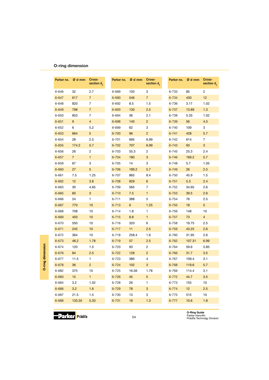| Parker no. | Ø d mm         | Cross-<br>section d <sub>2</sub> | Parker no. | Ø d mm | Cross-<br>section d <sub>2</sub> | Parker no. | Ø d mm | Cross-<br>section d <sub>2</sub> |
|------------|----------------|----------------------------------|------------|--------|----------------------------------|------------|--------|----------------------------------|
| 6-646      | 32             | 2.7                              | 6-689      | 150    | 3                                | 6-733      | 85     | $\overline{\mathbf{c}}$          |
| 6-647      | 617            | $\overline{7}$                   | 6-690      | 546    | $\overline{7}$                   | 6-734      | 430    | 12                               |
| 6-648      | 820            | $\overline{7}$                   | 6-692      | 8.5    | 1.5                              | 6-736      | 3.17   | 1.02                             |
| 6-649      | 798            | $\overline{7}$                   | 6-693      | 130    | 2.5                              | 6-737      | 13.89  | 1.3                              |
| 6-650      | 853            | $\overline{7}$                   | 6-694      | 36     | 2.1                              | 6-738      | 5.33   | 1.02                             |
| 6-651      | 9              | $\overline{4}$                   | 6-698      | 140    | $\overline{c}$                   | 6-739      | 56     | 4.5                              |
| 6-652      | 6              | 5.2                              | 6-699      | 62     | 3                                | 6-740      | 109    | 3                                |
| 6-653      | 664            | 5                                | 6-700      | 96     | $\overline{c}$                   | $6 - 741$  | 428    | 5.7                              |
| 6-654      | 28             | 2.5                              | 6-701      | 695    | 6.99                             | 6-742      | 614    | 7                                |
| $6 - 655$  | 174.2          | 5.7                              | 6-702      | 707    | 6.99                             | $6 - 743$  | 93     | 3                                |
| 6-656      | 26             | $\overline{\mathbf{c}}$          | 6-703      | 55.3   | $\overline{c}$                   | $6 - 745$  | 25.3   | 2.4                              |
| 6-657      | $\overline{7}$ | $\mathbf{1}$                     | 6-704      | 180    | 3                                | $6 - 746$  | 169.2  | 5.7                              |
| 6-659      | 67             | 3                                | 6-705      | 14     | 3                                | 6-748      | 5.7    | 1.05                             |
| 6-660      | 27             | 5                                | 6-706      | 189.2  | 5.7                              | 6-749      | 26     | 2.5                              |
| 6-661      | 7.5            | 1.25                             | 6-707      | 865    | 8.4                              | 6-750      | 45.9   | 1.5                              |
| 6-662      | 12             | 3.8                              | 6-708      | 929    | 6                                | $6 - 751$  | 5.3    | 2.4                              |
| 6-663      | 30             | 4.65                             | 6-709      | 565    | 7                                | $6 - 752$  | 34.65  | 2.6                              |
| $6 - 665$  | 60             | 3                                | $6 - 710$  | 7.5    | 1                                | $6 - 753$  | 39.5   | 2.6                              |
| 6-666      | 24             | 1                                | $6 - 711$  | 388    | 5                                | 6-754      | 76     | 2.5                              |
| 6-667      | 770            | 10                               | $6 - 713$  | 6      | 1.25                             | $6 - 755$  | 18     | 5                                |
| 6-668      | 708            | 10                               | 6-714      | 1.8    | 1                                | 6-756      | 148    | 10                               |
| 6-669      | 450            | 10                               | $6 - 715$  | 8.8    | $\mathbf{1}$                     | $6 - 757$  | 73     | $\overline{\mathbf{4}}$          |
| 6-670      | 550            | 10                               | 6-716      | 320    | 6                                | 6-758      | 19.75  | 2.5                              |
| 6-671      | 245            | 10                               | $6 - 717$  | 11     | 2.5                              | 6-759      | 43.25  | 2.6                              |
| 6-672      | 364            | 10                               | $6 - 718$  | 258.4  | 1.6                              | 6-760      | 31.95  | 2.6                              |
| 6-673      | 48.2           | 1.78                             | $6 - 719$  | 57     | 2.5                              | 6-762      | 107.31 | 6.99                             |
| 6-674      | 120            | 1.5                              | 6-720      | 93     | 2                                | 6-764      | 59.6   | 5.85                             |
| 6-676      | 84             | 2.5                              | $6 - 722$  | 128    | $\overline{c}$                   | 6-766      | 31.7   | 3.5                              |
| 6-677      | 11.5           | 1                                | 6-723      | 380    | 4                                | 6-767      | 109.4  | 3.1                              |
| 6-678      | 36             | $\overline{c}$                   | $6 - 724$  | 102    | 3                                | 6-768      | 119.6  | 5.7                              |
| 6-682      | 375            | 10                               | $6 - 725$  | 16.56  | 1.78                             | 6-769      | 114.4  | 3.1                              |
| 6-683      | 15             | 1                                | $6 - 726$  | 45     | 5                                | $6 - 772$  | 44.7   | 3.5                              |
| 6-684      | 3.2            | 1.02                             | 6-728      | 26     | 1                                | 6-773      | 155    | 10                               |
| 6-686      | 3.2            | 1.6                              | 6-729      | 78     | 3                                | 6-774      | 12     | 2.5                              |
| 6-687      | 21.5           | 1.5                              | 6-730      | 13     | 3                                | 6-775      | 515    | 10                               |
| 6-688      | 133.35         | 5.33                             | $6 - 731$  | 18     | 1.3                              | $6 - 777$  | 10.6   | 1.8                              |

O-ring dimension O-ring dimension

**Extra de Prädifa** 

54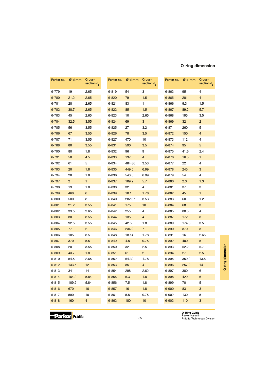| Parker no. | Ø d mm         | Cross-<br>section d <sub>2</sub> | Parker no. | Ø d mm | Cross-<br>section d <sub>2</sub> | Parker no. | Ø d mm | Cross-<br>section d <sub>2</sub> |
|------------|----------------|----------------------------------|------------|--------|----------------------------------|------------|--------|----------------------------------|
| 6-779      | 19             | 2.65                             | $6 - 819$  | 54     | 3                                | 6-863      | 95     | $\overline{4}$                   |
| 6-780      | 21.2           | 2.65                             | $6 - 820$  | 79     | 1.5                              | $6 - 865$  | 201    | 4                                |
| 6-781      | 28             | 2.65                             | $6 - 821$  | 83     | 1                                | 6-866      | 9.3    | 1.5                              |
| 6-782      | 38.7           | 2.65                             | $6 - 822$  | 85     | 1.5                              | 6-867      | 89.2   | 5.7                              |
| 6-783      | 45             | 2.65                             | 6-823      | 10     | 2.65                             | 6-868      | 195    | 3.5                              |
| 6-784      | 32.5           | 3.55                             | $6 - 824$  | 69     | 3                                | 6-869      | 32     | $\overline{2}$                   |
| 6-785      | 56             | 3.55                             | $6 - 825$  | 27     | 3.2                              | $6 - 871$  | 260    | 5                                |
| 6-786      | 67             | 3.55                             | $6 - 826$  | 78     | 3.5                              | 6-872      | 150    | $\overline{4}$                   |
| 6-787      | 71             | 3.55                             | 6-827      | 470    | 10                               | 6-873      | 112    | 4                                |
| 6-788      | 80             | 3.55                             | 6-831      | 590    | 3.5                              | 6-874      | 95     | 5                                |
| 6-790      | 80             | 1.8                              | 6-832      | 96     | 9                                | 6-875      | 41.6   | 2.4                              |
| $6 - 791$  | 50             | 4.5                              | 6-833      | 137    | 4                                | 6-876      | 16.5   | $\mathbf{1}$                     |
| 6-792      | 61             | 5                                | 6-834      | 484.86 | 3.53                             | 6-877      | 22     | 4                                |
| 6-793      | 20             | 1.8                              | $6 - 835$  | 449.5  | 6.99                             | 6-878      | 245    | 3                                |
| 6-794      | 28             | 1.8                              | 6-836      | 543.5  | 6.99                             | 6-879      | 54     | 4                                |
| 6-797      | $\overline{c}$ | $\mathbf{1}$                     | 6-837      | 109.2  | 5.7                              | 6-880      | 2.3    | 1.3                              |
| 6-798      | 19             | 1.8                              | 6-838      | 32     | 4                                | 6-881      | 37     | 3                                |
| 6-799      | 468            | 6                                | 6-839      | 10.1   | 1.78                             | 6-882      | 45     | $\mathbf{1}$                     |
| 6-800      | 500            | 8                                | 6-840      | 282.37 | 3.53                             | 6-883      | 60     | 1.2                              |
| $6 - 801$  | 21.2           | 3.55                             | $6 - 841$  | 175    | 10                               | 6-884      | 68     | 3                                |
| 6-802      | 33.5           | 2.65                             | 6-842      | 255    | 4                                | 6-885      | 80.5   | 4                                |
| 6-803      | 30             | 3.55                             | 6-844      | 135    | $\overline{4}$                   | 6-887      | 172    | 3                                |
| 6-804      | 92.5           | 3.55                             | 6-845      | 42.5   | 1.8                              | 6-889      | 174.3  | 3.5                              |
| $6 - 805$  | 77             | $\overline{c}$                   | $6 - 846$  | 234.2  | $\overline{7}$                   | 6-890      | 870    | 8                                |
| 6-806      | 105            | 3.5                              | 6-848      | 18.14  | 1.78                             | 6-891      | 16     | 2.65                             |
| 6-807      | 370            | 5.5                              | 6-849      | 4.8    | 0.75                             | 6-892      | 400    | 5                                |
| 6-808      | 20             | 3.55                             | 6-850      | 32     | 2.5                              | 6-893      | 52.2   | 5.7                              |
| 6-809      | 43.7           | 1.8                              | $6 - 851$  | 61     | $\overline{2}$                   | 6-894      | 27     | 2.5                              |
| $6 - 810$  | 54.5           | 2.65                             | 6-852      | 64.39  | 1.78                             | 6-895      | 359.2  | 13.8                             |
| $6 - 812$  | 133.5          | 12                               | $6 - 853$  | 85     | 4                                | 6-896      | 257.2  | 14                               |
| $6 - 813$  | 341            | 14                               | 6-854      | 298    | 2.62                             | 6-897      | 380    | 6                                |
| $6 - 814$  | 164.2          | 5.84                             | $6 - 855$  | 6.3    | 1.8                              | 6-898      | 429    | 6                                |
| $6 - 815$  | 109.2          | 5.84                             | 6-856      | 7.5    | 1.8                              | 6-899      | 70     | 5                                |
| $6 - 816$  | 670            | 10                               | $6 - 857$  | 16     | 1.8                              | 6-900      | 83     | 3                                |
| 6-817      | 590            | 10                               | 6-861      | 5.8    | 0.75                             | 6-902      | 130    | 5                                |
| $6 - 818$  | 160            | $\overline{\mathcal{A}}$         | 6-862      | 180    | 10                               | 6-903      | 110    | 3                                |
|            |                |                                  |            |        |                                  |            |        |                                  |

**Parker** Prädifa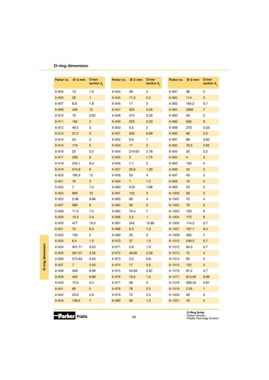| Parker no. | Ø d mm         | Cross-<br>section d. | Parker no. | Ø d mm         | Cross-<br>section d. | Parker no. | Ø d mm                  | C              |
|------------|----------------|----------------------|------------|----------------|----------------------|------------|-------------------------|----------------|
| 6-904      | 13             | 1.3                  | 6-944      | 46             | 4                    | 6-981      | 36                      | $\overline{c}$ |
| 6-905      | 28             | $\mathbf{1}$         | 6-945      | 11.5           | 2.5                  | 6-982      | 114                     | 3              |
| 6-907      | 6.8            | 1.8                  | 6-946      | 17             | 3                    | 6-983      | 164.2                   | 5              |
| 6-909      | 449            | 12                   | 6-947      | 325            | 5.33                 | 6-984      | 2965                    | 7              |
| 6-910      | 10             | 2.62                 | 6-948      | 274            | 5.33                 | 6-985      | 56                      | 3              |
| $6 - 911$  | 165            | $\overline{2}$       | 6-949      | 223            | 5.33                 | 6-986      | 635                     | 9              |
| 6-912      | 49.2           | 3                    | 6-950      | 5.5            | 2                    | 6-988      | 270                     | 5              |
| 6-913      | 27.2           | 3                    | 6-951      | 526            | 6.99                 | 6-990      | 69                      | $\overline{c}$ |
| 6-914      | 34             | 3                    | 6-952      | 9.5            | 1                    | 6-991      | 86                      | 2              |
| $6 - 915$  | 110            | 5                    | 6-953      | 11             | 3                    | 6-992      | 79.3                    | $\overline{c}$ |
| 6-916      | 25             | 2.5                  | 6-954      | 214.63         | 2.18                 | 6-993      | 35                      | 3              |
| 6-917      | 296            | 6                    | 6-955      | 5              | 1.75                 | 6-994      | $\overline{\mathbf{4}}$ | 3              |
| 6-918      | 234.1          | 8.4                  | 6-956      | 7.1            | $\overline{c}$       | 6-995      | 105                     | 4              |
| 6-919      | 515.9          | 6                    | 6-957      | 25.6           | 1.93                 | 6-996      | 43                      | 3              |
| 6-920      | 195.5          | 12                   | 6-958      | 20             | 4                    | 6-997      | 45                      | 3              |
| $6 - 921$  | 76             | 3                    | 6-959      | $\overline{7}$ | 1.2                  | 6-998      | 19                      | 3              |
| 6-922      | 7              | 1.4                  | 6-960      | 5.61           | 1.68                 | 6-999      | 23                      | $\overline{c}$ |
| 6-924      | 900            | 10                   | 6-961      | 122            | 3                    | 6-1000     | 29                      | 3              |
| 6-925      | 2.06           | 0.66                 | 6-963      | 93             | 4                    | 6-1001     | 75                      | 4              |
| 6-927      | 380            | 8                    | 6-964      | 50             | 3                    | 6-1002     | 78                      | 5              |
| 6-928      | 11.5           | 1.5                  | 6-965      | 10.4           | 1                    | 6-1003     | 120                     | 6              |
| 6-929      | 13.3           | 2.4                  | 6-966      | 2.5            | $\mathbf{1}$         | 6-1004     | 172                     | 6              |
| 6-930      | 477            | 10.5                 | 6-967      | 245            | 10.85                | 6-1005     | 114.2                   | 5              |
| 6-931      | 10             | 6.5                  | 6-968      | 5.5            | 1.5                  | 6-1007     | 187.1                   | 8              |
| 6-932      | 150            | 2                    | 6-969      | 25             | 3                    | 6-1008     | 463                     | 7              |
| 6-933      | 6.4            | 1.3                  | 6-970      | 37             | 1.5                  | 6-1010     | 249.3                   | 5              |
| 6-934      | 401.71         | 3.53                 | 6-971      | 2.8            | 1.9                  | 6-1012     | 84.3                    | 5              |
| 6-935      | 307.57         | 3.53                 | 6-972      | 40.82          | 2.59                 | 6-1013     | 72                      | $\overline{4}$ |
| 6-936      | 272.64         | 3.53                 | 6-973      | 3.5            | 0.8                  | 6-1014     | 85                      | 3              |
| 6-937      | $\overline{7}$ | 2.35                 | 6-974      | 17             | 3.5                  | 6-1015     | 132                     | 4              |
| 6-938      | 409            | 6.99                 | 6-975      | 44.83          | 2.67                 | 6-1016     | 87.2                    | 5              |
| 6-939      | 434            | 6.99                 | 6-976      | 10.5           | 1.5                  | 6-1017     | 613.92                  | 6              |
| 6-940      | 15.3           | 2.2                  | 6-977      | 28             | 3                    | 6-1018     | 289.42                  | 5              |
| $6 - 941$  | 68             | 5                    | 6-978      | 78             | 2.5                  | 6-1019     | 2.35                    | 1              |
| 6-942      | 23.6           | 2.9                  | 6-979      | 72             | 2.5                  | 6-1020     | 46                      | 3              |
| 6-943      | 748.5          | $\overline{7}$       | 6-980      | 36             | 1.5                  | $6 - 1021$ | 16                      | 4              |

O-ring dimension O-ring dimension

**-Parker** Prädifa

O-Ring Guide Parker Hannifin Prädifa Technolgy Division

Crosssection  $d<sub>2</sub>$ 

 $5.7$ 

5.33  $2.5$ 2.62  $2.62$  $3.2$ 

 $5.7$  $8.4$ 

 $5.7$  $5.7$ 

 $5.7$ 6.99 5.87

56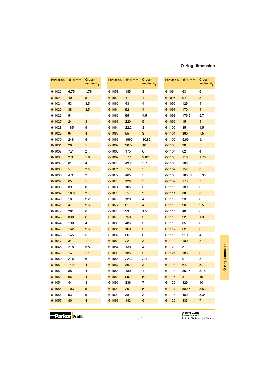| Parker no. | Ø d mm | Cross-<br>section d     |        | Parker no. | Ø d mm | Cross-<br>section d <sub>2</sub> | Parker no. | Ø d mm | Cross-<br>section d <sub>2</sub> |
|------------|--------|-------------------------|--------|------------|--------|----------------------------------|------------|--------|----------------------------------|
| 6-1022     | 6.75   | 1.78                    | 6-1058 |            | 185    | 3                                | 6-1094     | 63     | 6                                |
| 6-1023     | 40     | 5                       | 6-1059 |            | 47     | $\overline{\mathcal{L}}$         | 6-1095     | 94     | 3                                |
| 6-1024     | 53     | 3.5                     | 6-1060 |            | 43     | $\overline{4}$                   | 6-1096     | 129    | 4                                |
| $6 - 1025$ | 38     | 3.5                     | 6-1061 |            | 92     | $\overline{4}$                   | 6-1097     | 170    | $\overline{4}$                   |
| 6-1026     | 5      | 1                       | 6-1062 |            | 95     | 4.5                              | 6-1098     | 179.2  | 5.7                              |
| 6-1027     | 24     | 3                       | 6-1063 |            | 220    | 5                                | 6-1099     | 15     | $\overline{4}$                   |
| 6-1028     | 185    | 5                       | 6-1064 |            | 22.2   | 3                                | 6-1100     | 35     | 1.5                              |
| 6-1029     | 94     | $\overline{4}$          | 6-1065 |            | 55     | 3                                | 6-1101     | 360    | 7.5                              |
| 6-1030     | 248    | 5                       | 6-1066 |            | 1960   | 10.85                            | 6-1102     | 5.69   | 1.14                             |
| 6-1031     | 28     | 5                       | 6-1067 |            | 2072   | 10                               | 6-1103     | 90     | $\overline{7}$                   |
| 6-1032     | 7.7    | $\overline{c}$          | 6-1068 |            | 175    | 6                                | 6-1104     | 62     | $\overline{4}$                   |
| 6-1033     | 2.8    | 1.6                     | 6-1069 |            | 77.1   | 2.62                             | 6-1105     | 116.5  | 1.78                             |
| 6-1034     | 61     | 4                       | 6-1070 |            | 49.2   | 5.7                              | 6-1106     | 108    | 8                                |
| 6-1035     | 5      | 2.5                     | 6-1071 |            | 755    | 5                                | 6-1107     | 152    | 8                                |
| 6-1036     | 4.6    | $\overline{2}$          | 6-1072 |            | 465    | 5                                | 6-1108     | 180.52 | 5.33                             |
| 6-1037     | 65     | 5                       | 6-1073 |            | 128    | 5                                | 6-1109     | 17.2   | 3                                |
| 6-1038     | 39     | 3                       | 6-1074 |            | 105    | 5                                | 6-1110     | 180    | 6                                |
| 6-1039     | 16.3   | 2.4                     | 6-1075 |            | 75     | 3                                | $6 - 1111$ | 88     | 8                                |
| 6-1040     | 18     | 2.2                     | 6-1076 |            | 120    | 4                                | 6-1112     | 23     | 3                                |
| $6 - 1041$ | 47     | 2.5                     | 6-1077 |            | 81     | $\overline{4}$                   | 6-1113     | 90     | 2.5                              |
| 6-1042     | 261    | 6                       | 6-1078 |            | 23     | 1.5                              | 6-1114     | 40     | 6                                |
| 6-1043     | 338    | 6                       | 6-1079 |            | 750    | 5                                | 6-1115     | 22     | 1.3                              |
| 6-1044     | 190    | $\overline{4}$          | 6-1080 |            | 485    | 5                                | 6-1116     | 35     | 3                                |
| 6-1045     | 162    | 2.5                     | 6-1081 |            | 160    | 5                                | 6-1117     | 62     | 6                                |
| 6-1046     | 145    | 5                       | 6-1082 |            | 26     | 3                                | 6-1118     | 210    | 4                                |
| 6-1047     | 34     | $\blacksquare$          | 6-1083 |            | 22     | 3                                | 6-1119     | 180    | 8                                |
| 6-1048     | 218    | 5.8                     | 6-1084 |            | 130    | 4                                | 6-1120     | 3      | 2.7                              |
| 6-1049     | 14     | 1.1                     | 6-1085 |            | 135    | 5                                | $6 - 1121$ | 185    | 6                                |
| 6-1050     | 218    | 6                       | 6-1086 |            | 22.3   | 2.4                              | 6-1122     | 9      | 3                                |
| $6 - 1051$ | 142    | $\overline{4}$          | 6-1087 |            | 36.2   | 3                                | 6-1123     | 64.2   | 5.7                              |
| 6-1052     | 88     | 4                       | 6-1088 |            | 180    | 4                                | 6-1124     | 35.15  | 3.15                             |
| 6-1053     | 65     | $\overline{\mathbf{4}}$ | 6-1089 |            | 99.2   | 5.7                              | 6-1125     | 311    | 10                               |
| 6-1054     | 44     | 3                       | 6-1090 |            | 336    | $\overline{7}$                   | 6-1126     | 329    | 10                               |
| 6-1055     | 103    | 5                       | 6-1091 |            | 20     | 5                                | 6-1127     | 580.5  | 3.53                             |
| 6-1056     | 93     | 5                       | 6-1092 |            | 38     | 3                                | 6-1128     | 460    | 5.34                             |
| 6-1057     | 80     | $\overline{4}$          | 6-1093 |            | 142    | $6\phantom{1}$                   | 6-1129     | 335    | $\overline{7}$                   |

**Parker** Prädifa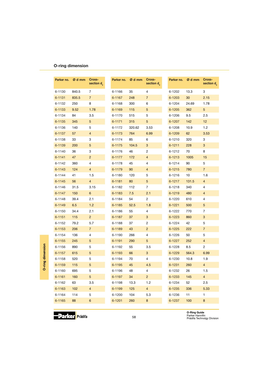| Parker no. | Ø d mm | Cross-<br>section d <sub>2</sub> | Parker no. | Ø d mm | Cross-<br>section d <sub>2</sub> |
|------------|--------|----------------------------------|------------|--------|----------------------------------|
| 6-1130     | 840.5  | 7                                | 6-1166     | 35     | $\overline{4}$                   |
| 6-1131     | 835.5  | $\overline{7}$                   | 6-1167     | 248    | $\overline{7}$                   |
| 6-1132     | 250    | 8                                | 6-1168     | 300    | 6                                |
| 6-1133     | 9.52   | 1.78                             | 6-1169     | 115    | 5                                |
| 6-1134     | 84     | 3.5                              | 6-1170     | 515    | 5                                |
| 6-1135     | 345    | 5                                | 6-1171     | 315    | 5                                |
| 6-1136     | 140    | 5                                | 6-1172     | 320.62 | 3.53                             |
| 6-1137     | 57     | $\overline{4}$                   | 6-1173     | 764    | 6.99                             |
| 6-1138     | 33     | 3                                | 6-1174     | 85     | 6                                |
| 6-1139     | 200    | 5                                | 6-1175     | 104.5  | 3                                |
| 6-1140     | 36     | 3                                | 6-1176     | 46     | 2                                |
| $6 - 1141$ | 47     | $\overline{2}$                   | 6-1177     | 172    | $\overline{4}$                   |
| 6-1142     | 360    | 4                                | 6-1178     | 45     | 4                                |
| 6-1143     | 124    | 4                                | 6-1179     | 90     | $\overline{4}$                   |
| 6-1144     | 41     | 1.5                              | 6-1180     | 120    | 5                                |
| 6-1145     | 56     | $\overline{4}$                   | 6-1181     | 80     | 5                                |
| 6-1146     | 31.5   | 3.15                             | 6-1182     | 112    | $\overline{7}$                   |
| 6-1147     | 150    | 6                                | 6-1183     | 7.5    | 2.1                              |
| 6-1148     | 39.4   | 2.1                              | 6-1184     | 54     | 2                                |
| 6-1149     | 6.5    | 1.2                              | 6-1185     | 52.5   | 1.8                              |
| 6-1150     | 34.4   | 2.1                              | 6-1186     | 55     | 4                                |
| 6-1151     | 115    | $\overline{2}$                   | 6-1187     | 37     | 3                                |
| 6-1152     | 79.2   | 5.7                              | 6-1188     | 37     | $\overline{c}$                   |
| $6 - 1153$ | 206    | $\overline{7}$                   | 6-1189     | 43     | $\overline{2}$                   |
| 6-1154     | 136    | 4                                | 6-1190     | 266    | 4                                |
| 6-1155     | 245    | 5                                | 6-1191     | 290    | 5                                |
| 6-1156     | 890    | 5                                | 6-1192     | 55     | 3.5                              |
| 6-1157     | 615    | 5                                | 6-1193     | 66     | 3                                |
| 6-1158     | 520    | 5                                | 6-1194     | 70     | 4                                |
| 6-1159     | 115    | 5                                | 6-1195     | 45     | 4.5                              |
| 6-1160     | 695    | 5                                | 6-1196     | 48     | 4                                |
| 6-1161     | 160    | 5                                | 6-1197     | 34     | $\overline{2}$                   |
| 6-1162     | 63     | 3.5                              | 6-1198     | 13.3   | 1.2                              |
| 6-1163     | 102    | $\overline{4}$                   | 6-1199     | 125    | $\overline{4}$                   |
| 6-1164     | 114    | 5                                | 6-1200     | 104    | 5.3                              |
| 6-1165     | 88     | 6                                | 6-1201     | 260    | 8                                |

|            | Parker no. Ø d mm | Cross-<br>section d <sub>2</sub> |
|------------|-------------------|----------------------------------|
| 6-1202     | 13.3              | 3                                |
| 6-1203     | 30                | 2.15                             |
| 6-1204     | 24.69             | 1.78                             |
| 6-1205     | 362               | 5                                |
| 6-1206     | 9.5               | 2.5                              |
| 6-1207     | 142               | 12 <sub>2</sub>                  |
| 6-1208     | 10.9              | 1.2                              |
| 6-1209     | 62                | 3.53                             |
| 6-1210     | 320               | 3                                |
| $6 - 1211$ | 228               | 3                                |
| 6-1212     | 70                | 8                                |
| 6-1213     | 1005              | 15                               |
| 6-1214     | 90                | 5                                |
| 6-1215     | 780               | $\overline{7}$                   |
| 6-1216     | 10                | 1.6                              |
| 6-1217     | 131.5             | 4                                |
| $6 - 1218$ | 340               | $\overline{4}$                   |
| 6-1219     | 480               | 4                                |
| 6-1220     | 610               | 4                                |
| $6 - 1221$ | 500               | 5                                |
| 6-1222     | 770               | 7                                |
| 6-1223     | 860               | 3                                |
| 6-1224     | 42                | 5                                |
| 6-1225     | 222               | $\overline{7}$                   |
| 6-1226     | 50                | 5                                |
| 6-1227     | 252               | 4                                |
| 6-1228     | 8.5               | $\overline{c}$                   |
| 6-1229     | 564.3             | 6.99                             |
| 6-1230     | 10.8              | 1.9                              |
| 6-1231     | 260               | 4                                |
| 6-1232     | 26                | 1.5                              |
| 6-1233     | 145               | 4                                |
| 6-1234     | 52                | 2.5                              |
| 6-1235     | 336               | 5.33                             |
| 6-1236     | 11                | 1                                |
| 6-1237     | 100               | 8                                |

**- Parker** Prädifa

O-ring dimension

O-ring dimension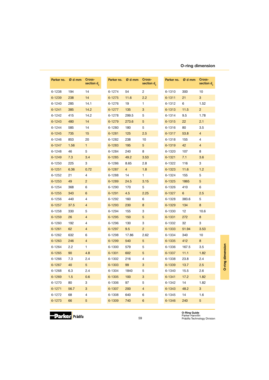| Parker no. | Ø d mm | Cross-<br>section d <sub>2</sub> | Parker no. | Ø d mm                  | Cross-<br>section d. | Parker no. | Ø d mm         | Cross-<br>section d <sub>2</sub> |
|------------|--------|----------------------------------|------------|-------------------------|----------------------|------------|----------------|----------------------------------|
| 6-1238     | 194    | 14                               | 6-1274     | 54                      | $\overline{c}$       | 6-1310     | 300            | 10                               |
| 6-1239     | 238    | 14                               | 6-1275     | 11.6                    | 2.2                  | $6 - 1311$ | 21             | 3                                |
| 6-1240     | 285    | 14.1                             | 6-1276     | 19                      | 1                    | 6-1312     | 6              | 1.52                             |
| $6 - 1241$ | 385    | 14.2                             | 6-1277     | 135                     | 3                    | 6-1313     | 11.5           | $\overline{2}$                   |
| 6-1242     | 415    | 14.2                             | 6-1278     | 299.5                   | 5                    | 6-1314     | 9.5            | 1.78                             |
| 6-1243     | 480    | 14                               | 6-1279     | 273.6                   | 5                    | 6-1315     | 22             | 2.1                              |
| 6-1244     | 585    | 14                               | 6-1280     | 180                     | 5                    | 6-1316     | 80             | 3.5                              |
| 6-1245     | 735    | 15                               | $6 - 1281$ | 125                     | 2.5                  | 6-1317     | 53.8           | $\overline{4}$                   |
| 6-1246     | 853    | 20                               | 6-1282     | 238                     | 10                   | 6-1318     | 155            | 4                                |
| 6-1247     | 1.56   | $\mathbf{1}$                     | 6-1283     | 195                     | 5                    | 6-1319     | 42             | $\overline{4}$                   |
| 6-1248     | 46     | 5                                | 6-1284     | 240                     | 8                    | 6-1320     | 107            | 8                                |
| 6-1249     | 7.3    | 3.4                              | 6-1285     | 49.2                    | 3.53                 | 6-1321     | 7.1            | 3.6                              |
| 6-1250     | 225    | 3                                | 6-1286     | 8.65                    | 2.8                  | 6-1322     | 116            | 3                                |
| $6 - 1251$ | 6.36   | 0.72                             | 6-1287     | $\overline{\mathbf{4}}$ | 1.8                  | 6-1323     | 11.6           | 1.2                              |
| 6-1252     | 21     | $\overline{4}$                   | 6-1288     | 14                      | 1                    | 6-1324     | 155            | 5                                |
| 6-1253     | 49     | $\overline{2}$                   | 6-1289     | 24.5                    | 3.15                 | 6-1325     | 1865           | 5                                |
| 6-1254     | 368    | 6                                | 6-1290     | 170                     | 5                    | 6-1326     | 410            | 6                                |
| 6-1255     | 343    | 6                                | 6-1291     | 4.5                     | 2.25                 | 6-1327     | $6\phantom{1}$ | 2.5                              |
| 6-1256     | 440    | $\overline{4}$                   | 6-1292     | 160                     | 6                    | 6-1328     | 383.6          | 5                                |
| 6-1257     | 37.5   | $\overline{4}$                   | 6-1293     | 230                     | 8                    | 6-1329     | 134            | 8                                |
| 6-1258     | 330    | 5                                | 6-1294     | 155                     | 3                    | 6-1330     | 12             | 10.6                             |
| 6-1259     | 26     | $\overline{4}$                   | 6-1295     | 150                     | 5                    | 6-1331     | 272            | 8                                |
| 6-1260     | 192    | $\overline{4}$                   | 6-1296     | 130                     | 3                    | 6-1332     | 32             | 3                                |
| 6-1261     | 62     | $\overline{4}$                   | 6-1297     | 9.5                     | $\overline{2}$       | 6-1333     | 51.94          | 3.53                             |
| 6-1262     | 632    | 6                                | 6-1298     | 17.86                   | 2.62                 | 6-1334     | 340            | 10                               |
| 6-1263     | 246    | $\overline{4}$                   | 6-1299     | 540                     | 5                    | 6-1335     | 412            | 8                                |
| 6-1264     | 2.2    | 1                                | 6-1300     | 579                     | 5                    | 6-1336     | 167.5          | 3.5                              |
| 6-1265     | 90     | 4.8                              | 6-1301     | 602                     | 5                    | 6-1337     | 11.1           | 1.82                             |
| 6-1266     | 7.3    | 2.4                              | 6-1302     | 216                     | $\overline{4}$       | 6-1338     | 23.8           | 2.4                              |
| 6-1267     | 40     | 5                                | 6-1303     | 99                      | 3                    | 6-1339     | 13.7           | 2.5                              |
| 6-1268     | 6.3    | 2.4                              | 6-1304     | 1840                    | 5                    | 6-1340     | 15.5           | 2.6                              |
| 6-1269     | 1.5    | 0.6                              | 6-1305     | 100                     | 3                    | 6-1341     | 17.2           | 1.82                             |
| 6-1270     | 80     | 3                                | 6-1306     | 97                      | 5                    | 6-1342     | 14             | 1.82                             |
| 6-1271     | 56.7   | 3                                | 6-1307     | 200                     | 4                    | 6-1343     | 48.2           | 3                                |
| 6-1272     | 68     | 4                                | 6-1308     | 640                     | 6                    | 6-1345     | 14             | 1.6                              |
| 6-1273     | 66     | 5                                | 6-1309     | 740                     | 6                    | 6-1346     | 240            | $\sqrt{5}$                       |

**Parker** Prädifa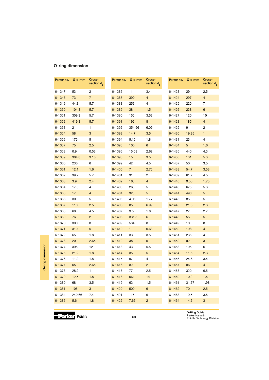| Parker no. | $Ø$ d mm | Cross-<br>section d <sub>2</sub> | Parker no. | Ø d mm         | Cross-<br>section        |
|------------|----------|----------------------------------|------------|----------------|--------------------------|
| 6-1347     | 53       | 2                                | 6-1386     | 11             | 3.4                      |
| 6-1348     | 73       | $\overline{7}$                   | 6-1387     | 390            | $\overline{4}$           |
| 6-1349     | 44.3     | 5.7                              | 6-1388     | 256            | $\overline{\mathcal{L}}$ |
| 6-1350     | 104.3    | 5.7                              | 6-1389     | 38             | 1.5                      |
| 6-1351     | 309.3    | 5.7                              | 6-1390     | 155            | 3.53                     |
| 6-1352     | 419.3    | 5.7                              | 6-1391     | 192            | 8                        |
| 6-1353     | 21       | 1                                | 6-1392     | 354.96         | 6.09                     |
| 6-1354     | 58       | 3                                | 6-1393     | 14.7           | 3.5                      |
| 6-1356     | 175      | 5                                | 6-1394     | 5.15           | 1.8                      |
| 6-1357     | 75       | 2.5                              | 6-1395     | 100            | 6                        |
| 6-1358     | 0.9      | 0.53                             | 6-1396     | 15.08          | 2.62                     |
| 6-1359     | 304.8    | 3.18                             | 6-1398     | 15             | 3.5                      |
| 6-1360     | 236      | 6                                | 6-1399     | 42             | 4.5                      |
| 6-1361     | 12.1     | 1.6                              | 6-1400     | $\overline{7}$ | 2.75                     |
| 6-1362     | 39.2     | 5.7                              | 6-1401     | 31             | 2                        |
| 6-1363     | 3.9      | 2.4                              | 6-1402     | 165            | 4                        |
| 6-1364     | 17.5     | 4                                | 6-1403     | 265            | 5                        |
| 6-1365     | 17       | $\overline{4}$                   | 6-1404     | 325            | 5                        |
| 6-1366     | 30       | 5                                | 6-1405     | 4.05           | 1.77                     |
| 6-1367     | 110      | 2.5                              | 6-1406     | 85             | 6.99                     |
| 6-1368     | 60       | 4.5                              | 6-1407     | 9.5            | 1.8                      |
| 6-1369     | 76       | $\overline{2}$                   | 6-1408     | 331.5          | 6                        |
| 6-1370     | 300      | 8                                | 6-1409     | 534            | 8                        |
| 6-1371     | 310      | 5                                | 6-1410     | $\mathbf{1}$   | 0.63                     |
| 6-1372     | 65       | 1.8                              | 6-1411     | 33             | 3.5                      |
| 6-1373     | 20       | 2.65                             | 6-1412     | 38             | 5                        |
| 6-1374     | 395      | 12                               | 6-1413     | 43             | 5.5                      |
| 6-1375     | 21.2     | 1.8                              | 6-1414     | 35             | 5                        |
| 6-1376     | 11.2     | 1.8                              | 6-1415     | 97             | 4                        |
| 6-1377     | 65       | 2.65                             | 6-1416     | 8.1            | $\overline{2}$           |
| 6-1378     | 28.2     | 1                                | 6-1417     | 77             | 2.5                      |
| 6-1379     | 12.5     | 1.8                              | 6-1418     | 661            | 14                       |
| 6-1380     | 68       | 3.5                              | 6-1419     | 62             | 1.5                      |
| 6-1381     | 105      | 3                                | 6-1420     | 500            | 6                        |
| 6-1384     | 240.66   | 7.4                              | 6-1421     | 115            | 6                        |
| 6-1385     | 5.6      | 1.8                              | 6-1422     | 7.65           | $\overline{2}$           |
|            |          |                                  |            |                |                          |

|        | Parker no. Ø d mm | Cross-<br>section d <sub>2</sub> |
|--------|-------------------|----------------------------------|
| 6-1423 | 29                | 2.5                              |
| 6-1424 | 297               | 4                                |
| 6-1425 | 220               | 7                                |
| 6-1426 | 238               | 6                                |
| 6-1427 | 120               | 10                               |
| 6-1428 | 185               | 4                                |
| 6-1429 | 91                | $\overline{c}$                   |
| 6-1430 | 19.35             | $\overline{1}$                   |
| 6-1431 | 23                | 4                                |
| 6-1434 | 5                 | 1.6                              |
| 6-1435 | 440               | 4.3                              |
| 6-1436 | 131               | 5.3                              |
| 6-1437 | 50                | 3.5                              |
| 6-1438 | 54.7              | 3.53                             |
| 6-1439 | 61.7              | 4.5                              |
| 6-1440 | 9.55              | 1.75                             |
| 6-1443 | 675               | 5.3                              |
| 6-1444 | 490               | 5                                |
| 6-1445 | 85                | 5                                |
| 6-1446 | 21.3              | 2.3                              |
| 6-1447 | 27                | 2.7                              |
| 6-1448 | 55                | 5                                |
| 6-1449 | 10                | 8                                |
| 6-1450 | 198               | 4                                |
| 6-1451 | 235               | 4                                |
| 6-1452 | 92                | 3                                |
| 6-1453 | 195               | 6                                |
| 6-1454 | 11.5              | 2.3                              |
| 6-1456 | 24.6              | 3.4                              |
| 6-1457 | 86                | $\overline{4}$                   |
| 6-1458 | 320               | 6.5                              |
| 6-1460 | 10.2              | 1.5                              |
| 6-1461 | 31.57             | 1.98                             |
| 6-1462 | 70                | 2.5                              |
| 6-1463 | 19.5              | 3.5                              |
| 6-1464 | 14.5              | 3                                |

section  $d<sub>2</sub>$ 

**-Parker** Prädifa

O-ring dimension

O-ring dimension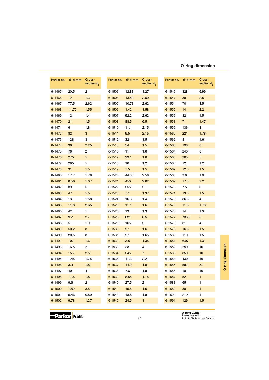| Parker no. | Ø d mm | Cross-<br>section d <sub>2</sub> | Parker no. | Ø d mm | Cross-<br>section d. | Parker no. | Ø d mm         | Cross-<br>section d <sub>2</sub> |
|------------|--------|----------------------------------|------------|--------|----------------------|------------|----------------|----------------------------------|
| 6-1465     | 20.5   | $\overline{2}$                   | 6-1503     | 12.83  | 1.27                 | 6-1546     | 328            | 6.99                             |
| 6-1466     | 12     | 1.3                              | 6-1504     | 13.59  | 2.69                 | 6-1547     | 39             | 2.5                              |
| 6-1467     | 77.5   | 2.62                             | 6-1505     | 10.78  | 2.62                 | 6-1554     | 70             | 3.5                              |
| 6-1468     | 11.75  | 1.55                             | 6-1506     | 1.42   | 1.58                 | $6 - 1555$ | 14             | 2.2                              |
| 6-1469     | 12     | 1.4                              | 6-1507     | 92.2   | 2.62                 | 6-1556     | 32             | 1.5                              |
| 6-1470     | 21     | 1.5                              | 6-1508     | 88.5   | 6.5                  | 6-1558     | $\overline{7}$ | 1.47                             |
| 6-1471     | 6      | 1.8                              | 6-1510     | 11.1   | 2.15                 | 6-1559     | 136            | 3                                |
| 6-1472     | 82     | 3                                | 6-1511     | 9.5    | 2.15                 | 6-1560     | 221            | 1.78                             |
| 6-1473     | 128    | 3                                | 6-1512     | 32     | 1.5                  | 6-1562     | 8              | 1.6                              |
| 6-1474     | 30     | 2.25                             | 6-1513     | 54     | 1.5                  | 6-1563     | 198            | 8                                |
| 6-1475     | 78     | $\overline{c}$                   | 6-1516     | 11     | 1.6                  | 6-1564     | 240            | 8                                |
| 6-1476     | 275    | 5                                | 6-1517     | 29.1   | 1.6                  | 6-1565     | 205            | 5                                |
| 6-1477     | 285    | 5                                | 6-1518     | 10     | 1.2                  | 6-1566     | 12             | 1.2                              |
| 6-1478     | 31     | 1.5                              | 6-1519     | 7.5    | 1.5                  | 6-1567     | 12.5           | 1.5                              |
| 6-1480     | 17.7   | 1.78                             | 6-1520     | 44.35  | 2.58                 | 6-1568     | 3.8            | 1.9                              |
| 6-1481     | 8.56   | 1.07                             | 6-1521     | 450    | 2.62                 | 6-1569     | 17.3           | 2.2                              |
| 6-1482     | 39     | 5                                | 6-1522     | 255    | 5                    | 6-1570     | 7.5            | 3                                |
| 6-1483     | 47     | 5.5                              | 6-1523     | 7.1    | 1.37                 | 6-1571     | 13.5           | 1.5                              |
| 6-1484     | 13     | 1.58                             | 6-1524     | 16.3   | 1.4                  | 6-1573     | 86.5           | 4                                |
| 6-1485     | 11.8   | 2.65                             | $6 - 1525$ | 11.1   | 1.6                  | 6-1575     | 11.5           | 1.78                             |
| 6-1486     | 42     | 1                                | 6-1526     | 13     | 1.3                  | 6-1576     | 14             | 1.3                              |
| 6-1487     | 9.2    | 2.7                              | 6-1528     | 621    | 8.5                  | 6-1577     | 736.6          | 5                                |
| 6-1488     | 5      | 1.9                              | 6-1529     | 165    | 5                    | 6-1578     | 31             | 4                                |
| 6-1489     | 50.2   | 3                                | 6-1530     | 9.1    | 1.6                  | 6-1579     | 16.5           | 1.5                              |
| 6-1490     | 20.5   | 3                                | 6-1531     | 9.1    | 1.65                 | 6-1580     | 110            | 1.5                              |
| 6-1491     | 10.1   | 1.6                              | 6-1532     | 3.5    | 1.35                 | 6-1581     | 6.07           | 1.3                              |
| 6-1493     | 16.5   | 2                                | 6-1533     | 28     | $\overline{4}$       | 6-1582     | 250            | 10                               |
| 6-1494     | 15.7   | 2.5                              | 6-1534     | 245    | $\overline{7}$       | 6-1583     | 350            | 10                               |
| 6-1495     | 1.45   | 1.75                             | 6-1536     | 11.3   | 2.2                  | 6-1584     | 430            | 16                               |
| 6-1496     | 3.9    | 1.8                              | 6-1537     | 14.2   | 1.9                  | 6-1585     | 59.2           | 5.7                              |
| 6-1497     | 40     | 4                                | 6-1538     | 7.6    | 1.9                  | 6-1586     | 18             | 10                               |
| 6-1498     | 11.5   | 1.8                              | 6-1539     | 8.55   | 1.75                 | 6-1587     | 52             | $\mathbf{1}$                     |
| 6-1499     | 9.6    | 2                                | 6-1540     | 27.5   | $\overline{c}$       | 6-1588     | 65             | 1                                |
| 6-1500     | 7.52   | 3.51                             | 6-1541     | 15.5   | 1.5                  | 6-1589     | 38             | 1                                |
| 6-1501     | 5.46   | 0.89                             | 6-1543     | 18.8   | 1.9                  | 6-1590     | 21.5           | 1                                |
| 6-1502     | 9.78   | 1.27                             | 6-1545     | 24.5   | $\mathbf{1}$         | 6-1591     | 129            | 1.5                              |
|            |        |                                  |            |        |                      |            |                |                                  |

**Parker** Prädifa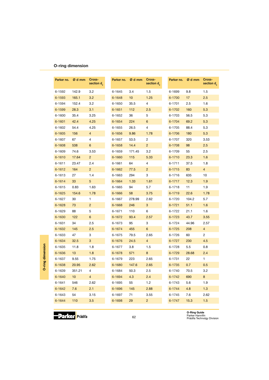| Parker no. | Ø d mm | Cross-<br>section d <sub>2</sub> | Parker no. | Ødmm   | Cross-<br>section d, |
|------------|--------|----------------------------------|------------|--------|----------------------|
| 6-1592     | 142.9  | 3.2                              | 6-1645     | 3.4    | 1.5                  |
| 6-1593     | 165.1  | 3.2                              | 6-1648     | 10     | 1.25                 |
| 6-1594     | 152.4  | 3.2                              | 6-1650     | 35.5   | 4                    |
| 6-1599     | 28.3   | 3.1                              | 6-1651     | 112    | 2.5                  |
| 6-1600     | 35.4   | 3.25                             | 6-1652     | 36     | 5                    |
| 6-1601     | 42.4   | 4.25                             | 6-1654     | 224    | 6                    |
| 6-1602     | 54.4   | 4.25                             | 6-1655     | 26.5   | 4                    |
| 6-1605     | 156    | $\overline{4}$                   | 6-1656     | 9.86   | 1.78                 |
| 6-1607     | 67     | 4                                | 6-1657     | 53.5   | 2                    |
| 6-1608     | 538    | 6                                | 6-1658     | 14.4   | $\overline{2}$       |
| 6-1609     | 74.6   | 3.53                             | 6-1659     | 171.45 | 3.2                  |
| 6-1610     | 17.64  | $\overline{2}$                   | 6-1660     | 115    | 5.33                 |
| 6-1611     | 23.47  | 2.4                              | 6-1661     | 64     | 4                    |
| 6-1612     | 164    | $\overline{2}$                   | 6-1662     | 77.5   | $\overline{2}$       |
| 6-1613     | 27     | 1.4                              | 6-1663     | 294    | 3                    |
| 6-1614     | 33     | 5                                | 6-1664     | 1.33   | 1.61                 |
| 6-1615     | 0.83   | 1.63                             | 6-1665     | 94     | 5.7                  |
| 6-1625     | 154.6  | 1.78                             | 6-1666     | 58     | 3.75                 |
| 6-1627     | 30     | 1                                | 6-1667     | 278.99 | 2.62                 |
| 6-1628     | 73     | $\overline{2}$                   | 6-1668     | 246    | 3                    |
| 6-1629     | 88     | 5                                | 6-1671     | 110    | 6                    |
| 6-1630     | 122    | 6                                | 6-1672     | 93.4   | 2.57                 |
| 6-1631     | 34     | 2.5                              | 6-1673     | 95     | 3                    |
| 6-1632     | 145    | 2.5                              | 6-1674     | 455    | 6                    |
| 6-1633     | 47     | 3                                | 6-1675     | 79.5   | 2.65                 |
| 6-1634     | 32.5   | 3                                | 6-1676     | 24.5   | $\overline{4}$       |
| 6-1635     | 11.8   | 1.8                              | 6-1677     | 3.8    | 1.5                  |
| 6-1636     | 13     | 1.8                              | 6-1678     | 571    | 8                    |
| 6-1637     | 9.55   | 1.75                             | 6-1679     | 223    | 2.65                 |
| 6-1638     | 20.95  | 2.62                             | 6-1680     | 147.6  | 2.65                 |
| 6-1639     | 351.21 | 4                                | 6-1684     | 50.3   | 2.5                  |
| 6-1640     | 10     | $\overline{4}$                   | 6-1694     | 4.3    | 2.4                  |
| 6-1641     | 546    | 2.62                             | 6-1695     | 55     | 1.2                  |
| 6-1642     | 7.6    | 2.1                              | 6-1696     | 145    | 2.88                 |
| 6-1643     | 54     | 3.15                             | 6-1697     | 71     | 3.55                 |
| 6-1644     | 110    | 3.5                              | 6-1698     | 29     | $\overline{c}$       |
|            |        |                                  |            |        |                      |

|        | Parker no. Ø d mm | Cross-<br>section $\mathbf{d}_{2}$ |
|--------|-------------------|------------------------------------|
| 6-1699 | 9.8               | 1.5                                |
| 6-1700 | 17                | 2.5                                |
| 6-1701 | 2.5               | 1.6                                |
| 6-1702 | 160               | 5.3                                |
| 6-1703 | 56.5              | 5.3                                |
| 6-1704 | 69.2              | 5.3                                |
| 6-1705 | 88.4              | 5.3                                |
| 6-1706 | 180               | 5.3                                |
| 6-1707 | 320               | 3.53                               |
| 6-1708 | 98                | 2.5                                |
| 6-1709 | 55                | 2.5                                |
| 6-1710 | 23.3              | 1.6                                |
| 6-1711 | 37.5              | 1.8                                |
| 6-1715 | 83                | $\overline{4}$                     |
| 6-1716 | 635               | 10                                 |
| 6-1717 | 12.3              | 1.9                                |
| 6-1718 | 11                | 1.9                                |
| 6-1719 | 22.6              | 1.78                               |
| 6-1720 | 104.2             | 5.7                                |
| 6-1721 | 51.1              | 1.6                                |
| 6-1722 | 21.1              | 1.6                                |
| 6-1723 | 43.7              | 3.55                               |
| 6-1724 | 44.96             | 2.57                               |
| 6-1725 | 208               | $\overline{4}$                     |
| 6-1726 | 60                | $\overline{2}$                     |
| 6-1727 | 230               | 4.5                                |
| 6-1728 | 5.5               | 0.8                                |
| 6-1729 | 28.68             | 2.4                                |
| 6-1731 | 22                | 1                                  |
| 6-1735 | 0.7               | 0.5                                |
| 6-1740 | 70.5              | 3.2                                |
| 6-1742 | 690               | 8                                  |
| 6-1743 | 5.6               | 1.9                                |
| 6-1744 | 4.8               | 1.3                                |
| 6-1745 | 7.6               | 2.62                               |
| 6-1747 | 15.3              | 1.5                                |

**-Parker** Prädifa

O-ring dimension

O-ring dimension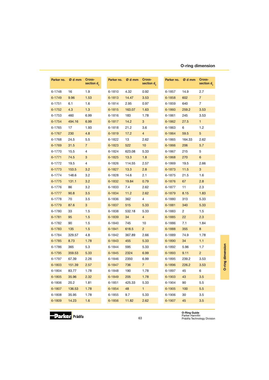| Parker no. | Ø d mm | Cross-<br>section d | Parker no. | Ø d mm | Cross-<br>section d. | Parker no. | Ø d mm | Cross-<br>section d. |
|------------|--------|---------------------|------------|--------|----------------------|------------|--------|----------------------|
| 6-1748     | 16     | 1.9                 | 6-1810     | 4.32   | 0.92                 | 6-1857     | 14.9   | 2.7                  |
| 6-1749     | 9.96   | 1.53                | 6-1813     | 14.47  | 3.53                 | 6-1858     | 602    | 7                    |
| 6-1751     | 6.1    | 1.6                 | 6-1814     | 2.95   | 0.97                 | 6-1859     | 640    | 7                    |
| 6-1752     | 4.3    | 1.3                 | 6-1815     | 163.07 | 1.63                 | 6-1860     | 259.2  | 3.53                 |
| 6-1753     | 460    | 6.99                | 6-1816     | 183    | 1.78                 | 6-1861     | 245    | 3.53                 |
| 6-1754     | 494.16 | 6.99                | 6-1817     | 14.2   | 3                    | 6-1862     | 27.5   | 1                    |
| 6-1765     | 17     | 1.93                | 6-1818     | 21.2   | 3.6                  | 6-1863     | 6      | 1.2                  |
| 6-1767     | 230    | 4.8                 | 6-1819     | 17.2   | $\overline{4}$       | 6-1864     | 59.5   | 5                    |
| 6-1768     | 24.5   | 5.5                 | 6-1822     | 13     | 2.62                 | 6-1865     | 164.33 | 2.62                 |
| 6-1769     | 31.5   | $\overline{7}$      | 6-1823     | 522    | 10                   | 6-1866     | 206    | 5.7                  |
| 6-1770     | 15.5   | $\overline{4}$      | 6-1824     | 623.08 | 5.33                 | 6-1867     | 215    | 5                    |
| 6-1771     | 74.5   | 3                   | 6-1825     | 13.3   | 1.8                  | 6-1868     | 270    | 6                    |
| 6-1772     | 19.5   | 4                   | 6-1826     | 114.55 | 2.57                 | 6-1869     | 19.5   | 2.66                 |
| 6-1773     | 153.5  | 3.2                 | 6-1827     | 13.3   | 2.8                  | 6-1873     | 11.5   | 3                    |
| 6-1774     | 148.6  | 3.2                 | 6-1828     | 14.6   | 2.1                  | 6-1875     | 21.5   | 1.6                  |
| 6-1775     | 131.1  | 3.2                 | 6-1832     | 19.84  | 0.79                 | 6-1876     | 67     | 2.8                  |
| 6-1776     | 86     | 3.2                 | 6-1833     | 7.4    | 2.62                 | 6-1877     | 11     | 2.3                  |
| 6-1777     | 90.8   | 3.5                 | 6-1834     | 11.2   | 2.62                 | 6-1879     | 8.15   | 1.83                 |
| 6-1778     | 70     | 3.5                 | 6-1836     | 362    | 4                    | 6-1880     | 313    | 5.33                 |
| 6-1779     | 87.6   | 3                   | 6-1837     | 515    | 5.33                 | 6-1881     | 340    | 5.33                 |
| 6-1780     | 33     | 1.5                 | 6-1838     | 532.18 | 5.33                 | 6-1883     | 2      | 1.5                  |
| 6-1781     | 95     | 1.5                 | 6-1839     | 34     | $\overline{4}$       | 6-1885     | 22     | 2.3                  |
| 6-1782     | 90     | 1.5                 | 6-1840     | 745    | 10                   | 6-1886     | 7.1    | 1.84                 |
| 6-1783     | 135    | 1.5                 | 6-1841     | 618.5  | $\overline{c}$       | 6-1888     | 355    | 8                    |
| 6-1784     | 329.57 | 4.8                 | 6-1842     | 367.89 | 2.66                 | 6-1889     | 74.9   | 1.78                 |
| 6-1785     | 8.73   | 1.78                | 6-1843     | 455    | 5.33                 | 6-1890     | 34     | 1.1                  |
| 6-1786     | 365    | 5.3                 | 6-1844     | 595    | 5.33                 | 6-1892     | 5.96   | 1.7                  |
| 6-1795     | 359.53 | 5.33                | 6-1845     | 2324   | 6.99                 | 6-1893     | 9.11   | $\overline{c}$       |
| 6-1797     | 67.39  | 2.26                | 6-1846     | 2350   | 6.99                 | 6-1895     | 239.2  | 3.53                 |
| 6-1803     | 151.39 | 2.57                | 6-1847     | 736    | $\overline{7}$       | 6-1896     | 226.2  | 3.53                 |
| 6-1804     | 83.77  | 1.78                | 6-1848     | 190    | 1.78                 | 6-1897     | 45     | 6                    |
| 6-1805     | 35.96  | 2.32                | 6-1849     | 205    | 1.78                 | 6-1903     | 43     | 3.5                  |
| 6-1806     | 20.2   | 1.81                | 6-1851     | 425.33 | 5.33                 | 6-1904     | 90     | 5.5                  |
| 6-1807     | 136.53 | 1.78                | 6-1854     | 48     | 1                    | 6-1905     | 100    | 5.5                  |
| 6-1808     | 35.95  | 1.78                | 6-1855     | 9.7    | 5.33                 | 6-1906     | 30     | 3.5                  |
|            |        |                     | 6-1856     |        | 2.62                 | 6-1907     | 45     | 3.5                  |

**Parker** Prädifa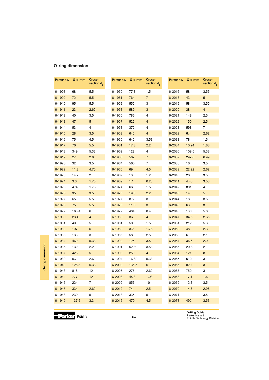| Parker no. | Ø d mm | Cross-<br>section d.     | Parker no. | Ø d mm | Cross-<br>section d.      | Parker no. | Ø d mm | Cross-<br>section       |
|------------|--------|--------------------------|------------|--------|---------------------------|------------|--------|-------------------------|
| 6-1908     | 68     | 5.5                      | 6-1950     | 77.8   | 1.5                       | 6-2016     | 58     | 3.55                    |
| 6-1909     | 72     | 5.5                      | 6-1951     | 764    | $\overline{7}$            | 6-2018     | 43     | 5                       |
| 6-1910     | 95     | 5.5                      | 6-1952     | 555    | 3                         | 6-2019     | 58     | 3.55                    |
| 6-1911     | 23     | 2.62                     | 6-1953     | 589    | $\ensuremath{\mathsf{3}}$ | 6-2020     | 38     | $\overline{4}$          |
| 6-1912     | 40     | 3.5                      | 6-1956     | 786    | 4                         | 6-2021     | 148    | 2.5                     |
| 6-1913     | 47     | 5                        | 6-1957     | 522    | $\overline{4}$            | 6-2022     | 150    | 2.5                     |
| 6-1914     | 53     | 4                        | 6-1958     | 372    | 4                         | 6-2023     | 598    | $\overline{7}$          |
| 6-1915     | 28     | 3.5                      | 6-1959     | 645    | $\overline{4}$            | 6-2032     | 6.4    | 2.62                    |
| 6-1916     | 75     | 4.5                      | 6-1960     | 645    | 3.53                      | 6-2033     | 78     | 1.5                     |
| 6-1917     | 70     | 5.5                      | 6-1961     | 17.3   | 2.2                       | 6-2034     | 10.24  | 1.83                    |
| 6-1918     | 349    | 5.33                     | 6-1962     | 128    | 4                         | 6-2036     | 109.5  | 5.33                    |
| 6-1919     | 27     | 2.8                      | 6-1963     | 587    | $\overline{7}$            | 6-2037     | 297.8  | 6.99                    |
| 6-1920     | 32     | 3.5                      | 6-1964     | 560    | 7                         | 6-2038     | 16     | 3.5                     |
| 6-1922     | 11.3   | 4.75                     | 6-1966     | 69     | 4.5                       | 6-2039     | 22.22  | 2.62                    |
| 6-1923     | 14.2   | $\overline{c}$           | 6-1967     | 13     | 1.2                       | 6-2040     | 26     | 3.5                     |
| 6-1924     | 3.3    | 1.78                     | 6-1969     | 1.1    | 0.25                      | 6-2041     | 4.45   | 3.53                    |
| 6-1925     | 4.09   | 1.78                     | 6-1974     | 66     | 1.5                       | 6-2042     | 801    | $\overline{\mathbf{4}}$ |
| 6-1926     | 35     | 3.5                      | 6-1975     | 19.3   | 2.2                       | 6-2043     | 14     | 5                       |
| 6-1927     | 65     | 5.5                      | 6-1977     | 8.5    | 3                         | 6-2044     | 18     | 3.5                     |
| 6-1928     | 75     | 5.5                      | 6-1978     | 11.8   | 3                         | 6-2045     | 63     | 3                       |
| 6-1929     | 168.4  | 6                        | 6-1979     | 484    | 8.4                       | 6-2046     | 130    | 5.8                     |
| 6-1930     | 23.4   | $\overline{\mathcal{A}}$ | 6-1980     | 36     | 4                         | 6-2047     | 34.5   | 2.65                    |
| 6-1931     | 49.5   | 5                        | 6-1981     | 50     | 1.5                       | 6-2051     | 212    | 5.3                     |
| 6-1932     | 197    | 6                        | 6-1982     | 3.2    | 1.78                      | 6-2052     | 48     | 2.3                     |
| 6-1933     | 133    | 3                        | 6-1985     | 58     | 2.5                       | 6-2053     | 6      | 2.1                     |
| 6-1934     | 469    | 5.33                     | 6-1990     | 125    | 3.5                       | 6-2054     | 36.6   | 2.9                     |
| 6-1936     | 13.3   | 2.2                      | 6-1991     | 52.39  | 3.53                      | 6-2055     | 20.8   | $\overline{c}$          |
| 6-1937     | 428    | 5                        | 6-1993     | 250    | 4                         | 6-2064     | 121    | 8                       |
| 6-1939     | 5.7    | 2.62                     | 6-1994     | 16.82  | 5.33                      | 6-2065     | 510    | 3                       |
| 6-1942     | 126.3  | 5.33                     | 6-2000     | 135.5  | 6                         | 6-2066     | 820    | 3                       |
| 6-1943     | 818    | 12                       | 6-2005     | 276    | 2.62                      | 6-2067     | 750    | 3                       |
| 6-1944     | 777    | 12                       | 6-2008     | 45.3   | 1.93                      | 6-2068     | 17.1   | 1.6                     |
| 6-1945     | 224    | 7                        | 6-2009     | 855    | 10                        | 6-2069     | 12.3   | 3.5                     |
| 6-1947     | 334    | 2.62                     | 6-2012     | 74     | 2.5                       | 6-2070     | 14.6   | 2.95                    |
| 6-1948     | 230    | 5                        | 6-2013     | 335    | 5                         | 6-2071     | 11     | 3.5                     |
| 6-1949     | 137.5  | 3.3                      | 6-2015     | 470    | 4.5                       | 6-2073     | 492    | 3.53                    |

 $2.62$  $3.5$  $3.53$ 6-2042 801 4 6-2043 14 5 3.5 6-2045 63 3  $5.8$  $2.65$  $5.3$  $2.3$  $2.1$  $2.9$ 6-2055 20.8 2 6-2064 121 8 6-2065 510 3 6-2066 820 3 6-2067 750 3  $1.6$ 3.5  $2.95$ 3.5  $3.53$ 

section  $\mathbf{d}_2$ 3.55

**Farker** Prädifa

O-ring dimension

O-ring dimension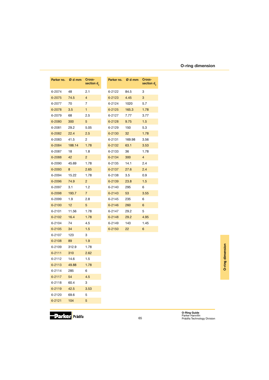|            | Parker no. Ø d mm | Cross-<br>section $\mathbf{d}_{2}$ |
|------------|-------------------|------------------------------------|
| 6-2074     | 48                | 2.1                                |
| 6-2075     | 74.5              | 4                                  |
| 6-2077     | 70                | $\overline{7}$                     |
| 6-2078     | 3.5               | $\overline{1}$                     |
| 6-2079     | 68                | 2.5                                |
| 6-2080     | 300               | 5                                  |
| 6-2081     | 29.2              | 5.05                               |
| 6-2082     | 22.4              | 2.5                                |
| 6-2083     | 41.5              | 2                                  |
| 6-2084     | 188.14            | 1.78                               |
| 6-2087     | 18                | 1.8                                |
| 6-2088     | 42                | $\overline{2}$                     |
| 6-2090     | 45.69             | 1.78                               |
| 6-2093     | 8                 | 2.65                               |
| 6-2094     | 15.22             | 1.78                               |
| 6-2096     | 74.9              | $\overline{2}$                     |
| 6-2097     | 3.1               | 1.2                                |
| 6-2098     | 193.7             | $\overline{7}$                     |
| 6-2099     | 1.9               | 2.8                                |
| 6-2100     | 12                | 5                                  |
| 6-2101     | 11.56             | 1.78                               |
| 6-2102     | 16.4              | 1.78                               |
| 6-2104     | 74                | 4.5                                |
| 6-2105     | 34                | 1.5                                |
| 6-2107     | 123               | 3                                  |
| 6-2108     | 89                | 1.9                                |
| 6-2109     | 312.9             | 1.78                               |
| $6 - 2111$ | 310               | 2.62                               |
| 6-2112     | 14.6              | 1.5                                |
| 6-2113     | 49.88             | 1.78                               |
| 6-2114     | 285               | 6                                  |
| 6-2117     | 54                | 4.5                                |
| 6-2118     | 60.4              | 3                                  |
| 6-2119     | 42.5              | 3.53                               |
| 6-2120     | 69.6              | 5                                  |
| 6-2121     | 104               | 5                                  |

|            | Parker no. Ø d mm | Cross-<br>section d <sub>2</sub> |
|------------|-------------------|----------------------------------|
| 6-2122     | 84.5              | 3                                |
| 6-2123     | 4.45              | 3                                |
| 6-2124     | 1020              | 5.7                              |
| 6-2125     | 165.3             | 1.78                             |
| 6-2127     | 7.77              | 3.77                             |
| 6-2128     | 9.75              | 1.5                              |
| 6-2129     | 150               | 5.3                              |
| 6-2130     | 32                | 1.78                             |
| 6-2131     | 169.98            | 3.56                             |
| 6-2132     | 63.1              | 3.53                             |
| 6-2133     | 36                | 1.78                             |
| 6-2134     | 300               | $\overline{a}$                   |
| 6-2135     | 14.1              | 2.4                              |
| 6-2137     | 27.6              | 2.4                              |
| 6-2138     | 3.5               | 0.9                              |
| 6-2139     | 23.8              | 1.5                              |
| 6-2140     | 295               | 6                                |
| 6-2143     | 53                | 3.55                             |
| 6-2145     | 235               | 6                                |
| 6-2146     | 260               | 6                                |
| 6-2147     | 29.2              | 5                                |
| $6 - 2148$ | 29.2              | 4.95                             |
| 6-2149     | 143               | 1.45                             |
| 6-2150     | 22                | 6                                |

**Parker** Prädifa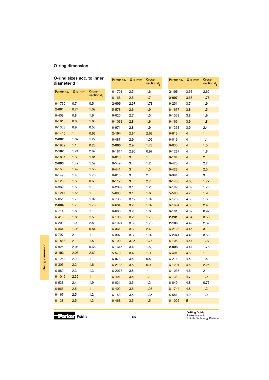| diameter d | O-ring sizes acc. to inner |                        | Parker no. | Ø d mm | Cross-<br>section d <sub>2</sub> | Parker no. | Ø d mm                  | Cross-<br>section d <sub>2</sub> |
|------------|----------------------------|------------------------|------------|--------|----------------------------------|------------|-------------------------|----------------------------------|
| Parker no. | Ø d mm                     | Cross-                 | 6-1701     | 2.5    | 1.6                              | $2 - 105$  | 3.63                    | 2.62                             |
|            |                            | section d <sub>2</sub> | $6 - 168$  | 2.5    | 1.7                              | $2 - 007$  | 3.68                    | 1.78                             |
| 6-1735     | 0.7                        | 0.5                    | 2-005      | 2.57   | 1.78                             | $6 - 251$  | 3.7                     | 1.9                              |
| $2 - 001$  | 0.74                       | 1.02                   | 5-578      | 2.6    | 1.9                              | 6-1677     | 3.8                     | 1.5                              |
| 6-408      | 0.8                        | 1.6                    | 6-020      | 2.7    | 1.5                              | 6-1568     | 3.8                     | 1.9                              |
| 6-1615     | 0.83                       | 1.63                   | 6-1033     | 2.8    | 1.6                              | $6 - 166$  | 3.9                     | 1.8                              |
| 6-1358     | 0.9                        | 0.53                   | 6-971      | 2.8    | 1.9                              | 6-1363     | 3.9                     | 2.4                              |
| 6-1410     | $\mathbf{1}$               | 0.63                   | $2 - 104$  | 2.84   | 2.62                             | $6 - 613$  | $\overline{4}$          | $\mathbf{1}$                     |
| 2-002      | 1.07                       | 1.27                   | 6-487      | 2.9    | 1.02                             | $6 - 019$  | $\overline{4}$          | 1.1                              |
| 6-1969     | 1.1                        | 0.25                   | $2 - 006$  | 2.9    | 1.78                             | 6-035      | $\overline{4}$          | 1.5                              |
| $2 - 102$  | 1.24                       | 2.62                   | 6-1814     | 2.95   | 0.97                             | 6-1287     | $\overline{4}$          | 1.8                              |
| 6-1664     | 1.33                       | 1.61                   | $6 - 018$  | 3      | $\mathbf{1}$                     | $6 - 104$  | $\overline{4}$          | $\overline{2}$                   |
| 2-003      | 1.42                       | 1.52                   | 6-549      | 3      | 1.2                              | 6-420      | 4                       | 2.2                              |
| 6-1506     | 1.42                       | 1.58                   | $6 - 441$  | 3      | 1.5                              | $6 - 428$  | $\overline{4}$          | 2.5                              |
| 6-1495     | 1.45                       | 1.75                   | 6-615      | 3      | 2                                | 6-994      | $\overline{\mathbf{4}}$ | 3                                |
| 6-1269     | 1.5                        | 0.6                    | 6-1120     | 3      | 2.7                              | 6-1405     | 4.05                    | 1.77                             |
| 6-369      | 1.5                        | 1                      | 6-2097     | 3.1    | 1.2                              | 6-1925     | 4.09                    | 1.78                             |
| 6-1247     | 1.56                       | $\mathbf{1}$           | 5-683      | 3.1    | 1.6                              | 5-580      | 4.2                     | 1.9                              |
| $5 - 051$  | 1.78                       | 1.02                   | 6-736      | 3.17   | 1.02                             | 6-1752     | 4.3                     | 1.3                              |
| $2 - 004$  | 1.78                       | 1.78                   | 6-684      | 3.2    | 1.02                             | 6-1694     | 4.3                     | 2.4                              |
| $6 - 714$  | 1.8                        | $\mathbf{1}$           | 6-686      | 3.2    | 1.6                              | 6-1810     | 4.32                    | 0.92                             |
| $6 - 418$  | 1.85                       | 1.5                    | 6-1982     | 3.2    | 1.78                             | $2 - 201$  | 4.34                    | 3.53                             |
| 6-2099     | 1.9                        | 2.8                    | 6-1924     | 3.3    | 1.78                             | 2-106      | 4.42                    | 2.62                             |
| 6-364      | 1.98                       | 0.84                   | $6 - 361$  | 3.3    | 2.4                              | 6-2123     | 4.45                    | 3                                |
| 6-797      | $\overline{c}$             | $\mathbf{1}$           | 6-307      | 3.33   | 1.02                             | 6-2041     | 4.45                    | 3.53                             |
| 6-1883     | $\overline{2}$             | 1.5                    | 5-190      | 3.35   | 1.78                             | $5 - 108$  | 4.47                    | 1.27                             |
| 6-925      | 2.06                       | 0.66                   | 6-1645     | 3.4    | 1.5                              | 2-008      | 4.47                    | 1.78                             |
| 2-103      | 2.06                       | 2.62                   | 5-579      | 3.4    | 1.9                              | $6 - 401$  | 4.5                     | $\mathbf{1}$                     |
| 6-1264     | 2.2                        | 1                      | 6-973      | 3.5    | 0.8                              | $6 - 214$  | 4.5                     | 1.5                              |
| 6-306      | 2.2                        | 1.6                    | 6-2138     | 3.5    | 0.9                              | $6 - 1291$ | 4.5                     | 2.25                             |
| 6-880      | 2.3                        | 1.3                    | 6-2078     | 3.5    | 1                                | 6-1036     | 4.6                     | 2                                |
| 6-1019     | 2.35                       | $\mathbf{1}$           | $6 - 491$  | 3.5    | 1.1                              | $6 - 133$  | 4.7                     | 1.9                              |
| 6-538      | 2.4                        | 1.9                    | $6 - 021$  | 3.5    | 1.2                              | 6-849      | 4.8                     | 0.75                             |
| 6-966      | 2.5                        | $\mathbf{1}$           | $6 - 402$  | 3.5    | 1.25                             | 6-1744     | 4.8                     | 1.3                              |
| 6-167      | 2.5                        | 1.2                    | 6-1532     | 3.5    | 1.35                             | 5-581      | 4.9                     | 1.9                              |
| 6-138      | 2.5                        | 1.3                    | 6-468      | 3.5    | 1.5                              | 6-1026     | 5                       | $\mathbf{1}$                     |

**- Parker** Prädifa

O-ring dimension

O-ring dimension

66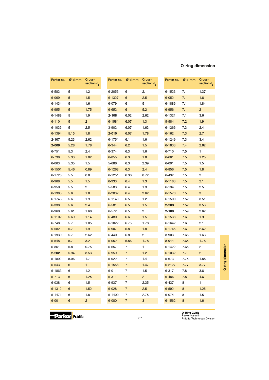| Parker no. | Ø d mm | Cross-<br>section d. | Parker no. | Ø d mm         | Cross-<br>section d <sub>2</sub> | Parker no. | Ø d mm | Cross-<br>section d. |                  |
|------------|--------|----------------------|------------|----------------|----------------------------------|------------|--------|----------------------|------------------|
| 6-583      | 5      | 1.2                  | 6-2053     | 6              | 2.1                              | 6-1523     | 7.1    | 1.37                 |                  |
| 6-069      | 5      | 1.5                  | 6-1327     | 6              | 2.5                              | $6 - 052$  | 7.1    | 1.6                  |                  |
| 6-1434     | 5      | 1.6                  | 6-079      | 6              | 5                                | 6-1886     | 7.1    | 1.84                 |                  |
| 6-955      | 5      | 1.75                 | $6 - 652$  | 6              | 5.2                              | 6-956      | 7.1    | $\overline{2}$       |                  |
| 6-1488     | 5      | 1.9                  | $2 - 108$  | 6.02           | 2.62                             | 6-1321     | 7.1    | 3.6                  |                  |
| $6 - 110$  | 5      | $\overline{2}$       | 6-1581     | 6.07           | 1.3                              | 5-584      | 7.2    | 1.9                  |                  |
| 6-1035     | 5      | 2.5                  | 3-902      | 6.07           | 1.63                             | 6-1266     | 7.3    | 2.4                  |                  |
| 6-1394     | 5.15   | 1.8                  | $2 - 010$  | 6.07           | 1.78                             | $6 - 162$  | 7.3    | 2.7                  |                  |
| $2 - 107$  | 5.23   | 2.62                 | 6-1751     | 6.1            | 1.6                              | 6-1249     | 7.3    | 3.4                  |                  |
| $2 - 009$  | 5.28   | 1.78                 | 6-344      | 6.2            | 1.5                              | 6-1833     | 7.4    | 2.62                 |                  |
| $6 - 751$  | 5.3    | 2.4                  | 6-374      | 6.3            | 1.6                              | $6 - 710$  | 7.5    | 1                    |                  |
| 6-738      | 5.33   | 1.02                 | $6 - 855$  | 6.3            | 1.8                              | 6-661      | 7.5    | 1.25                 |                  |
| 6-063      | 5.35   | 1.5                  | 5-686      | 6.3            | 2.39                             | 6-091      | 7.5    | 1.5                  |                  |
| $6 - 1501$ | 5.46   | 0.89                 | 6-1268     | 6.3            | 2.4                              | $6 - 856$  | 7.5    | 1.8                  |                  |
| 6-1728     | 5.5    | 0.8                  | 6-1251     | 6.36           | 0.72                             | 6-432      | 7.5    | 2                    |                  |
| 6-968      | 5.5    | 1.5                  | 6-933      | 6.4            | 1.3                              | 6-1183     | 7.5    | 2.1                  |                  |
| 6-950      | 5.5    | $\overline{c}$       | 5-583      | 6.4            | 1.9                              | 6-134      | 7.5    | 2.5                  |                  |
| 6-1385     | 5.6    | 1.8                  | 6-2032     | 6.4            | 2.62                             | 6-1570     | 7.5    | 3                    |                  |
| 6-1743     | 5.6    | 1.9                  | 6-1149     | 6.5            | 1.2                              | 6-1500     | 7.52   | 3.51                 |                  |
| 6-338      | 5.6    | 2.4                  | 6-581      | 6.5            | 1.5                              | 2-203      | 7.52   | 3.53                 |                  |
| 6-960      | 5.61   | 1.68                 | 6-572      | 6.5            | $\overline{c}$                   | $2 - 109$  | 7.59   | 2.62                 |                  |
| 6-1102     | 5.69   | 1.14                 | 6-480      | 6.6            | 1.5                              | 6-1538     | 7.6    | 1.9                  |                  |
| $6 - 748$  | 5.7    | 1.05                 | 6-1022     | 6.75           | 1.78                             | 6-1642     | 7.6    | 2.1                  |                  |
| 5-582      | 5.7    | 1.9                  | 6-907      | 6.8            | 1.8                              | 6-1745     | 7.6    | 2.62                 |                  |
| 6-1939     | 5.7    | 2.62                 | 6-440      | 6.8            | $\overline{c}$                   | 3-903      | 7.65   | 1.63                 |                  |
| 6-548      | 5.7    | 3.2                  | $5 - 052$  | 6.86           | 1.78                             | $2 - 011$  | 7.65   | 1.78                 |                  |
| 6-861      | 5.8    | 0.75                 | 6-657      | 7              | 1                                | 6-1422     | 7.65   | 2                    | O-ring dimension |
| $2 - 202$  | 5.94   | 3.53                 | 6-959      | $\overline{7}$ | 1.2                              | 6-1032     | 7.7    | $\overline{2}$       |                  |
| 6-1892     | 5.96   | 1.7                  | 6-922      | 7              | 1.4                              | 5-673      | 7.75   | 1.88                 |                  |
| 6-543      | 6      | 1                    | 6-1558     | $\overline{7}$ | 1.47                             | 6-2127     | 7.77   | 3.77                 |                  |
| 6-1863     | 6      | 1.2                  | $6 - 011$  | 7              | 1.5                              | 6-317      | 7.8    | 3.6                  |                  |
| $6 - 713$  | 6      | 1.25                 | $6 - 311$  | 7              | $\overline{c}$                   | 6-486      | 7.8    | 4.6                  |                  |
| 6-038      | 6      | 1.5                  | 6-937      | 7              | 2.35                             | 6-437      | 8      | 1                    |                  |
| 6-1312     | 6      | 1.52                 | $6 - 028$  | $\overline{7}$ | 2.5                              | 6-592      | 8      | 1.25                 |                  |
| 6-1471     | 6      | 1.8                  | 6-1400     | 7              | 2.75                             | 6-074      | 8      | 1.5                  |                  |
| $6 - 001$  | 6      | $\overline{2}$       | 6-080      | $\overline{7}$ | 3                                | 6-1562     | 8      | 1.6                  |                  |
|            |        |                      |            |                |                                  |            |        |                      |                  |

**Edit al II-lea de Jacques de la partida**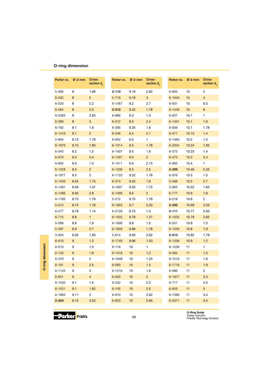| Parker no. | Ø d mm | Cross-<br>section d <sub>2</sub> | Parker no. | Ø d mm | Cross-<br>section d, | Parker    |
|------------|--------|----------------------------------|------------|--------|----------------------|-----------|
| 5-585      | 8      | 1.88                             | 2-110      | 9.19   | 2.62                 | 6-605     |
| $6 - 002$  | 8      | $\overline{2}$                   | $5 - 716$  | 9.19   | 3                    | $6 - 164$ |
| 6-520      | 8      | 2.2                              | 6-1487     | 9.2    | 2.7                  | 6-931     |
| 6-564      | 8      | 2.5                              | $2 - 012$  | 9.25   | 1.78                 | $6 - 144$ |
| 6-2093     | 8      | 2.65                             | 6-866      | 9.3    | 1.5                  | 6-627     |
| 6-390      | 8      | 3                                | $6 - 012$  | 9.3    | 2.4                  | $6 - 149$ |
| $6 - 192$  | 8.1    | 1.6                              | 6-395      | 9.35   | 1.6                  | 6-839     |
| $6 - 1416$ | 8.1    | $\overline{2}$                   | 6-346      | 9.4    | 2.1                  | $6 - 571$ |
| 5-664      | 8.13   | 1.78                             | 6-952      | 9.5    | 1                    | $6 - 146$ |
| 6-1879     | 8.15   | 1.83                             | 6-1314     | 9.5    | 1.78                 | $6 - 203$ |
| 6-345      | 8.2    | 1.5                              | 6-1407     | 9.5    | 1.8                  | 6-375     |
| 6-070      | 8.3    | 2.4                              | 6-1297     | 9.5    | $\overline{c}$       | $6 - 475$ |
| 6-692      | 8.5    | 1.5                              | 6-1511     | 9.5    | 2.15                 | 6-965     |
| 6-1228     | 8.5    | $\overline{2}$                   | 6-1206     | 9.5    | 2.5                  | 2-309     |
| 6-1977     | 8.5    | 3                                | 6-1133     | 9.52   | 1.78                 | 6-976     |
| 6-1539     | 8.55   | 1.75                             | 6-373      | 9.53   | 1.6                  | 5-588     |
| 6-1481     | 8.56   | 1.07                             | 6-1637     | 9.55   | 1.75                 | 3-905     |
| 6-1286     | 8.65   | 2.8                              | 6-1499     | 9.6    | $\overline{2}$       | 6-777     |
| 6-1785     | 8.73   | 1.78                             | $5 - 212$  | 9.75   | 1.78                 | $6 - 218$ |
| $5 - 612$  | 8.74   | 1.78                             | 6-1855     | 9.7    | 5.33                 | $2 - 205$ |
| $6 - 277$  | 8.79   | 1.14                             | 6-2128     | 9.75   | 1.5                  | $2 - 111$ |
| $6 - 715$  | 8.8    | 1                                | 6-1502     | 9.78   | 1.27                 | $6 - 150$ |
| 5-586      | 8.9    | 1.9                              | 6-1699     | 9.8    | 1.5                  | $6 - 551$ |
| 5-587      | 8.9    | 2.7                              | 6-1656     | 9.86   | 1.78                 | $6 - 123$ |
| 3-904      | 8.92   | 1.83                             | 5-614      | 9.93   | 2.62                 | $2 - 013$ |
| $6 - 610$  | 9      | 1.2                              | 6-1749     | 9.96   | 1.53                 | $6 - 120$ |
| $6 - 010$  | 9      | 1.5                              | 6-116      | 10     | 1                    | $6 - 123$ |
| $6 - 120$  | 9      | 1.8                              | 6-1518     | 10     | 1.2                  | 6-084     |
| 6-470      | 9      | $\overline{c}$                   | 6-1648     | 10     | 1.25                 | $6 - 151$ |
| $6 - 161$  | 9      | 2.5                              | 6-083      | 10     | 1.5                  | $6 - 171$ |
| 6-1122     | 9      | 3                                | 6-1216     | 10     | 1.6                  | 6-086     |
| $6 - 651$  | 9      | $\overline{\mathbf{4}}$          | 6-003      | 10     | $\overline{c}$       | $6 - 187$ |
| 6-1530     | 9.1    | 1.6                              | 6-532      | 10     | 2.2                  | $6 - 717$ |
| 6-1531     | 9.1    | 1.65                             | $6 - 105$  | 10     | 2.5                  | 6-953     |
| 6-1893     | 9.11   | 2                                | 6-910      | 10     | 2.62                 | 6-138     |
| $2 - 204$  | 9.12   | 3.53                             | 6-823      | 10     | 2.65                 | $6 - 207$ |

|           | Parker no. Ø d mm | Cross-<br>section $\mathbf{d}_2$ |
|-----------|-------------------|----------------------------------|
| 6-605     | 10                | 3                                |
| 6-1640    | 10                | $\overline{4}$                   |
| 6-931     | 10                | 6.5                              |
| 6-1449    | 10                | 8                                |
| 6-627     | 10.1              | 1                                |
| 6-1491    | 10.1              | 1.6                              |
| 6-839     | 10.1              | 1.78                             |
| $6 - 571$ | 10.15             | 1.4                              |
| 6-1460    | 10.2              | 1.5                              |
| 6-2034    | 10.24             | 1.83                             |
| 6-375     | 10.25             | 1.4                              |
| $6 - 475$ | 10.3              | 2.4                              |
| 6-965     | 10.4              | 1.                               |
| 2-309     | 10.46             | 5.33                             |
| 6-976     | 10.5              | 1.5                              |
| 5-588     | 10.5              | 2.7                              |
| 3-905     | 10.52             | 1.83                             |
| 6-777     | 10.6              | 1.8                              |
| $6 - 218$ | 10.6              | $\overline{c}$                   |
| $2 - 205$ | 10.69             | 3.53                             |
| $2 - 111$ | 10.77             | 2.62                             |
| 6-1505    | 10.78             | 2.62                             |
| $6 - 551$ | 10.8              | 1.5                              |
| 6-1230    | 10.8              | 1.9                              |
| $2 - 013$ | 10.82             | 1.78                             |
| 6-1208    | 10.9              | 1.2                              |
| 6-1236    | 11                | $\mathbf{1}$                     |
| $6 - 084$ | 11                | 1.5                              |
| 6-1516    | 11                | 1.6                              |
| 6-1718    | 11                | 1.9                              |
| 6-086     | 11                | 2                                |
| 6-1877    | 11                | 2.3                              |
| $6 - 717$ | 11                | 2.5                              |
| $6 - 953$ | 11                | 3                                |
| 6-1386    | 11                | 3.4                              |
| 6-2071    | 11                | 3.5                              |

O-ring dimension O-ring dimension

**-Parker** Prädifa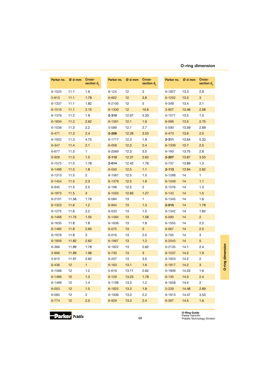| Parker no. | Ø d mm | Cross-<br>section d.    | Parker no. | Ø d mm | Cross-<br>section d. | Parker no. | Ø d mm | Cross-<br>section d. |
|------------|--------|-------------------------|------------|--------|----------------------|------------|--------|----------------------|
| 6-1525     | 11.1   | 1.6                     | $6 - 124$  | 12     | 3                    | 6-1827     | 13.3   | 2.8                  |
| $5 - 613$  | 11.1   | 1.78                    | 6-662      | 12     | 3.8                  | 6-1202     | 13.3   | 3                    |
| 6-1337     | 11.1   | 1.82                    | 6-2100     | 12     | 5                    | 6-348      | 13.4   | 2.1                  |
| 6-1510     | 11.1   | 2.15                    | 6-1330     | 12     | 10.6                 | 3-907      | 13.46  | 2.08                 |
| 6-1376     | 11.2   | 1.8                     | 2-310      | 12.07  | 5.33                 | 6-1571     | 13.5   | 1.5                  |
| 6-1834     | 11.2   | 2.62                    | 6-1361     | 12.1   | 1.6                  | 6-096      | 13.5   | 2.75                 |
| 6-1536     | 11.3   | 2.2                     | 5-589      | 12.1   | 2.7                  | 5-590      | 13.59  | 2.69                 |
| $6 - 471$  | 11.3   | 2.4                     | $2 - 206$  | 12.29  | 3.53                 | $6 - 473$  | 13.6   | 2.5                  |
| 6-1922     | 11.3   | 4.75                    | 6-1717     | 12.3   | 1.9                  | 2-311      | 13.64  | 5.33                 |
| 6-347      | 11.4   | 2.1                     | $6 - 058$  | 12.3   | 2.4                  | 6-1339     | 13.7   | 2.5                  |
| 6-677      | 11.5   | 1                       | 6-2069     | 12.3   | 3.5                  | 6-160      | 13.75  | 2.8                  |
| 6-928      | 11.5   | 1.5                     | 2-112      | 12.37  | 2.62                 | 2-207      | 13.87  | 3.53                 |
| 6-1575     | 11.5   | 1.78                    | 2-014      | 12.42  | 1.78                 | 6-737      | 13.89  | 1.3                  |
| 6-1498     | 11.5   | 1.8                     | 6-550      | 12.5   | 1.1                  | 2-113      | 13.94  | 2.62                 |
| 6-1313     | 11.5   | 2                       | 6-1567     | 12.5   | 1.5                  | 6-1288     | 14     | 1                    |
| 6-1454     | 11.5   | 2.3                     | 6-1379     | 12.5   | 1.8                  | 6-1049     | 14     | 1.1                  |
| 6-945      | 11.5   | 2.5                     | 6-198      | 12.5   | 2                    | 6-1576     | 14     | 1.3                  |
| 6-1873     | 11.5   | 3                       | 6-1503     | 12.83  | 1.27                 | $6 - 143$  | 14     | 1.5                  |
| 6-2101     | 11.56  | 1.78                    | 6-584      | 13     | 1                    | 6-1345     | 14     | 1.6                  |
| 6-1323     | 11.6   | 1.2                     | 6-904      | 13     | 1.3                  | $2 - 015$  | 14     | 1.78                 |
| 6-1275     | 11.6   | 2.2                     | 6-033      | 13     | 1.5                  | 6-1342     | 14     | 1.82                 |
| 6-1468     | 11.75  | 1.55                    | 6-1484     | 13     | 1.58                 | 6-090      | 14     | $\overline{2}$       |
| 6-1635     | 11.8   | 1.8                     | 6-1636     | 13     | 1.8                  | 6-1555     | 14     | 2.2                  |
| 6-1485     | 11.8   | 2.65                    | 6-075      | 13     | $\overline{c}$       | 6-067      | 14     | 2.5                  |
| 6-1978     | 11.8   | 3                       | 6-016      | 13     | 2.5                  | 6-705      | 14     | 3                    |
| 6-1856     | 11.82  | 2.62                    | 6-1967     | 13     | 1.2                  | 6-2043     | 14     | 5                    |
| 6-366      | 11.89  | 1.78                    | 6-1822     | 13     | 2.62                 | 6-2135     | 14.1   | 2.4                  |
| 3-906      | 11.89  | 1.98                    | 6-730      | 13     | 3                    | 6-1537     | 14.2   | 1.9                  |
| 5-615      | 11.91  | 2.62                    | 6-207      | 13     | 3.5                  | 6-1923     | 14.2   | $\overline{c}$       |
| 6-438      | 12     | $\mathbf{1}$            | 6-163      | 13.1   | 1.6                  | 6-1817     | 14.2   | 3                    |
| 6-1566     | 12     | 1.2                     | 5-616      | 13.11  | 2.62                 | 6-1809     | 14.23  | 1.6                  |
| 6-1466     | 12     | 1.3                     | 6-129      | 13.23  | 1.78                 | $6 - 135$  | 14.3   | 2.4                  |
| 6-1469     | 12     | 1.4                     | 6-1198     | 13.3   | 1.2                  | 6-1658     | 14.4   | $\overline{c}$       |
| $6 - 053$  | 12     | 1.5                     | 6-1825     | 13.3   | 1.8                  | 5-239      | 14.48  | 2.69                 |
| 6-065      | 12     | $\overline{\mathbf{c}}$ | 6-1936     | 13.3   | 2.2                  | 6-1813     | 14.47  | 3.53                 |
| $6 - 774$  | 12     | 2.5                     | 6-929      | 13.3   | 2.4                  | 6-397      | 14.5   | 1.6                  |
|            |        |                         |            |        |                      |            |        |                      |

**Parker** Prädifa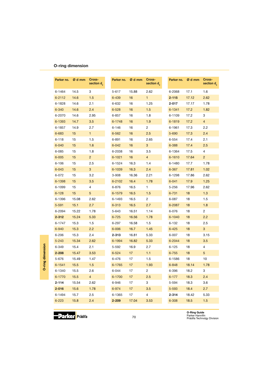| Parker no. | Ø d mm | Cross-<br>section d <sub>2</sub> | Parker no. | Ø d mm | Cross-<br>section d <sub>2</sub> | Parker r  |
|------------|--------|----------------------------------|------------|--------|----------------------------------|-----------|
| 6-1464     | 14.5   | 3                                | 5-617      | 15.88  | 2.62                             | 6-2068    |
| 6-2112     | 14.6   | 1.5                              | 6-439      | 16     | $\mathbf{1}$                     | $2 - 115$ |
| 6-1828     | 14.6   | 2.1                              | 6-632      | 16     | 1.25                             | $2 - 017$ |
| 6-340      | 14.6   | 2.4                              | $6 - 528$  | 16     | 1.5                              | 6-1341    |
| 6-2070     | 14.6   | 2.95                             | 6-857      | 16     | 1.8                              | 6-1109    |
| 6-1393     | 14.7   | 3.5                              | 6-1748     | 16     | 1.9                              | 6-1819    |
| 6-1857     | 14.9   | 2.7                              | $6 - 146$  | 16     | 2                                | 6-1961    |
| 6-683      | 15     | $\mathbf{1}$                     | 6-562      | 16     | 2.5                              | 5-690     |
| $6 - 118$  | 15     | 1.5                              | 6-891      | 16     | 2.65                             | 6-554     |
| $6 - 040$  | 15     | 1.6                              | $6 - 042$  | 16     | 3                                | 6-388     |
| 6-085      | 15     | 1.8                              | 6-2038     | 16     | 3.5                              | 6-1364    |
| $6 - 005$  | 15     | $\overline{2}$                   | 6-1021     | 16     | 4                                | 6-1610    |
| 6-106      | 15     | 2.5                              | 6-1524     | 16.3   | 1.4                              | 6-1480    |
| $6 - 043$  | 15     | 3                                | 6-1039     | 16.3   | 2.4                              | 6-367     |
| 6-072      | 15     | 3.2                              | 3-908      | 16.36  | 2.21                             | 6-1298    |
| 6-1398     | 15     | 3.5                              | 6-2102     | 16.4   | 1.78                             | $6 - 041$ |
| 6-1099     | 15     | $\overline{\mathbf{4}}$          | 6-876      | 16.5   | 1                                | 5-256     |
| $6 - 128$  | 15     | 5                                | 6-1579     | 16.5   | 1.5                              | 6-731     |
| 6-1396     | 15.08  | 2.62                             | 6-1493     | 16.5   | 2                                | 6-087     |
| 5-591      | 15.1   | 2.7                              | 6-313      | 16.5   | 2.7                              | 6-2087    |
| 6-2094     | 15.22  | 1.78                             | 5-643      | 16.51  | 1.14                             | 6-076     |
| $2 - 312$  | 15.24  | 5.33                             | $6 - 725$  | 16.56  | 1.78                             | 6-1040    |
| 6-1747     | 15.3   | 1.5                              | 6-297      | 16.58  | 1.5                              | $6 - 132$ |
| 6-940      | 15.3   | 2.2                              | 6-006      | 16.7   | 1.45                             | $6 - 425$ |
| $6 - 206$  | 15.3   | 2.4                              | $2 - 313$  | 16.81  | 5.33                             | $6 - 007$ |
| $5 - 243$  | 15.34  | 2.62                             | 6-1994     | 16.82  | 5.33                             | 6-2044    |
| 6-349      | 15.4   | 2.1                              | 5-592      | 16.9   | 2.7                              | $6 - 125$ |
| $2 - 208$  | 15.47  | 3.53                             | $6 - 524$  | 17     | 1.1                              | $6 - 755$ |
| 5-676      | 15.49  | 1.47                             | 6-476      | 17     | 1.5                              | 6-1586    |
| 6-1541     | 15.5   | 1.5                              | 6-1765     | 17     | 1.93                             | $6 - 848$ |
| 6-1340     | 15.5   | 2.6                              | 6-044      | 17     | 2                                | 6-396     |
| 6-1770     | 15.5   | $\overline{\mathbf{4}}$          | 6-1700     | 17     | 2.5                              | $6 - 177$ |
| $2 - 114$  | 15.54  | 2.62                             | 6-946      | 17     | 3                                | 5-594     |
| $2 - 016$  | 15.6   | 1.78                             | 6-974      | 17     | 3.5                              | 5-593     |
| 6-1494     | 15.7   | 2.5                              | 6-1365     | 17     | 4                                | $2 - 314$ |
| $6 - 223$  | 15.8   | 2.4                              | 2-209      | 17.04  | 3.53                             | 6-308     |

| Parker no. Ø d mm |       | Cross-<br>section $\mathsf{d}_{2}$ |
|-------------------|-------|------------------------------------|
| 6-2068            | 17.1  | 1.6                                |
| $2 - 115$         | 17.12 | 2.62                               |
| $2 - 017$         | 17.17 | 1.78                               |
| 6-1341            | 17.2  | 1.82                               |
| 6-1109            | 17.2  | 3                                  |
| 6-1819            | 17.2  | $\overline{4}$                     |
| 6-1961            | 17.3  | 2.2                                |
| 5-690             | 17.3  | 2.4                                |
| 6-554             | 17.4  | 2.1                                |
| 6-388             | 17.4  | 2.5                                |
| 6-1364            | 17.5  | 4                                  |
| 6-1610            | 17.64 | $\overline{2}$                     |
| 6-1480            | 17.7  | 1.78                               |
| 6-367             | 17.81 | 1.02                               |
| 6-1298            | 17.86 | 2.62                               |
| $6 - 041$         | 17.9  | 1.25                               |
| 5-256             | 17.96 | 2.62                               |
| 6-731             | 18    | 1.3                                |
| 6-087             | 18    | 1.5                                |
| 6-2087            | 18    | 1.8                                |
| 6-076             | 18    | $\overline{c}$                     |
| 6-1040            | 18    | 2.2                                |
| 6-132             | 18    | 2.5                                |
| $6 - 425$         | 18    | 3                                  |
| 6-007             | 18    | 3.15                               |
| 6-2044            | 18    | 3.5                                |
| $6 - 125$         | 18    | 4                                  |
| $6 - 755$         | 18    | 5                                  |
| 6-1586            | 18    | 10                                 |
| $6 - 848$         | 18.14 | 1.78                               |
| 6-396             | 18.2  | 3                                  |
| $6 - 177$         | 18.3  | 2.4                                |
| 5-594             | 18.3  | 3.6                                |
| 5-593             | 18.4  | 2.7                                |
| 2-314             | 18.42 | 5.33                               |
| 6-308             | 18.5  | 1.5                                |

O-ring dimension O-ring dimension

**Farker** Prädifa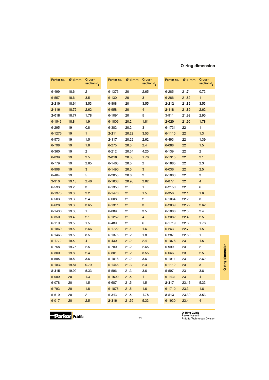| Parker no. | Ø d mm | Cross-<br>section d. | Parker no. | Ø d mm | Cross-<br>section d. | Parker no. | Ø d mm | Cross-<br>section d. |
|------------|--------|----------------------|------------|--------|----------------------|------------|--------|----------------------|
| 6-499      | 18.6   | $\overline{c}$       | 6-1373     | 20     | 2.65                 | $6 - 285$  | 21.7   | 0.73                 |
| 6-557      | 18.6   | 3.5                  | 6-130      | 20     | 3                    | 6-286      | 21.82  | 1                    |
| 2-210      | 18.64  | 3.53                 | 6-808      | 20     | 3.55                 | 2-212      | 21.82  | 3.53                 |
| $2 - 116$  | 18.72  | 2.62                 | 6-958      | 20     | $\overline{4}$       | $2 - 118$  | 21.89  | 2.62                 |
| 2-018      | 18.77  | 1.78                 | 6-1091     | 20     | 5                    | $3 - 911$  | 21.92  | 2.95                 |
| 6-1543     | 18.8   | 1.9                  | 6-1806     | 20.2   | 1.81                 | 2-020      | 21.95  | 1.78                 |
| 6-295      | 19     | 0.8                  | 6-382      | 20.2   | 3                    | 6-1731     | 22     | 1                    |
| 6-1276     | 19     | 1                    | $2 - 211$  | 20.22  | 3.53                 | 6-1115     | 22     | 1.3                  |
| 6-573      | 19     | 1.5                  | $2 - 117$  | 20.29  | 2.62                 | 6-493      | 22     | 1.39                 |
| 6-798      | 19     | 1.8                  | $6 - 275$  | 20.3   | 2.4                  | 6-088      | 22     | 1.5                  |
| 6-360      | 19     | 2                    | $6 - 212$  | 20.34  | 4.25                 | 6-139      | 22     | 2                    |
| 6-039      | 19     | 2.5                  | 2-019      | 20.35  | 1.78                 | 6-1315     | 22     | 2.1                  |
| 6-779      | 19     | 2.65                 | 6-1465     | 20.5   | 2                    | 6-1885     | 22     | 2.3                  |
| 6-998      | 19     | 3                    | 6-1490     | 20.5   | 3                    | 6-036      | 22     | 2.5                  |
| 6-404      | 19     | 5                    | 6-2055     | 20.8   | 2                    | 6-1083     | 22     | 3                    |
| $3 - 910$  | 19.18  | 2.46                 | 6-1638     | 20.95  | 2.62                 | 6-877      | 22     | 4                    |
| 6-593      | 19.2   | 3                    | 6-1353     | 21     | 1                    | 6-2150     | 22     | 6                    |
| 6-1975     | 19.3   | 2.2                  | 6-1470     | 21     | 1.5                  | 6-356      | 22.1   | 1.6                  |
| 6-503      | 19.3   | 2.4                  | 6-008      | 21     | 2                    | 6-1064     | 22.2   | 3                    |
| $6 - 628$  | 19.3   | 3.65                 | 6-1311     | 21     | 3                    | 6-2039     | 22.22  | 2.62                 |
| 6-1430     | 19.35  | 1                    | 6-089      | 21     | 3.5                  | 6-1086     | 22.3   | 2.4                  |
| 6-350      | 19.4   | 2.1                  | 6-1252     | 21     | $\overline{4}$       | 6-2082     | 22.4   | 2.5                  |
| 6-119      | 19.5   | 1.5                  | 6-489      | 21     | 6                    | 6-1719     | 22.6   | 1.78                 |
| 6-1869     | 19.5   | 2.66                 | 6-1722     | 21.1   | 1.6                  | 6-263      | 22.7   | 1.5                  |
| 6-1463     | 19.5   | 3.5                  | 6-1375     | 21.2   | 1.8                  | 6-287      | 22.89  | 1                    |
| 6-1772     | 19.5   | $\overline{4}$       | 6-430      | 21.2   | 2.4                  | 6-1078     | 23     | 1.5                  |
| 6-758      | 19.75  | 2.5                  | 6-780      | 21.2   | 2.65                 | 6-999      | 23     | 2                    |
| 6-300      | 19.8   | 2.4                  | $6 - 801$  | 21.2   | 3.55                 | 6-066      | 23     | 2.5                  |
| 5-595      | 19.8   | 3.6                  | 6-1818     | 21.2   | 3.6                  | 6-1911     | 23     | 2.62                 |
| 6-1832     | 19.84  | 0.79                 | 6-1446     | 21.3   | 2.3                  | 6-1112     | 23     | 3                    |
| 2-315      | 19.99  | 5.33                 | 5-596      | 21.3   | 3.6                  | 5-597      | 23     | 3.6                  |
| 6-099      | 20     | 1.3                  | 6-1590     | 21.5   | $\mathbf{1}$         | 6-1431     | 23     | 4                    |
| 6-078      | 20     | 1.5                  | 6-687      | 21.5   | 1.5                  | 2-317      | 23.16  | 5.33                 |
| 6-793      | 20     | 1.8                  | 6-1875     | 21.5   | 1.6                  | 6-1710     | 23.3   | 1.6                  |
| 6-619      | 20     | 2                    | 6-343      | 21.5   | 1.78                 | 2-213      | 23.39  | 3.53                 |
| $6 - 017$  | 20     | 2.5                  | 2-316      | 21.59  | 5.33                 | 6-1930     | 23.4   | 4                    |
|            |        |                      |            |        |                      |            |        |                      |

**Parker** Prädifa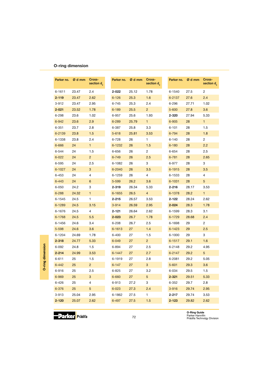| Parker no. | Ø d mm | Cross-<br>section d <sub>2</sub> | Parker no. | Ø d mm | Cross-<br>section d. | Parker no. | Ø d mm | Cross-<br>section d |
|------------|--------|----------------------------------|------------|--------|----------------------|------------|--------|---------------------|
| 6-1611     | 23.47  | 2.4                              | 2-022      | 25.12  | 1.78                 | 6-1540     | 27.5   | 2                   |
| $2 - 119$  | 23.47  | 2.62                             | $6 - 126$  | 25.3   | 1.6                  | 6-2137     | 27.6   | 2.4                 |
| $3 - 912$  | 23.47  | 2.95                             | 6-745      | 25.3   | 2.4                  | 6-296      | 27.71  | 1.02                |
| $2 - 021$  | 23.52  | 1.78                             | $6 - 189$  | 25.5   | $\overline{2}$       | 5-600      | 27.8   | 3.6                 |
| 6-298      | 23.6   | 1.02                             | 6-957      | 25.6   | 1.93                 | 2-320      | 27.94  | 5.33                |
| 6-942      | 23.6   | 2.9                              | 6-289      | 25.79  | $\mathbf{1}$         | 6-905      | 28     | $\mathbf{1}$        |
| $6 - 351$  | 23.7   | 2.8                              | 6-387      | 25.8   | 3.3                  | 6-101      | 28     | 1.5                 |
| 6-2139     | 23.8   | 1.5                              | 5-618      | 25.81  | 3.53                 | 6-794      | 28     | 1.8                 |
| 6-1338     | 23.8   | 2.4                              | 6-728      | 26     | 1                    | 6-140      | 28     | $\overline{c}$      |
| 6-666      | 24     | $\mathbf{1}$                     | 6-1232     | 26     | 1.5                  | $6 - 180$  | 28     | 2.2                 |
| 6-544      | 24     | 1.5                              | 6-656      | 26     | 2                    | 6-654      | 28     | 2.5                 |
| $6 - 022$  | 24     | $\overline{c}$                   | 6-749      | 26     | 2.5                  | 6-781      | 28     | 2.65                |
| 6-595      | 24     | 2.5                              | 6-1082     | 26     | 3                    | 6-977      | 28     | 3                   |
| 6-1027     | 24     | 3                                | 6-2040     | 26     | 3.5                  | 6-1915     | 28     | 3.5                 |
| 6-453      | 24     | 4                                | 6-1259     | 26     | 4                    | 6-1533     | 28     | 4                   |
| $6 - 443$  | 24     | 6                                | 5-599      | 26.2   | 3.6                  | 6-1031     | 28     | 5                   |
| 6-050      | 24.2   | 3                                | 2-319      | 26.34  | 5.33                 | $2 - 216$  | 28.17  | 3.53                |
| $6 - 288$  | 24.32  | 1                                | 6-1655     | 26.5   | 4                    | 6-1378     | 28.2   | $\mathbf{1}$        |
| 6-1545     | 24.5   | 1                                | $2 - 215$  | 26.57  | 3.53                 | $2 - 122$  | 28.24  | 2.62                |
| 6-1289     | 24.5   | 3.15                             | $3 - 914$  | 26.59  | 2.95                 | 2-024      | 28.3   | 1.78                |
| 6-1676     | 24.5   | 4                                | $2 - 121$  | 26.64  | 2.62                 | 6-1599     | 28.3   | 3.1                 |
| 6-1768     | 24.5   | 5.5                              | 2-023      | 26.7   | 1.78                 | 6-1729     | 28.68  | 2.4                 |
| 6-1456     | 24.6   | 3.4                              | 6-208      | 26.7   | 2.5                  | 6-1698     | 29     | 2                   |
| 5-598      | 24.6   | 3.6                              | 6-1613     | 27     | 1.4                  | 6-1423     | 29     | 2.5                 |
| 6-1204     | 24.69  | 1.78                             | 6-400      | 27     | 1.5                  | 6-1000     | 29     | 3                   |
| $2 - 318$  | 24.77  | 5.33                             | 6-049      | 27     | $\overline{2}$       | 6-1517     | 29.1   | 1.6                 |
| 6-092      | 24.8   | 1.5                              | 6-894      | 27     | 2.5                  | 6-2148     | 29.2   | 4.95                |
| $2 - 214$  | 24.99  | 3.53                             | 6-1447     | 27     | 2.7                  | 6-2147     | 29.2   | 5                   |
| 6-611      | 25     | 1.5                              | 6-1919     | 27     | 2.8                  | 6-2081     | 29.2   | 5.05                |
| $6 - 442$  | 25     | $\overline{c}$                   | $6 - 147$  | 27     | 3                    | 5-601      | 29.3   | 3.6                 |
| 6-916      | 25     | 2.5                              | 6-825      | 27     | 3.2                  | 6-034      | 29.5   | 1.5                 |
| 6-969      | 25     | 3                                | 6-660      | 27     | 5                    | 2-321      | 29.51  | 5.33                |
| $6 - 426$  | 25     | 4                                | 6-913      | 27.2   | 3                    | 6-352      | 29.7   | 2.8                 |
| 6-376      | 25     | 5                                | $6 - 023$  | 27.3   | 2.4                  | 3-916      | 29.74  | 2.95                |
| $3 - 913$  | 25.04  | 2.95                             | 6-1862     | 27.5   | 1                    | 2-217      | 29.74  | 3.53                |
| $2 - 120$  | 25.07  | 2.62                             | 6-497      | 27.5   | 1.5                  | $2 - 123$  | 29.82  | 2.62                |

O-ring dimension O-ring dimension

**-Parker** Prädifa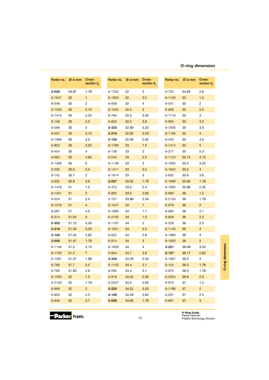| Parker no. | Ø d mm | Cross-<br>section d <sub>2</sub> | Parker no. | Ø d mm | Cross-<br>section d | Parker no. | Ø d mm | Cross-<br>section d <sub>2</sub> |
|------------|--------|----------------------------------|------------|--------|---------------------|------------|--------|----------------------------------|
| $2 - 025$  | 29.87  | 1.78                             | 6-1332     | 32     | 3                   | $6 - 752$  | 34.65  | 2.6                              |
| 6-1627     | 30     | $\mathbf{1}$                     | 6-1920     | 32     | 3.5                 | 6-1100     | 35     | 1.5                              |
| $6 - 048$  | 30     | 2                                | 6-838      | 32     | 4                   | 6-047      | 35     | 2                                |
| 6-1203     | 30     | 2.15                             | 6-1634     | 32.5   | 3                   | 6-606      | 35     | 2.5                              |
| 6-1474     | 30     | 2.25                             | 6-784      | 32.5   | 3.55                | 6-1116     | 35     | 3                                |
| $6 - 156$  | 30     | 2.5                              | 5-603      | 32.5   | 3.6                 | 6-993      | 35     | 3.2                              |
| 6-056      | 30     | 3                                | 2-323      | 32.69  | 5.33                | 6-1926     | 35     | 3.5                              |
| 6-037      | 30     | 3.15                             | $2 - 219$  | 32.92  | 3.53                | 6-1166     | 35     | $\overline{4}$                   |
| 6-1906     | 30     | 3.5                              | 2-125      | 32.99  | 2.62                | 6-545      | 35     | 4.5                              |
| 6-803      | 30     | 3.55                             | 6-1780     | 33     | 1.5                 | 6-1414     | 35     | 5                                |
| $6 - 454$  | 30     | 4                                | 6-136      | 33     | $\overline{c}$      | 6-377      | 35     | 5.3                              |
| 6-663      | 30     | 4.65                             | 6-540      | 33     | 2.5                 | 6-1124     | 35.15  | 3.15                             |
| 6-1366     | 30     | 5                                | 6-1138     | 33     | 3                   | 6-1600     | 35.4   | 3.25                             |
| 6-290      | 30.3   | 2.4                              | 6-1411     | 33     | 3.5                 | 6-1650     | 35.5   | $\overline{4}$                   |
| $6 - 142$  | 30.7   | 2                                | 6-1614     | 33     | 5                   | 5-605      | 35.6   | 3.6                              |
| $5 - 602$  | 30.8   | 3.6                              | 2-027      | 33.05  | 1.78                | 6-1808     | 35.95  | 1.78                             |
| 6-1478     | 31     | 1.5                              | 6-472      | 33.3   | 2.4                 | 6-1805     | 35.96  | 2.32                             |
| $6 - 1401$ | 31     | $\overline{c}$                   | $6 - 802$  | 33.5   | 2.65                | 6-980      | 36     | 1.5                              |
| 6-324      | 31     | 2.5                              | $5 - 157$  | 33.99  | 2.34                | 6-2133     | 36     | 1.78                             |
| 6-1578     | 31     | 4                                | 6-1047     | 34     | $\mathbf{1}$        | 6-678      | 36     | $\overline{2}$                   |
| 6-097      | 31     | 4.5                              | 6-1890     | 34     | 1.1                 | 6-694      | 36     | 2.1                              |
| $6 - 314$  | 31.02  | 3                                | 6-2105     | 34     | 1.5                 | 6-609      | 36     | 2.2                              |
| 2-322      | 31.12  | 5.33                             | 6-1197     | 34     | $\overline{c}$      | 6-329      | 36     | 2.5                              |
| $2 - 218$  | 31.34  | 3.53                             | 6-1631     | 34     | 2.5                 | 6-1140     | 36     | 3                                |
| $2 - 124$  | 31.42  | 2.62                             | 6-622      | 34     | 2.8                 | 6-1980     | 36     | $\overline{4}$                   |
| $2 - 026$  | 31.47  | 1.78                             | 6-914      | 34     | 3                   | 6-1652     | 36     | 5                                |
| 6-1146     | 31.5   | 3.15                             | 6-1839     | 34     | 4                   | $2 - 221$  | 36.09  | 3.53                             |
| 6-1769     | 31.5   | $\overline{7}$                   | 5-604      | 34.1   | 3.6                 | $2 - 127$  | 36.17  | 2.62                             |
| 6-1461     | 31.57  | 1.98                             | 2-324      | 34.29  | 5.33                | 6-1087     | 36.2   | 3                                |
| 6-766      | 31.7   | 3.5                              | 6-1150     | 34.4   | 2.1                 | $6 - 154$  | 36.3   | 1.78                             |
| 6-760      | 31.95  | 2.6                              | 6-585      | 34.4   | 3.1                 | 5-670      | 36.5   | 1.78                             |
| 6-1556     | 32     | 1.5                              | 3-918      | 34.42  | 2.95                | 6-2054     | 36.6   | 2.9                              |
| 6-2130     | 32     | 1.78                             | 6-2047     | 34.5   | 2.65                | 6-970      | 37     | 1.5                              |
| 6-869      | 32     | $\overline{c}$                   | 2-220      | 34.52  | 3.53                | 6-1188     | 37     | $\overline{2}$                   |
| 6-850      | 32     | 2.5                              | 2-126      | 34.59  | 2.62                | $6 - 291$  | 37     | 2.5                              |
| 6-646      | 32     | 2.7                              | 2-028      | 34.65  | 1.78                | $6 - 881$  | 37     | 3                                |

**Parker** Prädifa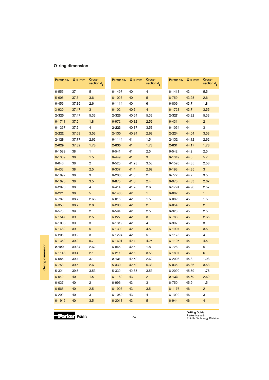| Parker no. | Ø d mm | Cross-<br>section d, | Parker no. | Ø d mm | Cross-<br>section d <sub>2</sub> | Parker no. |
|------------|--------|----------------------|------------|--------|----------------------------------|------------|
| $6 - 555$  | 37     | 5                    | 6-1497     | 40     | 4                                | 6-1413     |
| 5-606      | 37.3   | 3.6                  | 6-1023     | 40     | 5                                | 6-759      |
| 6-459      | 37.36  | 2.6                  | 6-1114     | 40     | 6                                | 6-809      |
| 3-920      | 37.47  | 3                    | $6 - 102$  | 40.6   | $\overline{4}$                   | 6-1723     |
| 2-325      | 37.47  | 5.33                 | 2-326      | 40.64  | 5.33                             | 2-327      |
| $6 - 1711$ | 37.5   | 1.8                  | 6-972      | 40.82  | 2.59                             | 6-431      |
| 6-1257     | 37.5   | 4                    | 2-223      | 40.87  | 3.53                             | 6-1054     |
| $2 - 222$  | 37.69  | 3.53                 | $2 - 130$  | 40.94  | 2.62                             | $2 - 224$  |
| $2 - 128$  | 37.77  | 2.62                 | 6-1144     | 41     | 1.5                              | 2-132      |
| $2 - 029$  | 37.82  | 1.78                 | 2-030      | 41     | 1.78                             | 2-031      |
| 6-1589     | 38     | 1                    | 6-541      | 41     | 2.5                              | 6-542      |
| 6-1389     | 38     | 1.5                  | 6-449      | 41     | 3                                | 6-1349     |
| 6-046      | 38     | 2                    | 6-525      | 41.28  | 3.53                             | 6-1520     |
| 6-433      | 38     | 2.5                  | 6-337      | 41.4   | 2.62                             | 6-193      |
| 6-1092     | 38     | 3                    | 6-2083     | 41.5   | $\overline{c}$                   | 6-772      |
| 6-1025     | 38     | 3.5                  | 6-875      | 41.6   | 2.4                              | 6-975      |
| 6-2020     | 38     | 4                    | 6-414      | 41.75  | 2.6                              | 6-1724     |
| $6 - 221$  | 38     | 5                    | 6-1486     | 42     | $\mathbf{1}$                     | 6-882      |
| 6-782      | 38.7   | 2.65                 | $6 - 015$  | 42     | 1.5                              | $6 - 082$  |
| 6-353      | 38.7   | 2.8                  | 6-2088     | 42     | $\overline{2}$                   | $6 - 054$  |
| 6-575      | 39     | $\overline{c}$       | 6-594      | 42     | 2.5                              | 6-323      |
| 6-1547     | 39     | 2.5                  | $6 - 227$  | 42     | 3                                | 6-783      |
| 6-1038     | 39     | 3                    | 6-1319     | 42     | 4                                | 6-997      |
| 6-1482     | 39     | 5                    | 6-1399     | 42     | 4.5                              | 6-1907     |
| $6 - 205$  | 39.2   | 3                    | 6-1224     | 42     | 5                                | 6-1178     |
| 6-1362     | 39.2   | 5.7                  | 6-1601     | 42.4   | 4.25                             | 6-1195     |
| $2 - 129$  | 39.34  | 2.62                 | 6-845      | 42.5   | 1.8                              | 6-726      |
| $6 - 1148$ | 39.4   | 2.1                  | 6-2119     | 42.5   | 3.53                             | 6-1897     |
| 6-586      | 39.4   | 3.1                  | 2-131      | 42.52  | 2.62                             | 6-2008     |
| $6 - 753$  | 39.5   | 2.6                  | 5-330      | 42.52  | 5.33                             | $5 - 035$  |
| $5 - 321$  | 39.6   | 3.53                 | 5-332      | 42.85  | 3.53                             | 6-2090     |
| 6-642      | 40     | 1.5                  | 6-1189     | 43     | $\overline{2}$                   | $2 - 133$  |
| $6 - 027$  | 40     | 2                    | 6-996      | 43     | 3                                | 6-750      |
| 6-566      | 40     | 2.5                  | 6-1903     | 43     | 3.5                              | 6-1176     |
| 6-292      | 40     | 3                    | 6-1060     | 43     | 4                                | 6-1020     |
| 6-1912     | 40     | 3.5                  | 6-2018     | 43     | 5                                | 6-944      |

| Parker no. | $Ø$ d mm | Cross-<br>section $\mathsf{d}_{2}$ |
|------------|----------|------------------------------------|
| 6-1413     | 43       | 5.5                                |
| 6-759      | 43.25    | 2.6                                |
| 6-809      | 43.7     | 1.8                                |
| 6-1723     | 43.7     | 3.55                               |
| 2-327      | 43.82    | 5.33                               |
| $6 - 431$  | 44       | $\overline{2}$                     |
| 6-1054     | 44       | 3                                  |
| $2 - 224$  | 44.04    | 3.53                               |
| $2 - 132$  | 44.12    | 2.62                               |
| $2 - 031$  | 44.17    | 1.78                               |
| $6 - 542$  | 44.2     | 2.5                                |
| 6-1349     | 44.3     | 5.7                                |
| 6-1520     | 44.35    | 2.58                               |
| $6 - 193$  | 44.35    | 3                                  |
| 6-772      | 44.7     | 3.5                                |
| 6-975      | 44.83    | 2.67                               |
| 6-1724     | 44.96    | 2.57                               |
| 6-882      | 45       | $\mathbf{1}$                       |
| $6 - 082$  | 45       | 1.5                                |
| $6 - 054$  | 45       | $\overline{2}$                     |
| 6-323      | 45       | 2.5                                |
| 6-783      | 45       | 2.65                               |
| 6-997      | 45       | 3                                  |
| 6-1907     | 45       | 3.5                                |
| 6-1178     | 45       | 4                                  |
| 6-1195     | 45       | 4.5                                |
| 6-726      | 45       | 5                                  |
| 6-1897     | 45       | 6                                  |
| 6-2008     | 45.3     | 1.93                               |
| $5 - 035$  | 45.36    | 3.53                               |
| 6-2090     | 45.69    | 1.78                               |
| $2 - 133$  | 45.69    | 2.62                               |
| 6-750      | 45.9     | 1.5                                |
| 6-1176     | 46       | $\overline{2}$                     |
| 6-1020     | 46       | 3                                  |
| 6-944      | 46       | $\overline{\mathbf{4}}$            |

O-ring dimension O-ring dimension

**- Parker** Prädifa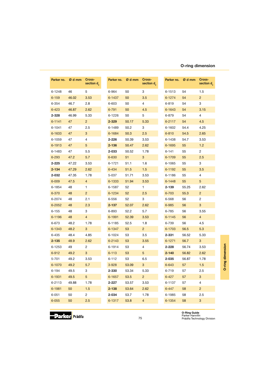| 3<br>46<br>5<br>6-964<br>50<br>6-1513<br>1.5<br>54<br>46.02<br>50<br>$\overline{2}$<br>3.53<br>6-1437<br>3.5<br>6-1274<br>54<br>46.7<br>2.8<br>50<br>$\overline{4}$<br>54<br>3<br>6-603<br>6-819<br>46.87<br>2.62<br>6-791<br>50<br>4.5<br>6-1643<br>54<br>3.15<br>5.33<br>5<br>54<br>4<br>46.99<br>6-1226<br>50<br>6-879<br>47<br>$\overline{2}$<br>2-329<br>50.17<br>54<br>4.5<br>5.33<br>6-2117<br>2.5<br>3<br>47<br>6-1489<br>50.2<br>54.4<br>4.25<br>6-1602<br>3<br>47<br>6-1684<br>50.3<br>2.5<br>6-810<br>54.5<br>2.65<br>4<br>3.53<br>47<br>$2 - 226$<br>50.39<br>3.53<br>6-1438<br>54.7<br>5<br>47<br>$2 - 136$<br>50.47<br>1.2<br>2.62<br>6-1695<br>55<br>2<br>47<br>5.5<br>2-033<br>50.52<br>1.78<br>$6 - 141$<br>55<br>3<br>2.5<br>47.2<br>5.7<br>6-630<br>51<br>6-1709<br>55<br>47.22<br>3<br>3.53<br>6-1721<br>51.1<br>1.6<br>6-1065<br>55<br>47.29<br>51.5<br>55<br>3.5<br>2.62<br>6-434<br>1.5<br>6-1192<br>47.35<br>1.78<br>5-037<br>51.71<br>3.53<br>6-1186<br>55<br>4<br>$\overline{4}$<br>5<br>47.5<br>6-1333<br>51.94<br>3.53<br>6-1448<br>55<br>1<br>1<br>55.25<br>2.62<br>48<br>6-1587<br>52<br>2-139<br>$\overline{2}$<br>$\overline{2}$<br>48<br>52<br>2.5<br>55.3<br>6-1234<br>6-703<br>2<br>48<br>2.1<br>6-556<br>52<br>3<br>6-568<br>56<br>56<br>3<br>48<br>2.3<br>$2 - 137$<br>52.07<br>2.62<br>6-985<br>3<br>3.55<br>48<br>6-893<br>52.2<br>5.7<br>6-785<br>56<br>$\overline{4}$<br>48<br>4<br>6-1991<br>52.39<br>3.53<br>6-1145<br>56<br>48.2<br>1.78<br>4.5<br>52.5<br>1.8<br>6-739<br>56<br>6-1185<br>48.2<br>3<br>$\overline{2}$<br>56.5<br>5.3<br>6-1347<br>53<br>6-1703<br>48.4<br>4.85<br>5.33<br>6-1024<br>53<br>3.5<br>2-331<br>56.52<br>48.9<br>2.62<br>53<br>3.55<br>56.7<br>3<br>6-2143<br>6-1271<br>49<br>$\mathbf{2}$<br>4<br>2-228<br>3.53<br>6-1914<br>53<br>56.74<br>49.2<br>3<br>53<br>5<br>2.62<br>$6 - 113$<br>$2 - 140$<br>56.82<br>49.2<br>53<br>3.53<br>$6 - 112$<br>6.5<br>2-035<br>56.87<br>1.78<br>6-1070<br>49.2<br>5.7<br>53.09<br>3<br>57<br>1.5<br>$3 - 928$<br>6-643<br>49.5<br>3<br>53.34<br>5.33<br>2.5<br>2-330<br>6-719<br>57<br>49.5<br>5<br>$\overline{2}$<br>57<br>3<br>6-1657<br>53.5<br>$6 - 427$<br>49.88<br>1.78<br>2-227<br>4<br>53.57<br>3.53<br>6-1137<br>57<br>$\overline{2}$<br>50<br>1.5<br>2-138<br>2.62<br>$6 - 447$<br>58<br>53.64<br>50<br>$\overline{c}$<br>2.5<br>2-034<br>53.7<br>1.78<br>6-1985<br>58<br>50<br>2.5<br>$\overline{4}$<br>6-1354<br>58<br>3<br>6-1317<br>53.8 | Parker no. | Ø d mm | Cross-<br>section d. | Parker no. | Ø d mm | Cross-<br>section d | Parker no. | Ø d mm | Cross-<br>section d. |
|-------------------------------------------------------------------------------------------------------------------------------------------------------------------------------------------------------------------------------------------------------------------------------------------------------------------------------------------------------------------------------------------------------------------------------------------------------------------------------------------------------------------------------------------------------------------------------------------------------------------------------------------------------------------------------------------------------------------------------------------------------------------------------------------------------------------------------------------------------------------------------------------------------------------------------------------------------------------------------------------------------------------------------------------------------------------------------------------------------------------------------------------------------------------------------------------------------------------------------------------------------------------------------------------------------------------------------------------------------------------------------------------------------------------------------------------------------------------------------------------------------------------------------------------------------------------------------------------------------------------------------------------------------------------------------------------------------------------------------------------------------------------------------------------------------------------------------------------------------------------------------------------------------------------------------------------------------------------------------------------------------------------------------------------------------------------------------------------------------------------------------------------------------------------------------------------------------------------------------------------------------------------------------------------------------------------------------------------------------------------------------------------------------------------------------------------------------------------|------------|--------|----------------------|------------|--------|---------------------|------------|--------|----------------------|
| $6 - 159$<br>6-354<br>$6 - 423$<br>2-328<br>$6 - 1141$<br>6-1041<br>6-1633<br>6-1059<br>6-1913<br>6-1483<br>6-293<br>$2 - 225$<br>$2 - 134$<br>2-032<br>6-009<br>6-1854<br>6-370<br>6-2074<br>6-2052<br>$6 - 155$<br>6-1196<br>6-673<br>6-1343<br>6-435<br>$2 - 135$<br>6-1253<br>6-912<br>$5 - 701$<br>$6 - 194$<br>6-1931<br>6-2113<br>6-1981<br>$6 - 051$<br>$6 - 055$                                                                                                                                                                                                                                                                                                                                                                                                                                                                                                                                                                                                                                                                                                                                                                                                                                                                                                                                                                                                                                                                                                                                                                                                                                                                                                                                                                                                                                                                                                                                                                                                                                                                                                                                                                                                                                                                                                                                                                                                                                                                                         | 6-1248     |        |                      |            |        |                     |            |        |                      |
|                                                                                                                                                                                                                                                                                                                                                                                                                                                                                                                                                                                                                                                                                                                                                                                                                                                                                                                                                                                                                                                                                                                                                                                                                                                                                                                                                                                                                                                                                                                                                                                                                                                                                                                                                                                                                                                                                                                                                                                                                                                                                                                                                                                                                                                                                                                                                                                                                                                                   |            |        |                      |            |        |                     |            |        |                      |
|                                                                                                                                                                                                                                                                                                                                                                                                                                                                                                                                                                                                                                                                                                                                                                                                                                                                                                                                                                                                                                                                                                                                                                                                                                                                                                                                                                                                                                                                                                                                                                                                                                                                                                                                                                                                                                                                                                                                                                                                                                                                                                                                                                                                                                                                                                                                                                                                                                                                   |            |        |                      |            |        |                     |            |        |                      |
|                                                                                                                                                                                                                                                                                                                                                                                                                                                                                                                                                                                                                                                                                                                                                                                                                                                                                                                                                                                                                                                                                                                                                                                                                                                                                                                                                                                                                                                                                                                                                                                                                                                                                                                                                                                                                                                                                                                                                                                                                                                                                                                                                                                                                                                                                                                                                                                                                                                                   |            |        |                      |            |        |                     |            |        |                      |
|                                                                                                                                                                                                                                                                                                                                                                                                                                                                                                                                                                                                                                                                                                                                                                                                                                                                                                                                                                                                                                                                                                                                                                                                                                                                                                                                                                                                                                                                                                                                                                                                                                                                                                                                                                                                                                                                                                                                                                                                                                                                                                                                                                                                                                                                                                                                                                                                                                                                   |            |        |                      |            |        |                     |            |        |                      |
|                                                                                                                                                                                                                                                                                                                                                                                                                                                                                                                                                                                                                                                                                                                                                                                                                                                                                                                                                                                                                                                                                                                                                                                                                                                                                                                                                                                                                                                                                                                                                                                                                                                                                                                                                                                                                                                                                                                                                                                                                                                                                                                                                                                                                                                                                                                                                                                                                                                                   |            |        |                      |            |        |                     |            |        |                      |
|                                                                                                                                                                                                                                                                                                                                                                                                                                                                                                                                                                                                                                                                                                                                                                                                                                                                                                                                                                                                                                                                                                                                                                                                                                                                                                                                                                                                                                                                                                                                                                                                                                                                                                                                                                                                                                                                                                                                                                                                                                                                                                                                                                                                                                                                                                                                                                                                                                                                   |            |        |                      |            |        |                     |            |        |                      |
|                                                                                                                                                                                                                                                                                                                                                                                                                                                                                                                                                                                                                                                                                                                                                                                                                                                                                                                                                                                                                                                                                                                                                                                                                                                                                                                                                                                                                                                                                                                                                                                                                                                                                                                                                                                                                                                                                                                                                                                                                                                                                                                                                                                                                                                                                                                                                                                                                                                                   |            |        |                      |            |        |                     |            |        |                      |
|                                                                                                                                                                                                                                                                                                                                                                                                                                                                                                                                                                                                                                                                                                                                                                                                                                                                                                                                                                                                                                                                                                                                                                                                                                                                                                                                                                                                                                                                                                                                                                                                                                                                                                                                                                                                                                                                                                                                                                                                                                                                                                                                                                                                                                                                                                                                                                                                                                                                   |            |        |                      |            |        |                     |            |        |                      |
|                                                                                                                                                                                                                                                                                                                                                                                                                                                                                                                                                                                                                                                                                                                                                                                                                                                                                                                                                                                                                                                                                                                                                                                                                                                                                                                                                                                                                                                                                                                                                                                                                                                                                                                                                                                                                                                                                                                                                                                                                                                                                                                                                                                                                                                                                                                                                                                                                                                                   |            |        |                      |            |        |                     |            |        |                      |
|                                                                                                                                                                                                                                                                                                                                                                                                                                                                                                                                                                                                                                                                                                                                                                                                                                                                                                                                                                                                                                                                                                                                                                                                                                                                                                                                                                                                                                                                                                                                                                                                                                                                                                                                                                                                                                                                                                                                                                                                                                                                                                                                                                                                                                                                                                                                                                                                                                                                   |            |        |                      |            |        |                     |            |        |                      |
|                                                                                                                                                                                                                                                                                                                                                                                                                                                                                                                                                                                                                                                                                                                                                                                                                                                                                                                                                                                                                                                                                                                                                                                                                                                                                                                                                                                                                                                                                                                                                                                                                                                                                                                                                                                                                                                                                                                                                                                                                                                                                                                                                                                                                                                                                                                                                                                                                                                                   |            |        |                      |            |        |                     |            |        |                      |
|                                                                                                                                                                                                                                                                                                                                                                                                                                                                                                                                                                                                                                                                                                                                                                                                                                                                                                                                                                                                                                                                                                                                                                                                                                                                                                                                                                                                                                                                                                                                                                                                                                                                                                                                                                                                                                                                                                                                                                                                                                                                                                                                                                                                                                                                                                                                                                                                                                                                   |            |        |                      |            |        |                     |            |        |                      |
|                                                                                                                                                                                                                                                                                                                                                                                                                                                                                                                                                                                                                                                                                                                                                                                                                                                                                                                                                                                                                                                                                                                                                                                                                                                                                                                                                                                                                                                                                                                                                                                                                                                                                                                                                                                                                                                                                                                                                                                                                                                                                                                                                                                                                                                                                                                                                                                                                                                                   |            |        |                      |            |        |                     |            |        |                      |
|                                                                                                                                                                                                                                                                                                                                                                                                                                                                                                                                                                                                                                                                                                                                                                                                                                                                                                                                                                                                                                                                                                                                                                                                                                                                                                                                                                                                                                                                                                                                                                                                                                                                                                                                                                                                                                                                                                                                                                                                                                                                                                                                                                                                                                                                                                                                                                                                                                                                   |            |        |                      |            |        |                     |            |        |                      |
|                                                                                                                                                                                                                                                                                                                                                                                                                                                                                                                                                                                                                                                                                                                                                                                                                                                                                                                                                                                                                                                                                                                                                                                                                                                                                                                                                                                                                                                                                                                                                                                                                                                                                                                                                                                                                                                                                                                                                                                                                                                                                                                                                                                                                                                                                                                                                                                                                                                                   |            |        |                      |            |        |                     |            |        |                      |
|                                                                                                                                                                                                                                                                                                                                                                                                                                                                                                                                                                                                                                                                                                                                                                                                                                                                                                                                                                                                                                                                                                                                                                                                                                                                                                                                                                                                                                                                                                                                                                                                                                                                                                                                                                                                                                                                                                                                                                                                                                                                                                                                                                                                                                                                                                                                                                                                                                                                   |            |        |                      |            |        |                     |            |        |                      |
|                                                                                                                                                                                                                                                                                                                                                                                                                                                                                                                                                                                                                                                                                                                                                                                                                                                                                                                                                                                                                                                                                                                                                                                                                                                                                                                                                                                                                                                                                                                                                                                                                                                                                                                                                                                                                                                                                                                                                                                                                                                                                                                                                                                                                                                                                                                                                                                                                                                                   |            |        |                      |            |        |                     |            |        |                      |
|                                                                                                                                                                                                                                                                                                                                                                                                                                                                                                                                                                                                                                                                                                                                                                                                                                                                                                                                                                                                                                                                                                                                                                                                                                                                                                                                                                                                                                                                                                                                                                                                                                                                                                                                                                                                                                                                                                                                                                                                                                                                                                                                                                                                                                                                                                                                                                                                                                                                   |            |        |                      |            |        |                     |            |        |                      |
|                                                                                                                                                                                                                                                                                                                                                                                                                                                                                                                                                                                                                                                                                                                                                                                                                                                                                                                                                                                                                                                                                                                                                                                                                                                                                                                                                                                                                                                                                                                                                                                                                                                                                                                                                                                                                                                                                                                                                                                                                                                                                                                                                                                                                                                                                                                                                                                                                                                                   |            |        |                      |            |        |                     |            |        |                      |
|                                                                                                                                                                                                                                                                                                                                                                                                                                                                                                                                                                                                                                                                                                                                                                                                                                                                                                                                                                                                                                                                                                                                                                                                                                                                                                                                                                                                                                                                                                                                                                                                                                                                                                                                                                                                                                                                                                                                                                                                                                                                                                                                                                                                                                                                                                                                                                                                                                                                   |            |        |                      |            |        |                     |            |        |                      |
|                                                                                                                                                                                                                                                                                                                                                                                                                                                                                                                                                                                                                                                                                                                                                                                                                                                                                                                                                                                                                                                                                                                                                                                                                                                                                                                                                                                                                                                                                                                                                                                                                                                                                                                                                                                                                                                                                                                                                                                                                                                                                                                                                                                                                                                                                                                                                                                                                                                                   |            |        |                      |            |        |                     |            |        |                      |
|                                                                                                                                                                                                                                                                                                                                                                                                                                                                                                                                                                                                                                                                                                                                                                                                                                                                                                                                                                                                                                                                                                                                                                                                                                                                                                                                                                                                                                                                                                                                                                                                                                                                                                                                                                                                                                                                                                                                                                                                                                                                                                                                                                                                                                                                                                                                                                                                                                                                   |            |        |                      |            |        |                     |            |        |                      |
|                                                                                                                                                                                                                                                                                                                                                                                                                                                                                                                                                                                                                                                                                                                                                                                                                                                                                                                                                                                                                                                                                                                                                                                                                                                                                                                                                                                                                                                                                                                                                                                                                                                                                                                                                                                                                                                                                                                                                                                                                                                                                                                                                                                                                                                                                                                                                                                                                                                                   |            |        |                      |            |        |                     |            |        |                      |
|                                                                                                                                                                                                                                                                                                                                                                                                                                                                                                                                                                                                                                                                                                                                                                                                                                                                                                                                                                                                                                                                                                                                                                                                                                                                                                                                                                                                                                                                                                                                                                                                                                                                                                                                                                                                                                                                                                                                                                                                                                                                                                                                                                                                                                                                                                                                                                                                                                                                   |            |        |                      |            |        |                     |            |        |                      |
|                                                                                                                                                                                                                                                                                                                                                                                                                                                                                                                                                                                                                                                                                                                                                                                                                                                                                                                                                                                                                                                                                                                                                                                                                                                                                                                                                                                                                                                                                                                                                                                                                                                                                                                                                                                                                                                                                                                                                                                                                                                                                                                                                                                                                                                                                                                                                                                                                                                                   |            |        |                      |            |        |                     |            |        |                      |
|                                                                                                                                                                                                                                                                                                                                                                                                                                                                                                                                                                                                                                                                                                                                                                                                                                                                                                                                                                                                                                                                                                                                                                                                                                                                                                                                                                                                                                                                                                                                                                                                                                                                                                                                                                                                                                                                                                                                                                                                                                                                                                                                                                                                                                                                                                                                                                                                                                                                   |            |        |                      |            |        |                     |            |        |                      |
|                                                                                                                                                                                                                                                                                                                                                                                                                                                                                                                                                                                                                                                                                                                                                                                                                                                                                                                                                                                                                                                                                                                                                                                                                                                                                                                                                                                                                                                                                                                                                                                                                                                                                                                                                                                                                                                                                                                                                                                                                                                                                                                                                                                                                                                                                                                                                                                                                                                                   |            |        |                      |            |        |                     |            |        |                      |
|                                                                                                                                                                                                                                                                                                                                                                                                                                                                                                                                                                                                                                                                                                                                                                                                                                                                                                                                                                                                                                                                                                                                                                                                                                                                                                                                                                                                                                                                                                                                                                                                                                                                                                                                                                                                                                                                                                                                                                                                                                                                                                                                                                                                                                                                                                                                                                                                                                                                   |            |        |                      |            |        |                     |            |        |                      |
|                                                                                                                                                                                                                                                                                                                                                                                                                                                                                                                                                                                                                                                                                                                                                                                                                                                                                                                                                                                                                                                                                                                                                                                                                                                                                                                                                                                                                                                                                                                                                                                                                                                                                                                                                                                                                                                                                                                                                                                                                                                                                                                                                                                                                                                                                                                                                                                                                                                                   |            |        |                      |            |        |                     |            |        |                      |
|                                                                                                                                                                                                                                                                                                                                                                                                                                                                                                                                                                                                                                                                                                                                                                                                                                                                                                                                                                                                                                                                                                                                                                                                                                                                                                                                                                                                                                                                                                                                                                                                                                                                                                                                                                                                                                                                                                                                                                                                                                                                                                                                                                                                                                                                                                                                                                                                                                                                   |            |        |                      |            |        |                     |            |        |                      |
|                                                                                                                                                                                                                                                                                                                                                                                                                                                                                                                                                                                                                                                                                                                                                                                                                                                                                                                                                                                                                                                                                                                                                                                                                                                                                                                                                                                                                                                                                                                                                                                                                                                                                                                                                                                                                                                                                                                                                                                                                                                                                                                                                                                                                                                                                                                                                                                                                                                                   |            |        |                      |            |        |                     |            |        |                      |
|                                                                                                                                                                                                                                                                                                                                                                                                                                                                                                                                                                                                                                                                                                                                                                                                                                                                                                                                                                                                                                                                                                                                                                                                                                                                                                                                                                                                                                                                                                                                                                                                                                                                                                                                                                                                                                                                                                                                                                                                                                                                                                                                                                                                                                                                                                                                                                                                                                                                   |            |        |                      |            |        |                     |            |        |                      |
|                                                                                                                                                                                                                                                                                                                                                                                                                                                                                                                                                                                                                                                                                                                                                                                                                                                                                                                                                                                                                                                                                                                                                                                                                                                                                                                                                                                                                                                                                                                                                                                                                                                                                                                                                                                                                                                                                                                                                                                                                                                                                                                                                                                                                                                                                                                                                                                                                                                                   |            |        |                      |            |        |                     |            |        |                      |
|                                                                                                                                                                                                                                                                                                                                                                                                                                                                                                                                                                                                                                                                                                                                                                                                                                                                                                                                                                                                                                                                                                                                                                                                                                                                                                                                                                                                                                                                                                                                                                                                                                                                                                                                                                                                                                                                                                                                                                                                                                                                                                                                                                                                                                                                                                                                                                                                                                                                   |            |        |                      |            |        |                     |            |        |                      |
|                                                                                                                                                                                                                                                                                                                                                                                                                                                                                                                                                                                                                                                                                                                                                                                                                                                                                                                                                                                                                                                                                                                                                                                                                                                                                                                                                                                                                                                                                                                                                                                                                                                                                                                                                                                                                                                                                                                                                                                                                                                                                                                                                                                                                                                                                                                                                                                                                                                                   |            |        |                      |            |        |                     |            |        |                      |

**Parker** Prädifa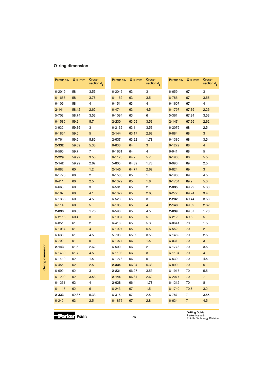| Parker no. | Ø d mm | Cross-<br>section d <sub>2</sub> | Parker no. | Ø d mm | Cross-<br>section d. |
|------------|--------|----------------------------------|------------|--------|----------------------|
| 6-2019     | 58     | 3.55                             | 6-2045     | 63     | 3                    |
| 6-1666     | 58     | 3.75                             | 6-1162     | 63     | 3.5                  |
| $6 - 109$  | 58     | 4                                | $6 - 151$  | 63     | 4                    |
| $2 - 141$  | 58.42  | 2.62                             | 6-474      | 63     | 4.5                  |
| 5-702      | 58.74  | 3.53                             | 6-1094     | 63     | 6                    |
| 6-1585     | 59.2   | 5.7                              | 2-230      | 63.09  | 3.53                 |
| 3-932      | 59.36  | 3                                | 6-2132     | 63.1   | 3.53                 |
| 6-1864     | 59.5   | 5                                | $2 - 144$  | 63.17  | 2.62                 |
| 6-764      | 59.6   | 5.85                             | 2-037      | 63.22  | 1.78                 |
| 2-332      | 59.69  | 5.33                             | 6-636      | 64     | 3                    |
| 6-560      | 59.7   | 7                                | 6-1661     | 64     | 4                    |
| 2-229      | 59.92  | 3.53                             | 6-1123     | 64.2   | 5.7                  |
| 2-142      | 59.99  | 2.62                             | 5-805      | 64.39  | 1.78                 |
| 6-883      | 60     | 1.2                              | $2 - 145$  | 64.77  | 2.62                 |
| 6-1726     | 60     | $\overline{c}$                   | 6-1588     | 65     | 1                    |
| $6 - 411$  | 60     | 2.5                              | 6-1372     | 65     | 1.8                  |
| 6-665      | 60     | 3                                | 6-501      | 65     | 2                    |
| $6 - 107$  | 60     | 4.1                              | 6-1377     | 65     | 2.65                 |
| 6-1368     | 60     | 4.5                              | 6-523      | 65     | 3                    |
| $6 - 114$  | 60     | 5                                | 6-1053     | 65     | $\overline{4}$       |
| 2-036      | 60.05  | 1.78                             | 6-596      | 65     | 4.5                  |
| 6-2118     | 60.4   | 3                                | 6-1037     | 65     | 5                    |
| 6-851      | 61     | $\overline{c}$                   | $6 - 416$  | 65     | 5.3                  |
| 6-1034     | 61     | 4                                | 6-1927     | 65     | 5.5                  |
| 6-633      | 61     | 4.5                              | 5-703      | 65.09  | 3.53                 |
| 6-792      | 61     | 5                                | 6-1974     | 66     | 1.5                  |
| $2 - 143$  | 61.6   | 2.62                             | 6-500      | 66     | 2                    |
| 6-1439     | 61.7   | 4.5                              | 6-1193     | 66     | 3                    |
| 6-1419     | 62     | 1.5                              | 6-1273     | 66     | 5                    |
| $6 - 455$  | 62     | 2.5                              | 2-334      | 66.04  | 5.33                 |
| 6-699      | 62     | 3                                | $2 - 231$  | 66.27  | 3.53                 |
| 6-1209     | 62     | 3.53                             | $2 - 146$  | 66.34  | 2.62                 |
| 6-1261     | 62     | 4                                | 2-038      | 66.4   | 1.78                 |
| 6-1117     | 62     | 6                                | $6 - 243$  | 67     | 1.5                  |
| 2-333      | 62.87  | 5.33                             | 6-316      | 67     | 2.5                  |
| $6 - 242$  | 63     | 2.5                              | 6-1876     | 67     | 2.8                  |

|           | Parker no. Ø d mm | Cross-<br>section $\mathsf{d}_{2}$ |
|-----------|-------------------|------------------------------------|
| 6-659     | 67                | 3                                  |
| 6-786     | 67                | 3.55                               |
| 6-1607    | 67                | $\overline{4}$                     |
| 6-1797    | 67.39             | 2.26                               |
| 5-361     | 67.84             | 3.53                               |
| $2 - 147$ | 67.95             | 2.62                               |
| 6-2079    | 68                | 2.5                                |
| 6-884     | 68                | 3                                  |
| 6-1380    | 68                | 3.5                                |
| 6-1272    | 68                | $\overline{4}$                     |
| $6 - 941$ | 68                | 5                                  |
| 6-1908    | 68                | 5.5                                |
| 6-990     | 69                | 2.5                                |
| $6 - 824$ | 69                | 3                                  |
| 6-1966    | 69                | 4.5                                |
| 6-1704    | 69.2              | 5.3                                |
| 2-335     | 69.22             | 5.33                               |
| 6-272     | 69.24             | 3.4                                |
| 2-232     | 69.44             | 3.53                               |
| $2 - 148$ | 69.52             | 2.62                               |
| 2-039     | 69.57             | 1.78                               |
| 6-2120    | 69.6              | 5                                  |
| 6-0641    | 70                | 1.5                                |
| $6 - 552$ | 70                | $\overline{2}$                     |
| 6-1462    | 70                | 2.5                                |
| $6 - 031$ | 70                | 3                                  |
| 6-1778    | 70                | 3.5                                |
| 6-1194    | 70                | $\overline{4}$                     |
| 6-539     | 70                | 4.5                                |
| 6-899     | 70                | 5 <sup>5</sup>                     |
| 6-1917    | 70                | 5.5                                |
| 6-2077    | 70                | $\overline{7}$                     |
| 6-1212    | 70                | 8                                  |
| 6-1740    | 70.5              | 3.2                                |
| 6-787     | 71                | 3.55                               |
| 6-634     | 71                | 4.5                                |

**-Parker** Prädifa

O-ring dimension

O-ring dimension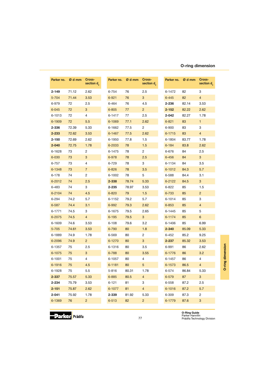| Parker no. | Ø d mm | Cross-<br>section d <sub>2</sub> | Parker no. | Ø d mm | Cross-<br>section d.    | Parker no. | Ø d mm | Cross-<br>section d <sub>2</sub> |
|------------|--------|----------------------------------|------------|--------|-------------------------|------------|--------|----------------------------------|
| $2 - 149$  | 71.12  | 2.62                             | 6-754      | 76     | 2.5                     | 6-1472     | 82     | 3                                |
| 5-704      | 71.44  | 3.53                             | $6 - 921$  | 76     | 3                       | $6 - 445$  | 82     | $\overline{4}$                   |
| 6-979      | 72     | 2.5                              | 6-464      | 76     | 4.5                     | 2-236      | 82.14  | 3.53                             |
| $6 - 045$  | 72     | 3                                | $6 - 805$  | 77     | $\overline{2}$          | $2 - 152$  | 82.22  | 2.62                             |
| 6-1013     | 72     | 4                                | 6-1417     | 77     | 2.5                     | 2-042      | 82.27  | 1.78                             |
| 6-1909     | 72     | 5.5                              | 6-1069     | 77.1   | 2.62                    | $6 - 821$  | 83     | $\mathbf{1}$                     |
| 2-336      | 72.39  | 5.33                             | 6-1662     | 77.5   | 2                       | 6-900      | 83     | 3                                |
| 2-233      | 72.62  | 3.53                             | 6-1467     | 77.5   | 2.62                    | 6-1715     | 83     | $\overline{4}$                   |
| $2 - 150$  | 72.69  | 2.62                             | 6-1950     | 77.8   | 1.5                     | 6-1804     | 83.77  | 1.78                             |
| $2 - 040$  | 72.75  | 1.78                             | 6-2033     | 78     | 1.5                     | $6 - 184$  | 83.8   | 2.62                             |
| 6-1628     | 73     | $\overline{c}$                   | 6-1475     | 78     | 2                       | 6-676      | 84     | 2.5                              |
| 6-030      | 73     | 3                                | 6-978      | 78     | 2.5                     | $6 - 456$  | 84     | 3                                |
| 6-757      | 73     | 4                                | 6-729      | 78     | 3                       | 6-1134     | 84     | 3.5                              |
| 6-1348     | 73     | $\overline{7}$                   | $6 - 826$  | 78     | 3.5                     | 6-1012     | 84.3   | 5.7                              |
| $6 - 178$  | 74     | $\overline{c}$                   | 6-1002     | 78     | 5                       | 6-588      | 84.4   | 3.1                              |
| 6-2012     | 74     | 2.5                              | 2-338      | 78.74  | 5.33                    | 6-2122     | 84.5   | 3                                |
| 6-483      | 74     | 3                                | 2-235      | 78.97  | 3.53                    | $6 - 822$  | 85     | 1.5                              |
| 6-2104     | 74     | 4.5                              | $6 - 820$  | 79     | 1.5                     | 6-733      | 85     | $\overline{2}$                   |
| 6-294      | 74.2   | 5.7                              | 6-1152     | 79.2   | 5.7                     | 6-1014     | 85     | 3                                |
| 6-587      | 74.4   | 3.1                              | 6-992      | 79.3   | 2.62                    | $6 - 853$  | 85     | $\overline{4}$                   |
| 6-1771     | 74.5   | 3                                | 6-1675     | 79.5   | 2.65                    | 6-1445     | 85     | 5                                |
| 6-2075     | 74.5   | $\overline{4}$                   | $6 - 195$  | 79.5   | 3                       | 6-1174     | 85     | 6                                |
| 6-1609     | 74.6   | 3.53                             | $6 - 108$  | 79.6   | 3.2                     | 6-1406     | 85     | 6.99                             |
| 5-705      | 74.61  | 3.53                             | 6-790      | 80     | 1.8                     | 2-340      | 85.09  | 5.33                             |
| 6-1889     | 74.9   | 1.78                             | 6-569      | 80     | $\overline{c}$          | $6 - 452$  | 85.2   | 9.25                             |
| 6-2096     | 74.9   | $\overline{2}$                   | 6-1270     | 80     | 3                       | 2-237      | 85.32  | 3.53                             |
| 6-1357     | 75     | 2.5                              | 6-1316     | 80     | 3.5                     | 6-991      | 86     | 2.62                             |
| 6-1075     | 75     | 3                                | 6-788      | 80     | 3.55                    | 6-1776     | 86     | 3.2                              |
| $6 - 1001$ | 75     | 4                                | 6-1057     | 80     | 4                       | 6-1457     | 86     | 4                                |
| 6-1916     | 75     | 4.5                              | 6-1181     | 80     | 5                       | 6-1573     | 86.5   | $\overline{4}$                   |
| 6-1928     | 75     | 5.5                              | 5-816      | 80.31  | 1.78                    | 6-574      | 86.84  | 5.33                             |
| 2-337      | 75.57  | 5.33                             | 6-885      | 80.5   | $\overline{\mathbf{4}}$ | 6-579      | 87     | 3                                |
| 2-234      | 75.79  | 3.53                             | 6-121      | 81     | 3                       | 6-558      | 87.2   | 2.5                              |
| $2 - 151$  | 75.87  | 2.62                             | 6-1077     | 81     | 4                       | 6-1016     | 87.2   | 5.7                              |
| $2 - 041$  | 75.92  | 1.78                             | 2-339      | 81.92  | 5.33                    | 6-309      | 87.3   | 2                                |
| 6-1369     | 76     | $\overline{2}$                   | $6 - 513$  | 82     | $\overline{2}$          | 6-1779     | 87.6   | 3                                |

**Parker** Prädifa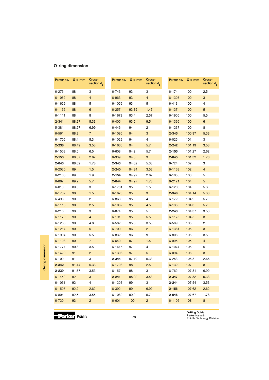| Parker no. | Ø d mm | Cross-<br>section d <sub>2</sub> | Parker no. | Ø d mm | Cross-<br>section d <sub>2</sub> |
|------------|--------|----------------------------------|------------|--------|----------------------------------|
| 6-276      | 88     | 3                                | 6-743      | 93     | 3                                |
| 6-1052     | 88     | $\overline{4}$                   | 6-963      | 93     | $\overline{4}$                   |
| 6-1629     | 88     | 5                                | 6-1056     | 93     | 5                                |
| 6-1165     | 88     | 6                                | $6 - 257$  | 93.39  | 1.47                             |
| 6-1111     | 88     | 8                                | 6-1672     | 93.4   | 2.57                             |
| $2 - 341$  | 88.27  | 5.33                             | $6 - 405$  | 93.5   | 9.5                              |
| 5-381      | 88.27  | 6.99                             | 6-446      | 94     | $\overline{2}$                   |
| $6 - 561$  | 88.3   | $\overline{7}$                   | 6-1095     | 94     | 3                                |
| 6-1705     | 88.4   | 5.3                              | 6-1029     | 94     | $\overline{\mathcal{L}}$         |
| 2-238      | 88.49  | 3.53                             | 6-1665     | 94     | 5.7                              |
| 6-1508     | 88.5   | 6.5                              | 6-608      | 94.2   | 5.7                              |
| $2 - 153$  | 88.57  | 2.62                             | 6-339      | 94.5   | 3                                |
| 2-043      | 88.62  | 1.78                             | 2-343      | 94.62  | 5.33                             |
| 6-2030     | 89     | 1.5                              | $2 - 240$  | 94.84  | 3.53                             |
| 6-2108     | 89     | 1.9                              | $2 - 154$  | 94.92  | 2.62                             |
| 6-867      | 89.2   | 5.7                              | $2 - 044$  | 94.97  | 1.78                             |
| 6-013      | 89.5   | 3                                | 6-1781     | 95     | 1.5                              |
| 6-1782     | 90     | 1.5                              | 6-1673     | 95     | 3                                |
| 6-498      | 90     | $\overline{c}$                   | 6-863      | 95     | 4                                |
| 6-1113     | 90     | 2.5                              | 6-1062     | 95     | 4.5                              |
| 6-216      | 90     | 3                                | 6-874      | 95     | 5                                |
| 6-1179     | 90     | $\overline{\mathbf{4}}$          | 6-1910     | 95     | 5.5                              |
| 6-1265     | 90     | 4.8                              | 6-582      | 95.5   | 3.53                             |
| 6-1214     | 90     | 5                                | 6-700      | 96     | $\overline{2}$                   |
| 6-1904     | 90     | 5.5                              | 6-832      | 96     | 9                                |
| 6-1103     | 90     | $\overline{7}$                   | 6-640      | 97     | 1.5                              |
| 6-1777     | 90.8   | 3.5                              | 6-1415     | 97     | 4                                |
| 6-1429     | 91     | $\overline{2}$                   | 6-1306     | 97     | 5                                |
| $6 - 100$  | 91     | 3                                | 2-344      | 97.79  | 5.33                             |
| $2 - 342$  | 91.44  | 5.33                             | 6-1708     | 98     | 2.5                              |
| 2-239      | 91.67  | 3.53                             | $6 - 157$  | 98     | 3                                |
| 6-1452     | 92     | 3                                | $2 - 241$  | 98.02  | 3.53                             |
| 6-1061     | 92     | 4                                | 6-1303     | 99     | 3                                |
| 6-1507     | 92.2   | 2.62                             | 6-392      | 99     | 6.99                             |
| 6-804      | 92.5   | 3.55                             | 6-1089     | 99.2   | 5.7                              |
| 6-720      | 93     | $\overline{2}$                   | $6 - 601$  | 100    | $\overline{2}$                   |

|           | Parker no. Ø d mm | Cross-<br>section d <sub>2</sub> |
|-----------|-------------------|----------------------------------|
| $6 - 174$ | 100               | 2.5                              |
| 6-1305    | 100               | 3                                |
| $6 - 413$ | 100               | 4                                |
| $6 - 137$ | 100               | 5                                |
| 6-1905    | 100               | 5.5                              |
| 6-1395    | 100               | 6                                |
| 6-1237    | 100               | 8                                |
| 2-345     | 100.97            | 5.33                             |
| $6 - 025$ | 101               | 3                                |
| $2 - 242$ | 101.19            | 3.53                             |
| $2 - 155$ | 101.27            | 2.62                             |
| $2 - 045$ | 101.32            | 1.78                             |
| 6-724     | 102               | 3                                |
| 6-1163    | 102               | 4                                |
| 6-1055    | 103               | 5                                |
| 6-2121    | 104               | 5                                |
| 6-1200    | 104               | 5.3                              |
| 2-346     | 104.14            | 5.33                             |
| 6-1720    | 104.2             | 5.7                              |
| 6-1350    | 104.3             | 5.7                              |
| 2-243     | 104.37            | 3.53                             |
| 6-1175    | 104.5             | 3                                |
| 6-589     | 105               | 2                                |
| 6-1381    | 105               | 3                                |
| 6-806     | 105               | 3.5                              |
| 6-995     | 105               | 4                                |
| 6-1074    | 105               | 5                                |
| 6-094     | 106               | 3                                |
| 6-253     | 106.8             | 2.66                             |
| 6-1320    | 107               | 8                                |
| 6-762     | 107.31            | 6.99                             |
| 2-347     | 107.32            | 5.33                             |
| 2-244     | 107.54            | 3.53                             |
| $2 - 156$ | 107.62            | 2.62                             |
| 2-046     | 107.67            | 1.78                             |
| 6-1106    | 108               | 8                                |

**-Parker** Prädifa

O-ring dimension

O-ring dimension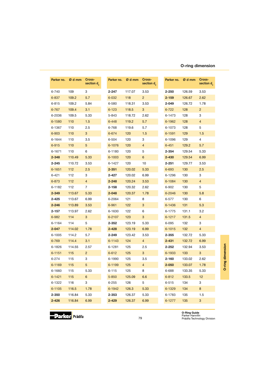| Parker no. | Ø d mm | Cross-<br>section d <sub>2</sub> | Parker no. | Ø d mm | Cross-<br>section d | Parker no. | Ø d mm | Cross-<br>section d <sub>2</sub> |
|------------|--------|----------------------------------|------------|--------|---------------------|------------|--------|----------------------------------|
| 6-740      | 109    | 3                                | $2 - 247$  | 117.07 | 3.53                | $2 - 250$  | 126.59 | 3.53                             |
| 6-837      | 109.2  | 5.7                              | 6-032      | 118    | $\overline{2}$      | $2 - 159$  | 126.67 | 2.62                             |
| $6 - 815$  | 109.2  | 5.84                             | 6-580      | 118.31 | 3.53                | 2-049      | 126.72 | 1.78                             |
| 6-767      | 109.4  | 3.1                              | $6 - 123$  | 118.5  | 3                   | $6 - 722$  | 128    | $\overline{c}$                   |
| 6-2036     | 109.5  | 5.33                             | 5-843      | 118.72 | 2.62                | 6-1473     | 128    | 3                                |
| 6-1580     | 110    | 1.5                              | $6 - 448$  | 119.2  | 5.7                 | 6-1962     | 128    | $\overline{\mathbf{4}}$          |
| 6-1367     | 110    | 2.5                              | 6-768      | 119.6  | 5.7                 | 6-1073     | 128    | 5                                |
| 6-903      | 110    | 3                                | 6-674      | 120    | 1.5                 | 6-1591     | 129    | 1.5                              |
| 6-1644     | 110    | 3.5                              | 6-504      | 120    | 3                   | 6-1096     | 129    | 4                                |
| 6-915      | 110    | 5                                | 6-1076     | 120    | $\overline{4}$      | $6 - 451$  | 129.2  | 5.7                              |
| 6-1671     | 110    | 6                                | 6-1180     | 120    | 5                   | 2-354      | 129.54 | 5.33                             |
| 2-348      | 110.49 | 5.33                             | 6-1003     | 120    | 6                   | 2-430      | 129.54 | 6.99                             |
| $2 - 245$  | 110.72 | 3.53                             | 6-1427     | 120    | 10                  | $2 - 251$  | 129.77 | 3.53                             |
| $6 - 1651$ | 112    | 2.5                              | $2 - 351$  | 120.02 | 5.33                | 6-693      | 130    | 2.5                              |
| $6 - 421$  | 112    | 3                                | 2-427      | 120.02 | 6.99                | 6-1296     | 130    | 3                                |
| 6-873      | 112    | 4                                | $2 - 248$  | 120.24 | 3.53                | 6-1084     | 130    | 4                                |
| 6-1182     | 112    | 7                                | 2-158      | 120.32 | 2.62                | 6-902      | 130    | 5                                |
| 2-349      | 113.67 | 5.33                             | 2-048      | 120.37 | 1.78                | 6-2046     | 130    | 5.8                              |
| 2-425      | 113.67 | 6.99                             | 6-2064     | 121    | 8                   | 6-577      | 130    | 6                                |
| $2 - 246$  | 113.89 | 3.53                             | 6-961      | 122    | 3                   | 6-1436     | 131    | 5.3                              |
| $2 - 157$  | 113.97 | 2.62                             | 6-1630     | 122    | 6                   | 6-1775     | 131.1  | 3.2                              |
| 6-982      | 114    | 3                                | 6-2107     | 123    | 3                   | 6-1217     | 131.5  | 4                                |
| 6-1164     | 114    | 5                                | 2-352      | 123.19 | 5.33                | 6-095      | 132    | 3                                |
| $2 - 047$  | 114.02 | 1.78                             | $2 - 428$  | 123.19 | 6.99                | $6 - 1015$ | 132    | 4                                |
| 6-1005     | 114.2  | 5.7                              | 2-249      | 123.42 | 3.53                | 2-355      | 132.72 | 5.33                             |
| 6-769      | 114.4  | 3.1                              | 6-1143     | 124    | $\overline{4}$      | $2 - 431$  | 132.72 | 6.99                             |
| 6-1826     | 114.55 | 2.57                             | 6-1281     | 125    | 2.5                 | 2-252      | 132.94 | 3.53                             |
| $6 - 1151$ | 115    | $\overline{c}$                   | 6-612      | 125    | 3                   | 6-1933     | 133    | 3                                |
| 6-274      | 115    | 3                                | 6-1990     | 125    | 3.5                 | 2-160      | 133.02 | 2.62                             |
| 6-1169     | 115    | 5                                | 6-1199     | 125    | $\overline{4}$      | $2 - 050$  | 133.07 | 1.78                             |
| 6-1660     | 115    | 5.33                             | $6 - 115$  | 125    | 8                   | 6-688      | 133.35 | 5.33                             |
| $6 - 1421$ | 115    | 6                                | 5-850      | 125.09 | 6.6                 | $6 - 812$  | 133.5  | 12                               |
| 6-1322     | 116    | 3                                | $6 - 255$  | 126    | 5                   | $6 - 515$  | 134    | 3                                |
| 6-1105     | 116.5  | 1.78                             | 6-1942     | 126.3  | 5.33                | 6-1329     | 134    | 8                                |
| 2-350      | 116.84 | 5.33                             | 2-353      | 126.37 | 5.33                | 6-1783     | 135    | 1.5                              |
| 2-426      | 116.84 | 6.99                             | 2-429      | 126.37 | 6.99                | 6-1277     | 135    | 3                                |
|            |        |                                  |            |        |                     |            |        |                                  |

**Parker** Prädifa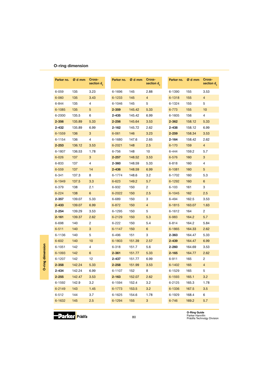| Parker no. | Ø d mm | Cross-<br>section d. | Parker no. | Ø d mm | Cross-<br>section d. | Parker no. | Ø d mm | Cross-<br>section d <sub>2</sub> |
|------------|--------|----------------------|------------|--------|----------------------|------------|--------|----------------------------------|
| $6 - 059$  | 135    | 3.23                 | 6-1696     | 145    | 2.88                 | 6-1390     | 155    | 3.53                             |
| 6-060      | 135    | 3.43                 | 6-1233     | 145    | 4                    | 6-1318     | 155    | $\overline{4}$                   |
| 6-844      | 135    | 4                    | 6-1046     | 145    | 5                    | 6-1324     | 155    | 5                                |
| 6-1085     | 135    | 5                    | 2-359      | 145.42 | 5.33                 | 6-773      | 155    | 10                               |
| 6-2000     | 135.5  | 6                    | 2-435      | 145.42 | 6.99                 | 6-1605     | 156    | 4                                |
| 2-356      | 135.89 | 5.33                 | $2 - 256$  | 145.64 | 3.53                 | 2-362      | 158.12 | 5.33                             |
| 2-432      | 135.89 | 6.99                 | 2-162      | 145.72 | 2.62                 | 2-438      | 158.12 | 6.99                             |
| 6-1559     | 136    | 3                    | $6 - 061$  | 146    | 3.23                 | $2 - 259$  | 158.34 | 3.53                             |
| 6-1154     | 136    | 4                    | 6-1680     | 147.6  | 2.65                 | 2-164      | 158.42 | 2.62                             |
| 2-253      | 136.12 | 3.53                 | 6-2021     | 148    | 2.5                  | $6 - 170$  | 159    | $\overline{\mathbf{4}}$          |
| 6-1807     | 136.53 | 1.78                 | 6-756      | 148    | 10                   | 6-444      | 159.2  | 5.7                              |
| $6 - 026$  | 137    | 3                    | $2 - 257$  | 148.52 | 3.53                 | 6-576      | 160    | 3                                |
| 6-833      | 137    | 4                    | 2-360      | 148.59 | 5.33                 | 6-818      | 160    | 4                                |
| 6-559      | 137    | 14                   | 2-436      | 148.59 | 6.99                 | 6-1081     | 160    | 5                                |
| 6-341      | 137.3  | 8                    | 6-1774     | 148.6  | 3.2                  | 6-1702     | 160    | 5.3                              |
| 6-1949     | 137.5  | 3.3                  | $6 - 623$  | 149.2  | 5.7                  | 6-1292     | 160    | 6                                |
| 6-379      | 138    | 2.1                  | 6-932      | 150    | 2                    | $6 - 103$  | 161    | 3                                |
| $6 - 224$  | 138    | 6                    | 6-2022     | 150    | 2.5                  | $6 - 1045$ | 162    | 2.5                              |
| 2-357      | 139.07 | 5.33                 | 6-689      | 150    | 3                    | 6-494      | 162.5  | 3.53                             |
| 2-433      | 139.07 | 6.99                 | $6 - 872$  | 150    | 4                    | 6-1815     | 163.07 | 1.63                             |
| 2-254      | 139.29 | 3.53                 | 6-1295     | 150    | 5                    | 6-1612     | 164    | 2                                |
| $2 - 161$  | 139.37 | 2.62                 | 6-2129     | 150    | 5.3                  | 6-983      | 164.2  | 5.7                              |
| 6-698      | 140    | 2                    | $6 - 222$  | 150    | 5.4                  | 6-814      | 164.2  | 5.84                             |
| $6 - 511$  | 140    | 3                    | 6-1147     | 150    | 6                    | 6-1865     | 164.33 | 2.62                             |
| 6-1136     | 140    | 5                    | 6-496      | 151    | 3                    | 2-363      | 164.47 | 5.33                             |
| 6-602      | 140    | 10                   | 6-1803     | 151.39 | 2.57                 | 2-439      | 164.47 | 6.99                             |
| 6-1051     | 142    | 4                    | 6-318      | 151.7  | 5.6                  | 2-260      | 164.69 | 3.53                             |
| 6-1093     | 142    | 6                    | 2-361      | 151.77 | 5.33                 | $2 - 165$  | 164.77 | 2.62                             |
| 6-1207     | 142    | 12                   | 2-437      | 151.77 | 6.99                 | $6 - 911$  | 165    | 2                                |
| 2-358      | 142.24 | 5.33                 | $2 - 258$  | 151.99 | 3.53                 | 6-1402     | 165    | 4                                |
| 2-434      | 142.24 | 6.99                 | 6-1107     | 152    | 8                    | 6-1529     | 165    | 5                                |
| $2 - 255$  | 142.47 | 3.53                 | 2-163      | 152.07 | 2.62                 | 6-1593     | 165.1  | 3.2                              |
| 6-1592     | 142.9  | 3.2                  | 6-1594     | 152.4  | 3.2                  | 6-2125     | 165.3  | 1.78                             |
| 6-2149     | 143    | 1.45                 | 6-1773     | 153.5  | 3.2                  | 6-1336     | 167.5  | 3.5                              |
| 6-512      | 144    | 3.7                  | 6-1625     | 154.6  | 1.78                 | 6-1929     | 168.4  | 6                                |
| 6-1632     | 145    | 2.5                  | 6-1294     | 155    | 3                    | $6 - 746$  | 169.2  | 5.7                              |

**-Parker** Prädifa

O-ring dimension

O-ring dimension

80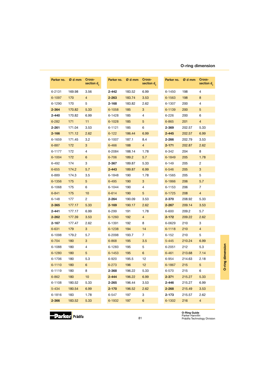| Parker no. | Ø d mm | Cross-<br>section d <sub>2</sub> | Parker no. | Ø d mm | Cross-<br>section d | Parker no. | Ø d mm | Cross-<br>section d <sub>2</sub> |
|------------|--------|----------------------------------|------------|--------|---------------------|------------|--------|----------------------------------|
| 6-2131     | 169.98 | 3.56                             | 2-442      | 183.52 | 6.99                | 6-1450     | 198    | 4                                |
| 6-1097     | 170    | 4                                | 2-263      | 183.74 | 3.53                | 6-1563     | 198    | 8                                |
| 6-1290     | 170    | 5                                | $2 - 168$  | 183.82 | 2.62                | 6-1307     | 200    | 4                                |
| $2 - 364$  | 170.82 | 5.33                             | 6-1058     | 185    | 3                   | 6-1139     | 200    | 5                                |
| $2 - 440$  | 170.82 | 6.99                             | 6-1428     | 185    | $\overline{4}$      | $6 - 226$  | 200    | 6                                |
| $6 - 282$  | 171    | 11                               | 6-1028     | 185    | 5                   | 6-865      | 201    | $\overline{4}$                   |
| $2 - 261$  | 171.04 | 3.53                             | 6-1121     | 185    | 6                   | 2-369      | 202.57 | 5.33                             |
| $2 - 166$  | 171.12 | 2.62                             | $6 - 122$  | 186.44 | 6.99                | $2 - 445$  | 202.57 | 6.99                             |
| 6-1659     | 171.45 | 3.2                              | 6-1007     | 187.1  | 8.4                 | 2-266      | 202.79 | 3.53                             |
| 6-887      | 172    | 3                                | 6-466      | 188    | $\overline{4}$      | $2 - 171$  | 202.87 | 2.62                             |
| 6-1177     | 172    | 4                                | 6-2084     | 188.14 | 1.78                | 6-342      | 204    | 8                                |
| 6-1004     | 172    | 6                                | 6-706      | 189.2  | 5.7                 | 6-1849     | 205    | 1.78                             |
| 6-492      | 174    | 3                                | 2-367      | 189.87 | 5.33                | $6 - 149$  | 205    | 2                                |
| $6 - 655$  | 174.2  | 5.7                              | 2-443      | 189.87 | 6.99                | 6-546      | 205    | 3                                |
| 6-889      | 174.3  | 3.5                              | 6-1848     | 190    | 1.78                | 6-1565     | 205    | 5                                |
| 6-1356     | 175    | 5                                | $6 - 495$  | 190    | 3                   | 6-1866     | 206    | 5.7                              |
| 6-1068     | 175    | 6                                | 6-1044     | 190    | 4                   | 6-1153     | 206    | 7                                |
| $6 - 841$  | 175    | 10                               | $6 - 614$  | 190    | 5                   | 6-1725     | 208    | $\overline{4}$                   |
| $6 - 148$  | 177    | 2                                | 2-264      | 190.09 | 3.53                | 2-370      | 208.92 | 5.33                             |
| 2-365      | 177.17 | 5.33                             | $2 - 169$  | 190.17 | 2.62                | $2 - 267$  | 209.14 | 3.53                             |
| $2 - 441$  | 177.17 | 6.99                             | 6-299      | 191    | 1.78                | 6-600      | 209.2  | 5.7                              |
| $2 - 262$  | 177.39 | 3.53                             | 6-1260     | 192    | $\overline{4}$      | $2 - 172$  | 209.22 | 2.62                             |
| $2 - 167$  | 177.47 | 2.62                             | 6-1391     | 192    | 8                   | 6-0629     | 210    | 3                                |
| 6-631      | 179    | 3                                | 6-1238     | 194    | 14                  | 6-1118     | 210    | $\overline{4}$                   |
| 6-1098     | 179.2  | 5.7                              | 6-2098     | 193.7  | 7                   | $6 - 152$  | 210    | 5                                |
| 6-704      | 180    | 3                                | 6-868      | 195    | 3.5                 | $5 - 445$  | 210.24 | 6.99                             |
| 6-1088     | 180    | 4                                | 6-1283     | 195    | 5                   | 6-2051     | 212    | 5.3                              |
| 6-1280     | 180    | 5                                | 6-1453     | 195    | 6                   | $6 - 461$  | 213.68 | 7.14                             |
| 6-1706     | 180    | 5.3                              | 6-920      | 195.5  | 12                  | 6-954      | 214.63 | 2.18                             |
| 6-1110     | 180    | 6                                | 6-273      | 196    | 12                  | 6-1867     | 215    | 5                                |
| 6-1119     | 180    | 8                                | 2-368      | 196.22 | 5.33                | 6-570      | 215    | 6                                |
| $6 - 862$  | 180    | 10                               | $2 - 444$  | 196.22 | 6.99                | $2 - 371$  | 215.27 | 5.33                             |
| 6-1108     | 180.52 | 5.33                             | 2-265      | 196.44 | 3.53                | 2-446      | 215.27 | 6.99                             |
| 5-434      | 180.54 | 6.99                             | 2-170      | 196.52 | 2.62                | $2 - 268$  | 215.49 | 3.53                             |
| 6-1816     | 183    | 1.78                             | 6-547      | 197    | 3                   | 2-173      | 215.57 | 2.62                             |
| 2-366      | 183.52 | 5.33                             | 6-1932     | 197    | 6                   | 6-1302     | 216    | 4                                |
|            |        |                                  |            |        |                     |            |        |                                  |

**Parker** Prädifa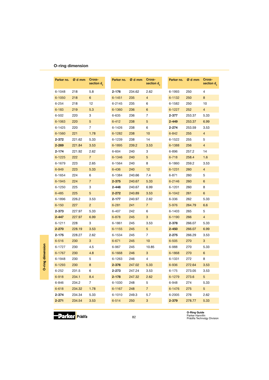| Parker no. | Ø d mm | Cross-<br>section d <sub>2</sub> | Parker no. | Ø d mm | Cross-<br>section d. | Parker no. | Ø  |
|------------|--------|----------------------------------|------------|--------|----------------------|------------|----|
| 6-1048     | 218    | 5.8                              | $2 - 176$  | 234.62 | 2.62                 | 6-1993     | 25 |
| 6-1050     | 218    | 6                                | $6 - 1451$ | 235    | $\overline{4}$       | 6-1132     | 25 |
| $6 - 254$  | 218    | 12                               | 6-2145     | 235    | 6                    | 6-1582     | 25 |
| $6 - 183$  | 219    | 5.3                              | 6-1360     | 236    | 6                    | 6-1227     | 25 |
| 6-502      | 220    | 3                                | 6-635      | 236    | $\overline{7}$       | 2-377      | 25 |
| 6-1063     | 220    | 5                                | $6 - 412$  | 238    | 5                    | 2-449      | 25 |
| 6-1425     | 220    | $\overline{7}$                   | 6-1426     | 238    | 6                    | 2-274      | 25 |
| 6-1560     | 221    | 1.78                             | 6-1282     | 238    | 10                   | 6-842      | 25 |
| 2-372      | 221.62 | 5.33                             | 6-1239     | 238    | 14                   | 6-1522     | 25 |
| $2 - 269$  | 221.84 | 3.53                             | 6-1895     | 239.2  | 3.53                 | 6-1388     | 25 |
| $2 - 174$  | 221.92 | 2.62                             | 6-604      | 240    | 3                    | 6-896      | 25 |
| $6 - 1225$ | 222    | $\overline{7}$                   | 6-1346     | 240    | 5                    | $6 - 718$  | 25 |
| 6-1679     | 223    | 2.65                             | 6-1564     | 240    | 8                    | 6-1860     | 25 |
| 6-949      | 223    | 5.33                             | 6-436      | 240    | 12                   | 6-1231     | 26 |
| 6-1654     | 224    | 6                                | 6-1384     | 240.66 | 7.4                  | 6-871      | 26 |
| 6-1945     | 224    | $\overline{7}$                   | 2-375      | 240.67 | 5.33                 | 6-2146     | 26 |
| 6-1250     | 225    | 3                                | 2-448      | 240.67 | 6.99                 | 6-1201     | 26 |
| $6 - 485$  | 225    | 5                                | $2 - 272$  | 240.89 | 3.53                 | 6-1042     | 26 |
| 6-1896     | 226.2  | 3.53                             | $2 - 177$  | 240.97 | 2.62                 | 6-336      | 26 |
| $6 - 150$  | 227    | $\overline{c}$                   | $6 - 281$  | 241    | $\overline{7}$       | 5-976      | 26 |
| 2-373      | 227.97 | 5.33                             | 6-407      | 242    | 6                    | 6-1403     | 26 |
| $2 - 447$  | 227.97 | 6.99                             | 6-878      | 245    | 3                    | 6-1190     | 26 |
| $6 - 1211$ | 228    | 3                                | 6-1861     | 245    | 3.53                 | 2-378      | 26 |
| $2 - 270$  | 228.19 | 3.53                             | 6-1155     | 245    | 5                    | $2 - 450$  | 26 |
| $2 - 175$  | 228.27 | 2.62                             | 6-1534     | 245    | $\overline{7}$       | 2-275      | 26 |
| $6 - 516$  | 230    | 3                                | 6-671      | 245    | 10                   | $6 - 505$  | 27 |
| 6-1727     | 230    | 4.5                              | 6-967      | 245    | 10.85                | 6-988      | 27 |
| 6-1767     | 230    | 4.8                              | 6-1668     | 246    | 3                    | 6-1868     | 27 |
| 6-1948     | 230    | 5                                | 6-1263     | 246    | $\overline{4}$       | 6-1331     | 27 |
| 6-1293     | 230    | 8                                | 2-376      | 247.02 | 5.33                 | 6-936      | 27 |
| $6 - 252$  | 231.5  | 6                                | 2-273      | 247.24 | 3.53                 | $6 - 175$  | 27 |
| $6 - 918$  | 234.1  | 8.4                              | $2 - 178$  | 247.32 | 2.62                 | 6-1279     | 27 |
| 6-846      | 234.2  | 7                                | 6-1030     | 248    | 5                    | 6-948      | 27 |
| $6 - 618$  | 234.32 | 1.78                             | 6-1167     | 248    | $\overline{7}$       | 6-1476     | 27 |
| 2-374      | 234.34 | 5.33                             | 6-1010     | 249.3  | 5.7                  | 6-2005     | 27 |
| $2 - 271$  | 234.54 | 3.53                             | $6 - 514$  | 250    | 3                    | 2-379      | 27 |

| Parker no. | Ø d mm | Cross-<br>section $\mathsf{d}_{2}$ |
|------------|--------|------------------------------------|
| 6-1993     | 250    | 4                                  |
| 6-1132     | 250    | 8                                  |
| 6-1582     | 250    | 10                                 |
| 6-1227     | 252    | $\overline{4}$                     |
| 2-377      | 253.37 | 5.33                               |
| $2 - 449$  | 253.37 | 6.99                               |
| $2 - 274$  | 253.59 | 3.53                               |
| 6-842      | 255    | $\overline{4}$                     |
| 6-1522     | 255    | 5                                  |
| 6-1388     | 256    | 4                                  |
| 6-896      | 257.2  | 14                                 |
| $6 - 718$  | 258.4  | 1.6                                |
| 6-1860     | 259.2  | 3.53                               |
| 6-1231     | 260    | 4                                  |
| 6-871      | 260    | 5                                  |
| 6-2146     | 260    | 6                                  |
| 6-1201     | 260    | 8                                  |
| 6-1042     | 261    | 6                                  |
| 6-336      | 262    | 5.33                               |
| 5-976      | 264.79 | 6.6                                |
| 6-1403     | 265    | 5                                  |
| 6-1190     | 266    | 4                                  |
| 2-378      | 266.07 | 5.33                               |
| $2 - 450$  | 266.07 | 6.99                               |
| 2-275      | 266.29 | 3.53                               |
| 6-505      | 270    | 3                                  |
| 6-988      | 270    | 5.33                               |
| 6-1868     | 270    | 6                                  |
| 6-1331     | 272    | 8                                  |
| 6-936      | 272.64 | 3.53                               |
| $6 - 175$  | 273.05 | 3.53                               |
| 6-1279     | 273.6  | 5                                  |
| 6-948      | 274    | 5.33                               |
| 6-1476     | 275    | 5                                  |
| 6-2005     | 276    | 2.62                               |
| 2-379      | 278.77 | 5.33                               |

O-ring dimension O-ring dimension

**-Parker** Prädifa

82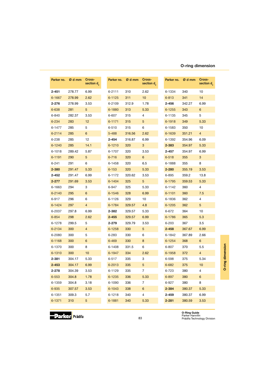| Parker no. | Ø d mm | Cross-<br>section d. | Parker no. | Ø d mm | Cross-<br>section d     | Parker no. | Ø d mm | Cross-<br>section d. |
|------------|--------|----------------------|------------|--------|-------------------------|------------|--------|----------------------|
| $2 - 451$  | 278.77 | 6.99                 | $6 - 2111$ | 310    | 2.62                    | 6-1334     | 340    | 10                   |
| 6-1667     | 278.99 | 2.62                 | 6-1125     | 311    | 10                      | 6-813      | 341    | 14                   |
| 2-276      | 278.99 | 3.53                 | 6-2109     | 312.9  | 1.78                    | 2-456      | 342.27 | 6.99                 |
| 6-638      | 281    | 5                    | 6-1880     | 313    | 5.33                    | $6 - 1255$ | 343    | $6\phantom{1}$       |
| $6 - 840$  | 282.37 | 3.53                 | 6-607      | 315    | $\overline{\mathbf{4}}$ | 6-1135     | 345    | 5                    |
| 6-234      | 283    | 12                   | 6-1171     | 315    | 5                       | 6-1918     | 349    | 5.33                 |
| 6-1477     | 285    | 5                    | $6 - 510$  | 315    | 6                       | 6-1583     | 350    | 10                   |
| 6-2114     | 285    | $\,6$                | 5-488      | 316.56 | 2.62                    | 6-1639     | 351.21 | 4                    |
| 6-238      | 285    | 12                   | 2-454      | 316.87 | 6.99                    | 6-1392     | 354.96 | 6.09                 |
| 6-1240     | 285    | 14.1                 | 6-1210     | 320    | 3                       | 2-383      | 354.97 | 5.33                 |
| $6 - 1018$ | 289.42 | 5.87                 | 6-1707     | 320    | 3.53                    | 2-457      | 354.97 | 6.99                 |
| 6-1191     | 290    | 5                    | $6 - 716$  | 320    | 6                       | $6 - 518$  | 355    | 3                    |
| $6 - 241$  | 291    | 6                    | 6-1458     | 320    | 6.5                     | 6-1888     | 355    | 8                    |
| 2-380      | 291.47 | 5.33                 | $6 - 153$  | 320    | 5.33                    | 2-280      | 355.19 | 3.53                 |
| $2 - 452$  | 291.47 | 6.99                 | 6-1172     | 320.62 | 3.53                    | 6-895      | 359.2  | 13.8                 |
| $2 - 277$  | 291.69 | 3.53                 | 6-1404     | 325    | 5                       | 6-1795     | 359.53 | 5.33                 |
| 6-1663     | 294    | 3                    | 6-947      | 325    | 5.33                    | 6-1142     | 360    | 4                    |
| 6-2140     | 295    | 6                    | 6-1546     | 328    | 6.99                    | 6-1101     | 360    | 7.5                  |
| 6-917      | 296    | 6                    | 6-1126     | 329    | 10                      | 6-1836     | 362    | 4                    |
| 6-1424     | 297    | $\overline{4}$       | 6-1784     | 329.57 | 4.8                     | 6-1205     | 362    | 5                    |
| 6-2037     | 297.8  | 6.99                 | 2-382      | 329.57 | 5.33                    | 6-672      | 364    | 10                   |
| $6 - 854$  | 298    | 2.62                 | $2 - 455$  | 329.57 | 6.99                    | 6-1786     | 365    | 5.3                  |
| 6-1278     | 299.5  | 5                    | 2-279      | 329.79 | 3.53                    | 6-203      | 367    | 3.5                  |
| 6-2134     | 300    | $\overline{4}$       | 6-1258     | 330    | 5                       | 2-458      | 367.67 | 6.99                 |
| 6-2080     | 300    | 5                    | 6-283      | 330    | 6                       | 6-1842     | 367.89 | 2.66                 |
| 6-1168     | 300    | $\,6$                | 6-469      | 330    | 8                       | 6-1254     | 368    | 6                    |
| 6-1370     | 300    | 8                    | 6-1408     | 331.5  | 6                       | 6-807      | 370    | 5.5                  |
| 6-1310     | 300    | 10                   | 6-1947     | 334    | 2.62                    | 6-1958     | 372    | 4                    |
| 2-381      | 304.17 | 5.33                 | 6-517      | 335    | 3                       | 6-598      | 375    | 5.34                 |
| $2 - 453$  | 304.17 | 6.99                 | 6-2013     | 335    | 5                       | 6-682      | 375    | 10                   |
| 2-278      | 304.39 | 3.53                 | 6-1129     | 335    | $\overline{7}$          | 6-723      | 380    | 4                    |
| 6-553      | 304.8  | 1.78                 | 6-1235     | 336    | 5.33                    | 6-897      | 380    | 6                    |
| 6-1359     | 304.8  | 3.18                 | 6-1090     | 336    | $\overline{7}$          | 6-927      | 380    | 8                    |
| 6-935      | 307.57 | 3.53                 | 6-1043     | 338    | $6\phantom{1}$          | 2-384      | 380.37 | 5.33                 |
| 6-1351     | 309.3  | 5.7                  | $6 - 1218$ | 340    | 4                       | 2-459      | 380.37 | 6.99                 |
| 6-1371     | 310    | 5                    | 6-1881     | 340    | 5.33                    | $2 - 281$  | 380.59 | 3.53                 |

**Parker** Prädifa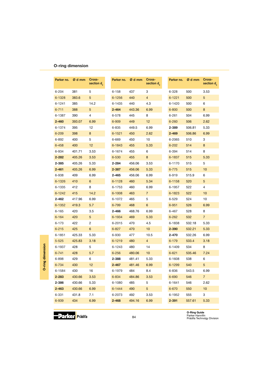| Parker no. | Ø d mm | Cross-<br>section $\mathbf{d}_{2}$ | Parker no. | Ødmm   | Cross-<br>section d, |
|------------|--------|------------------------------------|------------|--------|----------------------|
| 6-204      | 381    | 5                                  | $6 - 158$  | 437    | 3                    |
| 6-1328     | 383.6  | 5                                  | 6-1256     | 440    | $\overline{4}$       |
| 6-1241     | 385    | 14.2                               | 6-1435     | 440    | 4.3                  |
| 6-711      | 388    | 5                                  | $2 - 464$  | 443.36 | 6.99                 |
| 6-1387     | 390    | 4                                  | 6-578      | 445    | 8                    |
| 2-460      | 393.07 | 6.99                               | 6-909      | 449    | 12                   |
| 6-1374     | 395    | 12                                 | 6-835      | 449.5  | 6.99                 |
| 6-209      | 398    | 8                                  | 6-1521     | 450    | 2.62                 |
| 6-892      | 400    | 5                                  | 6-669      | 450    | 10                   |
| 6-458      | 400    | 12                                 | 6-1843     | 455    | 5.33                 |
| 6-934      | 401.71 | 3.53                               | 6-1674     | 455    | 6                    |
| 2-282      | 405.26 | 3.53                               | 6-530      | 455    | 8                    |
| 2-385      | 405.26 | 5.33                               | 2-284      | 456.06 | 3.53                 |
| 2-461      | 405.26 | 6.99                               | 2-387      | 456.06 | 5.33                 |
| 6-938      | 409    | 6.99                               | 2-465      | 456.06 | 6.99                 |
| 6-1326     | 410    | 6                                  | 6-1128     | 460    | 5.34                 |
| 6-1335     | 412    | 8                                  | 6-1753     | 460    | 6.99                 |
| 6-1242     | 415    | 14.2                               | 6-1008     | 463    | $\overline{7}$       |
| 2-462      | 417.96 | 6.99                               | 6-1072     | 465    | 5                    |
| 6-1352     | 419.3  | 5.7                                | 6-799      | 468    | 6                    |
| 6-165      | 420    | 3.5                                | 2-466      | 468.76 | 6.99                 |
| 6-164      | 420    | 5                                  | 6-1934     | 469    | 5.33                 |
| 6-173      | 422    | 2                                  | 6-2015     | 470    | 4.5                  |
| $6 - 215$  | 425    | 6                                  | 6-827      | 470    | 10                   |
| 6-1851     | 425.33 | 5.33                               | 6-930      | 477    | 10.5                 |
| 5-525      | 425.83 | 3.18                               | 6-1219     | 480    | 4                    |
| 6-1937     | 428    | 5                                  | 6-1243     | 480    | 14                   |
| $6 - 741$  | 428    | 5.7                                | $6 - 256$  | 480.06 | 10                   |
| 6-898      | 429    | 6                                  | 2-388      | 481.41 | 5.33                 |
| 6-734      | 430    | 12                                 | 2-467      | 481.46 | 6.99                 |
| 6-1584     | 430    | 16                                 | 6-1979     | 484    | 8.4                  |
| 2-283      | 430.66 | 3.53                               | 6-834      | 484.86 | 3.53                 |
| 2-386      | 430.66 | 5.33                               | 6-1080     | 485    | 5                    |
| 2-463      | 430.66 | 6.99                               | 6-1444     | 490    | 5                    |
| 6-331      | 431.8  | 7.1                                | 6-2073     | 492    | 3.53                 |
| 6-939      | 434    | 6.99                               | 2-468      | 494.16 | 6.99                 |

|            | Parker no. Ø d mm | Cross-<br>section d <sub>2</sub> |
|------------|-------------------|----------------------------------|
| $6 - 328$  | 500               | 3.53                             |
| $6 - 1221$ | 500               | 5                                |
| 6-1420     | 500               | 6                                |
| 6-800      | 500               | 8                                |
| 6-261      | 504               | 6.99                             |
| 6-260      | 506               | 2.62                             |
| 2-389      | 506.81            | 5.33                             |
| 2-469      | 506.86            | 6.99                             |
| 6-2065     | 510               | 3                                |
| $6 - 202$  | 514               | 8                                |
| 6-394      | 514               | 8                                |
| 6-1837     | 515               | 5.33                             |
| 6-1170     | 515               | 5                                |
| $6 - 775$  | 515               | 10                               |
| 6-919      | 515.9             | 6                                |
| 6-1158     | 520               | 5                                |
| 6-1957     | 522               | 4                                |
| 6-1823     | 522               | 10                               |
| 6-529      | 524               | 10                               |
| $6 - 951$  | 526               | 6.99                             |
| 6-467      | 528               | 8                                |
| $6 - 262$  | 532               | $\overline{7}$                   |
| 6-1838     | 532.18            | 5.33                             |
| 2-390      | 532.21            | 5.33                             |
| 2-470      | 532.26            | 6.99                             |
| $6 - 179$  | 533.4             | 3.18                             |
| 6-1409     | 534               | 8                                |
| $6 - 621$  | 535.46            | 7.24                             |
| 6-1608     | 538               | 6                                |
| 6-1299     | 540               | 5                                |
| 6-836      | 543.5             | 6.99                             |
| 6-690      | 546               | $\overline{7}$                   |
| 6-1641     | 546               | 2.62                             |
| 6-670      | 550               | 10                               |
| 6-1952     | 555               | 3                                |
| 2-391      | 557.61            | 5.33                             |

**-Parker** Prädifa

O-ring dimension

O-ring dimension

84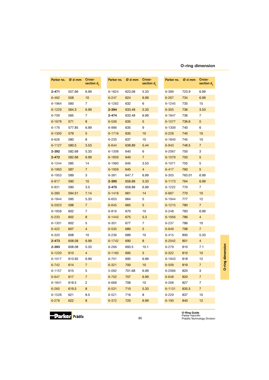| Parker no. | Ø d mm | Cross-<br>section d <sub>2</sub> | Parker no. | Ø d mm | Cross-<br>section d <sub>2</sub> | Parker no. | Ø d mm | Cross-<br>section d <sub>2</sub> |
|------------|--------|----------------------------------|------------|--------|----------------------------------|------------|--------|----------------------------------|
| $2 - 471$  | 557.66 | 6.99                             | 6-1824     | 623.08 | 5.33                             | 6-389      | 723.9  | 6.99                             |
| $6 - 462$  | 558    | 10                               | $6 - 247$  | 624    | 6.99                             | $6 - 267$  | 734    | 6.99                             |
| 6-1964     | 560    | $\overline{7}$                   | 6-1262     | 632    | 6                                | 6-1245     | 735    | 15                               |
| 6-1229     | 564.3  | 6.99                             | 2-394      | 633.48 | 5.33                             | $6 - 305$  | 736    | 3.53                             |
| 6-709      | 565    | $\overline{7}$                   | 2-474      | 633.48 | 6.99                             | 6-1847     | 736    | 7                                |
| 6-1678     | 571    | 8                                | 6-536      | 635    | 5                                | 6-1577     | 736.6  | 5                                |
| $6 - 176$  | 577.85 | 6.99                             | 6-986      | 635    | 9                                | 6-1309     | 740    | 6                                |
| 6-1300     | 579    | 5                                | 6-1716     | 635    | 10                               | $6 - 228$  | 740    | 10                               |
| $6 - 626$  | 580    | 8                                | 6-235      | 637    | 10                               | 6-1840     | 745    | 10                               |
| 6-1127     | 580.5  | 3.53                             | 6-644      | 638.89 | 5.44                             | 6-943      | 748.5  | $\overline{7}$                   |
| 2-392      | 582.68 | 5.33                             | 6-1308     | 640    | 6                                | 6-2067     | 750    | 3                                |
| $2 - 472$  | 582.68 | 6.99                             | 6-1859     | 640    | $\overline{7}$                   | 6-1079     | 750    | 5                                |
| 6-1244     | 585    | 14                               | 6-1960     | 645    | 3.53                             | 6-1071     | 755    | 5                                |
| 6-1963     | 587    | $\overline{7}$                   | 6-1959     | 645    | $\overline{4}$                   | $6 - 417$  | 760    | 5                                |
| 6-1953     | 589    | 3                                | 6-381      | 647.7  | 6.99                             | 6-303      | 763.01 | 6.99                             |
| $6 - 817$  | 590    | 10                               | 2-395      | 658.88 | 5.33                             | 6-1173     | 764    | 6.99                             |
| 6-831      | 590    | 3.5                              | 2-475      | 658.88 | 6.99                             | 6-1222     | 770    | 7                                |
| 6-380      | 594.51 | 7.14                             | 6-1418     | 661    | 14                               | 6-667      | 770    | 10                               |
| 6-1844     | 595    | 5.33                             | 6-653      | 664    | 5                                | 6-1944     | 777    | 12                               |
| 6-2023     | 598    | $\overline{7}$                   | 6-645      | 665    | 5                                | $6 - 1215$ | 780    | $\overline{7}$                   |
| 6-1858     | 602    | $\overline{7}$                   | 6-816      | 670    | 10                               | $6 - 248$  | 783    | 6.99                             |
| $6 - 233$  | 602    | 8                                | 6-1443     | 675    | 5.3                              | 6-1956     | 786    | $\overline{4}$                   |
| 6-1301     | 602    | 5                                | 6-301      | 677    | $\overline{7}$                   | 6-237      | 786    | 10                               |
| $6 - 422$  | 607    | $\overline{4}$                   | 6-535      | 680    | 5                                | 6-649      | 798    | $\overline{7}$                   |
| 6-320      | 608    | 10                               | 6-236      | 689    | 10                               | $6 - 415$  | 800    | 5.33                             |
| $2 - 473$  | 608.08 | 6.99                             | 6-1742     | 690    | 8                                | 6-2042     | 801    | $\overline{4}$                   |
| 2-393      | 608.08 | 5.33                             | 6-266      | 693.5  | 10.1                             | 6-279      | 810    | 7.1                              |
| 6-1220     | 610    | $\overline{\mathcal{A}}$         | 6-1160     | 695    | 5                                | $6 - 322$  | 810    | 10                               |
| 6-1017     | 613.92 | 6.99                             | 6-701      | 695    | 6.99                             | 6-1943     | 818    | 12                               |
| $6 - 742$  | 614    | $\overline{7}$                   | $6 - 321$  | 700    | 10                               | 6-509      | 819    | $\overline{7}$                   |
| 6-1157     | 615    | 5                                | 5-092      | 701.68 | 6.99                             | 6-2066     | 820    | 3                                |
| 6-647      | 617    | $\overline{7}$                   | 6-702      | 707    | 6.99                             | 6-648      | 820    | $\overline{7}$                   |
| 6-1841     | 618.5  | $\mathbf{2}$                     | 6-668      | 708    | 10                               | 6-268      | 827    | 7                                |
| $6 - 265$  | 619.5  | 8                                | 6-531      | 710    | 5.33                             | 6-1131     | 835.5  | $\overline{7}$                   |
| 6-1528     | 621    | 8.5                              | 6-521      | 716    | 8                                | 6-229      | 837    | 10                               |
| $6 - 278$  | 622    | 8                                | 6-372      | 720    | 6.99                             | $6 - 190$  | 840    | 12                               |

**Parker** Prädifa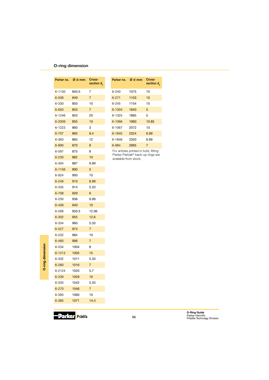|           | Parker no. Ø d mm | Cross-<br>section $\mathbf{d}_2$ |
|-----------|-------------------|----------------------------------|
| 6-1130    | 840.5             | 7                                |
| 6-508     | 849               | 7                                |
| 6-330     | 850               | 10                               |
| 6-650     | 853               | $\overline{7}$                   |
| 6-1246    | 853               | 20                               |
| 6-2009    | 855               | 10                               |
| 6-1223    | 860               | 3                                |
| 6-707     | 865               | 8.4                              |
| 6-363     | 865               | 12                               |
| 6-890     | 870               | 8                                |
| 6-597     | 875               | 8                                |
| 6-230     | 882               | 10                               |
| 6-304     | 887               | 6.99                             |
| 6-1156    | 890               | 5                                |
| 6-924     | 900               | 10                               |
| $6 - 249$ | 910               | 6.99                             |
| 6-335     | 914               | 5.33                             |
| 6-708     | 929               | 6                                |
| 6-250     | 936               | 6.99                             |
| 6-409     | 940               | 10                               |
| 6-269     | 950.5             | 12.06                            |
| 6-302     | 955               | 12.6                             |
| 6-334     | 960               | 5.33                             |
| $6 - 527$ | 974               | $\overline{7}$                   |
| 6-232     | 984               | 10                               |
| 6-460     | 996               | $\overline{7}$                   |
| 6-534     | 1004              | 8                                |
| 6-1213    | 1005              | 15                               |
| 6-332     | 1011              | 5.33                             |
| 6-280     | 1016              | $\overline{7}$                   |
| 6-2124    | 1020              | 5.7                              |
| 6-239     | 1029              | 10 <sup>1</sup>                  |
| 6-333     | 1042              | 5.33                             |
| $6 - 270$ | 1046              | $\overline{7}$                   |
| 6-393     | 1060              | 10                               |
| 6-385     | 1071              | 14.4                             |

|           | Parker no. Ø d mm | Cross-<br>section d. |
|-----------|-------------------|----------------------|
| 6-240     | 1075              | 10                   |
| $6 - 271$ | 1103              | 10                   |
| 6-245     | 1154              | 10                   |
| 6-1304    | 1840              | 5                    |
| 6-1325    | 1865              | 5                    |
| 6-1066    | 1960              | 10.85                |
| 6-1067    | 2072              | 10                   |
| 6-1845    | 2324              | 6.99                 |
| 6-1846    | 2350              | 6.99                 |
| 6-984     | 2965              | 7                    |

For articles printed in bold, fitting Parker Parbak® back-up rings are available from stock.

**Extra de Español En Santo** 

O-ring dimension

O-ring dimension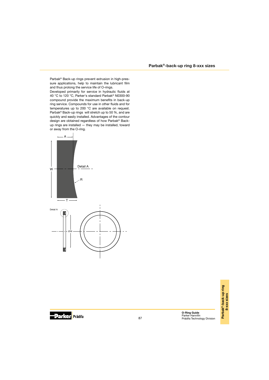Parbak® Back-up rings prevent extrusion in high-pressure applications, help to maintain the lubricant film and thus prolong the service life of O-rings.

Developed primarily for service in hydraulic fluids at 40 °C to 120 °C, Parker's standard Parbak® N0300-90 compound provide the maximum benefits in back-up ring service. Compounds for use in other fluids and for temperatures up to 200 °C are available on request. Parbak® Back-up rings will stretch up to 50 %, and are quickly and easily installed. Advantages of the contour design are obtained regardless of how Parbak® Backup rings are installed — they may be installed, toward or away from the O-ring.







O-Ring Guide Parker Hannifin Prädifa Technology Division

87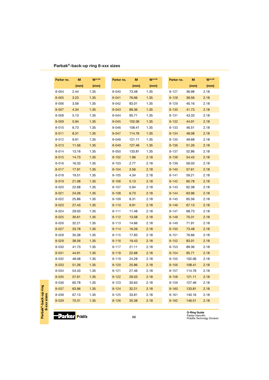| Parker no. | M     | $W^{\pm 0.08}$ | Parker no. | M      | $W^{\pm 0.08}$ | Parker no. | M      | $W^{\pm 0.08}$ |
|------------|-------|----------------|------------|--------|----------------|------------|--------|----------------|
|            | (mm)  | (mm)           |            | (mm)   | (mm)           |            | (mm)   | (mm)           |
| 8-004      | 2.44  | 1.35           | 8-040      | 73.48  | 1.35           | $8 - 127$  | 36.98  | 2.18           |
| $8 - 005$  | 3.23  | 1.35           | $8 - 041$  | 76.66  | 1.35           | $8 - 128$  | 38.56  | 2.18           |
| 8-006      | 3.56  | 1.35           | 8-042      | 83.01  | 1.35           | $8 - 129$  | 40.16  | 2.18           |
| 8-007      | 4.34  | 1.35           | 8-043      | 89.36  | 1.35           | 8-130      | 41.73  | 2.18           |
| 8-008      | 5.13  | 1.35           | 8-044      | 95.71  | 1.35           | $8 - 131$  | 43.33  | 2.18           |
| 8-009      | 5.94  | 1.35           | 8-045      | 102.06 | 1.35           | 8-132      | 44.91  | 2.18           |
| $8 - 010$  | 6.73  | 1.35           | 8-046      | 108.41 | 1.35           | 8-133      | 46.51  | 2.18           |
| $8 - 011$  | 8.31  | 1.35           | 8-047      | 114.76 | 1.35           | 8-134      | 48.08  | 2.18           |
| $8 - 012$  | 9.91  | 1.35           | 8-048      | 121.11 | 1.35           | 8-135      | 49.68  | 2.18           |
| $8 - 013$  | 11.56 | 1.35           | 8-049      | 127.46 | 1.35           | 8-136      | 51.26  | 2.18           |
| $8 - 014$  | 13.16 | 1.35           | 8-050      | 133.81 | 1.35           | 8-137      | 52.86  | 2.18           |
| $8 - 015$  | 14.73 | 1.35           | $8 - 102$  | 1.96   | 2.18           | 8-138      | 54.43  | 2.18           |
| 8-016      | 16.33 | 1.35           | 8-103      | 2.77   | 2.18           | 8-139      | 56.03  | 2.18           |
| $8 - 017$  | 17.91 | 1.35           | $8 - 104$  | 3.56   | 2.18           | $8 - 140$  | 57.61  | 2.18           |
| $8 - 018$  | 19.51 | 1.35           | $8 - 105$  | 4.34   | 2.18           | $8 - 141$  | 59.21  | 2.18           |
| 8-019      | 21.08 | 1.35           | $8 - 106$  | 5.13   | 2.18           | $8 - 142$  | 60.78  | 2.18           |
| 8-020      | 22.68 | 1.35           | $8 - 107$  | 5.94   | 2.18           | $8 - 143$  | 62.38  | 2.18           |
| $8 - 021$  | 24.26 | 1.35           | $8 - 108$  | 6.73   | 2.18           | $8 - 144$  | 63.96  | 2.18           |
| 8-022      | 25.86 | 1.35           | 8-109      | 8.31   | 2.18           | 8-145      | 65.56  | 2.18           |
| 8-023      | 27.43 | 1.35           | 8-110      | 9.91   | 2.18           | $8 - 146$  | 67.13  | 2.18           |
| 8-024      | 29.03 | 1.35           | 8-111      | 11.48  | 2.18           | 8-147      | 68.73  | 2.18           |
| $8 - 025$  | 30.61 | 1.35           | 8-112      | 13.08  | 2.18           | $8 - 148$  | 70.31  | 2.18           |
| 8-026      | 32.21 | 1.35           | 8-113      | 14.66  | 2.18           | 8-149      | 71.91  | 2.18           |
| $8 - 027$  | 33.78 | 1.35           | $8 - 114$  | 16.26  | 2.18           | $8 - 150$  | 73.48  | 2.18           |
| 8-028      | 35.38 | 1.35           | 8-115      | 17.83  | 2.18           | $8 - 151$  | 76.66  | 2.18           |
| 8-029      | 38.56 | 1.35           | 8-116      | 19.43  | 2.18           | $8 - 152$  | 83.01  | 2.18           |
| 8-030      | 41.73 | 1.35           | 8-117      | 21.11  | 2.18           | 8-153      | 89.36  | 2.18           |
| $8 - 031$  | 44.91 | 1.35           | 8-118      | 22.68  | 2.18           | $8 - 154$  | 95.71  | 2.18           |
| 8-032      | 48.08 | 1.35           | $8 - 119$  | 24.28  | 2.18           | $8 - 155$  | 102.06 | 2.18           |
| 8-033      | 51.26 | 1.35           | 8-120      | 25.86  | 2.18           | $8 - 156$  | 108.41 | 2.18           |
| 8-034      | 54.43 | 1.35           | $8 - 121$  | 27.46  | 2.18           | $8 - 157$  | 114.76 | 2.18           |
| 8-035      | 57.61 | 1.35           | 8-122      | 29.03  | 2.18           | $8 - 158$  | 121.11 | 2.18           |
| 8-036      | 60.78 | 1.35           | $8 - 123$  | 30.63  | 2.18           | 8-159      | 127.46 | 2.18           |
| 8-037      | 63.96 | 1.35           | $8 - 124$  | 32.21  | 2.18           | $8 - 160$  | 133.81 | 2.18           |
| 8-038      | 67.13 | 1.35           | $8 - 125$  | 33.81  | 2.18           | $8 - 161$  | 140.16 | 2.18           |
| 8-039      | 70.31 | 1.35           | $8 - 126$  | 35.38  | 2.18           | $8 - 162$  | 146.51 | 2.18           |

Parbak<sup>®</sup>-back-up ring<br>8-xxx sizes ®-back-up ring 8-xxx sizes

**Englisch** Prädifa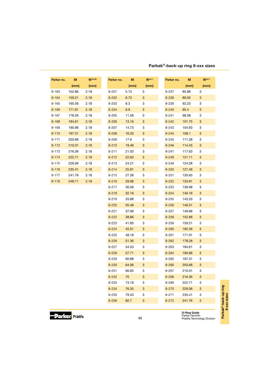| Parker no. | M      | $W^{\pm 0.08}$ | Parker no. | M     | $W^{\pm0.1}$ | Parker no. | M      | $W^{\pm0.1}$ |
|------------|--------|----------------|------------|-------|--------------|------------|--------|--------------|
|            | (mm)   | (mm)           |            | (mm)  | (mm)         |            | (mm)   | (mm)         |
| 8-163      | 152.86 | 2.18           | $8 - 201$  | 5.13  | 3            | 8-237      | 85.88  | 3            |
| $8 - 164$  | 159.21 | 2.18           | $8 - 202$  | 6.73  | 3            | 8-238      | 89.05  | 3            |
| $8 - 165$  | 165.56 | 2.18           | 8-203      | 8.3   | 3            | 8-239      | 92.23  | 3            |
| $8 - 166$  | 171.91 | 2.18           | 8-204      | 9.9   | 3            | $8 - 240$  | 95.4   | 3            |
| 8-167      | 178.26 | 2.18           | 8-205      | 11.56 | 3            | $8 - 241$  | 98.58  | 3            |
| $8 - 168$  | 184.61 | 2.18           | $8 - 206$  | 13.16 | 3            | $8 - 242$  | 101.75 | 3            |
| 8-169      | 190.96 | 2.18           | 8-207      | 14.73 | 3            | 8-243      | 104.93 | 3            |
| 8-170      | 197.31 | 2.18           | 8-208      | 16.33 | 3            | $8 - 244$  | 108.1  | 3            |
| 8-171      | 203.66 | 2.18           | 8-209      | 17.9  | 3            | $8 - 245$  | 111.28 | 3            |
| $8 - 172$  | 210.01 | 2.18           | $8 - 210$  | 19.46 | 3            | $8 - 246$  | 114.45 | 3            |
| $8 - 173$  | 216.36 | 2.18           | $8 - 211$  | 21.03 | 3            | 8-247      | 117.63 | 3            |
| $8 - 174$  | 222.71 | 2.18           | $8 - 212$  | 22.63 | 3            | $8 - 248$  | 121.11 | 3            |
| 8-175      | 229.06 | 2.18           | 8-213      | 24.21 | 3            | 8-249      | 124.28 | 3            |
| $8 - 176$  | 235.41 | 2.18           | $8 - 214$  | 25.81 | 3            | $8 - 250$  | 127.46 | 3            |
| 8-177      | 241.76 | 2.18           | $8 - 215$  | 27.38 | 3            | $8 - 251$  | 130.63 | 3            |
| $8 - 178$  | 248.11 | 2.18           | $8 - 216$  | 28.98 | 3            | $8 - 252$  | 133.81 | 3            |
|            |        |                | $8 - 217$  | 30.56 | 3            | 8-253      | 136.98 | 3            |
|            |        |                | $8 - 218$  | 32.16 | 3            | 8-254      | 140.16 | 3            |
|            |        |                | 8-219      | 33.88 | 3            | 8-255      | 143.33 | 3            |
|            |        |                | $8 - 220$  | 35.48 | 3            | 8-256      | 146.51 | 3            |
|            |        |                | $8 - 221$  | 37.06 | 3            | $8 - 257$  | 149.68 | 3            |
|            |        |                | $8 - 222$  | 38.66 | 3            | 8-258      | 152.86 | 3            |
|            |        |                | 8-223      | 41.83 | 3            | 8-259      | 159.21 | 3            |
|            |        |                | $8 - 224$  | 45.01 | 3            | 8-260      | 165.56 | 3            |
|            |        |                | 8-225      | 48.18 | 3            | $8 - 261$  | 171.91 | 3            |
|            |        |                | $8 - 226$  | 51.36 | 3            | 8-262      | 178.26 | 3            |
|            |        |                | 8-227      | 54.53 | 3            | 8-263      | 184.61 | 3            |
|            |        |                | $8 - 228$  | 57.71 | 3            | 8-264      | 190.96 | 3            |
|            |        |                | 8-229      | 60.88 | 3            | 8-265      | 197.31 | 3            |
|            |        |                | 8-230      | 64.06 | 3            | 8-266      | 203.66 | 3            |
|            |        |                | 8-231      | 66.83 | 3            | 8-267      | 210.01 | 3            |
|            |        |                | 8-232      | 70    | 3            | 8-268      | 216.36 | 3            |
|            |        |                | 8-233      | 73.18 | 3            | 8-269      | 222.71 | 3            |
|            |        |                | 8-234      | 76.35 | 3            | 8-270      | 229.06 | 3            |
|            |        |                | 8-235      | 79.53 | 3            | $8 - 271$  | 235.41 | 3            |
|            |        |                | 8-236      | 82.7  | 3            | $8 - 272$  | 241.76 | 3            |
|            |        |                |            |       |              |            |        |              |

**Englisher Starting**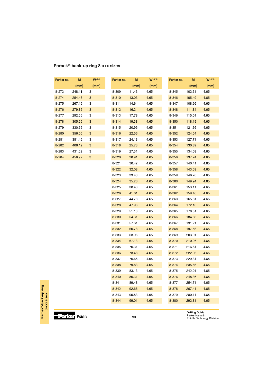| Parker no. | М      | $W^{\pm0.1}$ |  |  |
|------------|--------|--------------|--|--|
|            | (mm)   | (mm)         |  |  |
| 8-273      | 248.11 | 3            |  |  |
| 8-274      | 254.46 | 3            |  |  |
| 8-275      | 267.16 | 3            |  |  |
| 8-276      | 279.86 | 3            |  |  |
| 8-277      | 292.56 | 3            |  |  |
| 8-278      | 305.26 | 3            |  |  |
| 8-279      | 330.66 | 3            |  |  |
| 8-280      | 356.05 | 3            |  |  |
| 8-281      | 381.46 | 3            |  |  |
| 8-282      | 406.12 | 3            |  |  |
| 8-283      | 431.52 | 3            |  |  |
| 8-284      | 456.92 | 3            |  |  |

| Parker no. | M     | $W^{\pm0.13}$ | Parker no. | M      | $W^{\pm0.13}$ |
|------------|-------|---------------|------------|--------|---------------|
|            | (mm)  | (mm)          |            | (mm)   | (mm)          |
| 8-309      | 11.43 | 4.65          | 8-345      | 102.31 | 4.65          |
| 8-310      | 13.03 | 4.65          | 8-346      | 105.49 | 4.65          |
| 8-311      | 14.6  | 4.65          | 8-347      | 108.66 | 4.65          |
| 8-312      | 16.2  | 4.65          | 8-348      | 111.84 | 4.65          |
| 8-313      | 17.78 | 4.65          | 8-349      | 115.01 | 4.65          |
| 8-314      | 19.38 | 4.65          | 8-350      | 118.19 | 4.65          |
| 8-315      | 20.96 | 4.65          | 8-351      | 121.36 | 4.65          |
| 8-316      | 22.56 | 4.65          | 8-352      | 124.54 | 4.65          |
| 8-317      | 24.13 | 4.65          | 8-353      | 127.71 | 4.65          |
| 8-318      | 25.73 | 4.65          | 8-354      | 130.89 | 4.65          |
| 8-319      | 27.31 | 4.65          | 8-355      | 134.09 | 4.65          |
| 8-320      | 28.91 | 4.65          | 8-356      | 137.24 | 4.65          |
| 8-321      | 30.42 | 4.65          | 8-357      | 140.41 | 4.65          |
| 8-322      | 32.08 | 4.65          | 8-358      | 143.59 | 4.65          |
| 8-323      | 33.43 | 4.65          | 8-359      | 146.76 | 4.65          |
| 8-324      | 35.26 | 4.65          | 8-360      | 149.94 | 4.65          |
| 8-325      | 38.43 | 4.65          | 8-361      | 153.11 | 4.65          |
| 8-326      | 41.61 | 4.65          | 8-362      | 159.46 | 4.65          |
| 8-327      | 44.78 | 4.65          | 8-363      | 165.81 | 4.65          |
| 8-328      | 47.96 | 4.65          | 8-364      | 172.16 | 4.65          |
| 8-329      | 51.13 | 4.65          | 8-365      | 178.51 | 4.65          |
| 8-330      | 54.31 | 4.65          | 8-366      | 184.86 | 4.65          |
| 8-331      | 57.61 | 4.65          | 8-367      | 191.21 | 4.65          |
| 8-332      | 60.78 | 4.65          | 8-368      | 197.56 | 4.65          |
| 8-333      | 63.96 | 4.65          | 8-369      | 203.91 | 4.65          |
| 8-334      | 67.13 | 4.65          | 8-370      | 210.26 | 4.65          |
| 8-335      | 70.31 | 4.65          | 8-371      | 216.61 | 4.65          |
| 8-336      | 73.48 | 4.65          | 8-372      | 222.96 | 4.65          |
| 8-337      | 76.66 | 4.65          | 8-373      | 229.31 | 4.65          |
| 8-338      | 79.83 | 4.65          | 8-374      | 235.66 | 4.65          |
| 8-339      | 83.13 | 4.65          | 8-375      | 242.01 | 4.65          |
| 8-340      | 86.31 | 4.65          | 8-376      | 248.36 | 4.65          |
| 8-341      | 89.48 | 4.65          | 8-377      | 254.71 | 4.65          |
| 8-342      | 92.66 | 4.65          | 8-378      | 267.41 | 4.65          |
| 8-343      | 95.83 | 4.65          | 8-379      | 280.11 | 4.65          |
| 8-344      | 99.01 | 4.65          | 8-380      | 292.81 | 4.65          |

Parbak<sup>®</sup>-back-up ring<br>8-xxx sizes ®-back-up ring 8-xxx sizes

**- Parker** Prädifa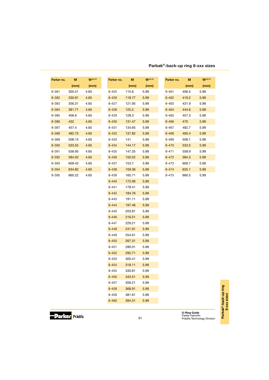| Parker no. | M      | $W^{\pm 0.13}$ | Parker no. | M      | $W^{\pm0.15}$ |  | Parker no. | M     | W    |
|------------|--------|----------------|------------|--------|---------------|--|------------|-------|------|
|            | (mm)   | (mm)           |            | (mm)   | (mm)          |  |            | (mm)  | (m   |
| 8-381      | 305.51 | 4.65           | 8-425      | 115.6  | 5.99          |  | $8 - 461$  | 406.5 | 5.99 |
| 8-382      | 330.91 | 4.65           | $8 - 426$  | 118.77 | 5.99          |  | 8-462      | 419.2 | 5.99 |
| 8-383      | 356.31 | 4.65           | 8-427      | 121.95 | 5.99          |  | 8-463      | 431.9 | 5.99 |
| 8-384      | 381.71 | 4.65           | 8-428      | 125.2  | 5.99          |  | 8-464      | 444.6 | 5.99 |
| 8-385      | 406.6  | 4.65           | 8-429      | 128.3  | 5.99          |  | 8-465      | 457.3 | 5.99 |
| 8-386      | 432    | 4.65           | 8-430      | 131.47 | 5.99          |  | 8-466      | 470   | 5.99 |
| 8-387      | 457.4  | 4.65           | 8-431      | 134.65 | 5.99          |  | 8-467      | 482.7 | 5.99 |
| 8-388      | 482.75 | 4.65           | 8-432      | 137.82 | 5.99          |  | 8-468      | 495.4 | 5.99 |
| 8-389      | 508.15 | 4.65           | 8-433      | 141    | 5.99          |  | 8-469      | 508.1 | 5.99 |
| 8-390      | 533.55 | 4.65           | 8-434      | 144.17 | 5.99          |  | 8-470      | 533.5 | 5.99 |
| 8-391      | 558.95 | 4.65           | 8-435      | 147.35 | 5.99          |  | 8-471      | 558.9 | 5.99 |
| 8-392      | 584.02 | 4.65           | 8-436      | 150.52 | 5.99          |  | 8-472      | 584.3 | 5.99 |
| 8-393      | 609.42 | 4.65           | 8-437      | 153.7  | 5.99          |  | 8-473      | 609.7 | 5.99 |
| 8-394      | 634.82 | 4.65           | 8-438      | 159.36 | 5.99          |  | 8-474      | 635.1 | 5.99 |
| 8-395      | 660.22 | 4.65           | 8-439      | 165.71 | 5.99          |  | 8-475      | 660.5 | 5.99 |
|            |        |                | 8-440      | 172.06 | 5.99          |  |            |       |      |
|            |        |                | 8-441      | 178.41 | 5.99          |  |            |       |      |
|            |        |                | $8 - 442$  | 184.76 | 5.99          |  |            |       |      |
|            |        |                | 8-443      | 191.11 | 5.99          |  |            |       |      |
|            |        |                | 8-444      | 197.46 | 5.99          |  |            |       |      |
|            |        |                | 8-445      | 203.81 | 5.99          |  |            |       |      |
|            |        |                | 8-446      | 216.51 | 5.99          |  |            |       |      |
|            |        |                | 8-447      | 229.21 | 5.99          |  |            |       |      |
|            |        |                | 8-448      | 241.91 | 5.99          |  |            |       |      |
|            |        |                | 8-449      | 254.61 | 5.99          |  |            |       |      |
|            |        |                | 8-450      | 267.31 | 5.99          |  |            |       |      |
|            |        |                | 8-451      | 280.01 | 5.99          |  |            |       |      |
|            |        |                | $8 - 452$  | 292.71 | 5.99          |  |            |       |      |
|            |        |                | 8-453      | 305.41 | 5.99          |  |            |       |      |
|            |        |                | 8-454      | 318.11 | 5.99          |  |            |       |      |
|            |        |                | 8-455      | 330.81 | 5.99          |  |            |       |      |
|            |        |                | 8-456      | 343.51 | 5.99          |  |            |       |      |
|            |        |                | 8-457      | 356.21 | 5.99          |  |            |       |      |
|            |        |                | 8-458      | 368.91 | 5.99          |  |            |       |      |
|            |        |                | 8-459      | 381.61 | 5.99          |  |            |       |      |
|            |        |                | 8-460      | 394.31 | 5.99          |  |            |       |      |
|            |        |                |            |        |               |  |            |       |      |

 $W^{\pm0.15}$ (mm) (mm)

**- Parker** Prädifa

Parker no. M W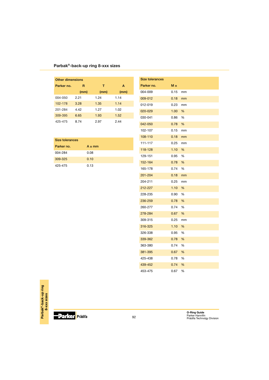| <b>Other dimensions</b> |      |      |      |  |  |
|-------------------------|------|------|------|--|--|
| Parker no.              | R    | т    | A    |  |  |
|                         | (mm) | (mm) | (mm) |  |  |
| 004-050                 | 2.21 | 1.24 | 1.14 |  |  |
| 102-178                 | 3.28 | 1.35 | 1.14 |  |  |
| 201-284                 | 4.42 | 1.27 | 1.02 |  |  |
| 309-395                 | 6.65 | 1.93 | 1.52 |  |  |
| 425-475                 | 8.74 | 2.97 | 2.44 |  |  |

| Size tolerances |            |  |  |  |
|-----------------|------------|--|--|--|
| Parker no.      | $A \pm mm$ |  |  |  |
| 004-284         | 0.08       |  |  |  |
| 309-325         | 0.10       |  |  |  |
| 425-475         | 0.13       |  |  |  |

| <b>Size tolerances</b> |           |               |
|------------------------|-----------|---------------|
| Parker no.             | $M \pm$   |               |
| 004-009                | 0.15      | mm            |
| 009-012                | 0.18      | mm            |
| 012-019                | $0.23$ mm |               |
| 020-029                | 1.00      | $\frac{9}{6}$ |
| 030-041                | 0.86      | %             |
| 042-050                | 0.78      | %             |
| 102-107                | 0.15      | mm            |
| 108-110                | 0.18      | mm            |
| 111-117                | $0.25$ mm |               |
| 118-128                | 1.10      | %             |
| 129-151                | 0.95      | %             |
| 152-164                | 0.78      | %             |
| 165-178                | 0.74 %    |               |
| 201-204                | 0.18      | mm            |
| 204-211                | $0.25$ mm |               |
| 212-227                | 1.10      | %             |
| 228-235                | 0.90      | %             |
| 236-259                | 0.78      | %             |
| 260-277                | 0.74 %    |               |
| 278-284                | 0.67 %    |               |
| 309-315                | 0.25      | mm            |
| 316-325                | 1.10      | %             |
| 326-338                | 0.95      | %             |
| 339-362                | 0.78      | %             |
| 363-380                | 0.74      | %             |
| 381-395                | 0.67      | %             |
| 425-438                | 0.78      | %             |
| 439-452                | 0.74      | %             |
| 453-475                | 0.67      | %             |

Parbak<sup>®</sup>-back-up ring<br>8-xxx sizes ®-back-up ring 8-xxx sizes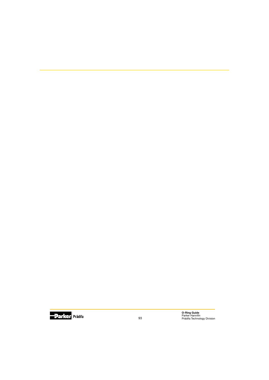